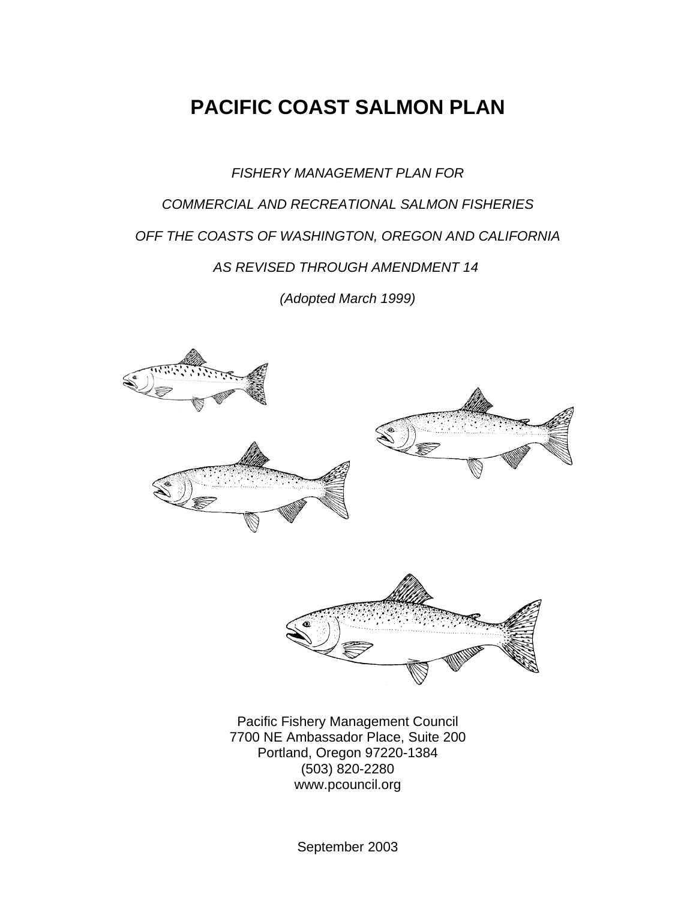# **PACIFIC COAST SALMON PLAN**

*FISHERY MANAGEMENT PLAN FOR COMMERCIAL AND RECREATIONAL SALMON FISHERIES OFF THE COASTS OF WASHINGTON, OREGON AND CALIFORNIA AS REVISED THROUGH AMENDMENT 14 (Adopted March 1999)*





Pacific Fishery Management Council 7700 NE Ambassador Place, Suite 200 Portland, Oregon 97220-1384 (503) 820-2280 www.pcouncil.org

September 2003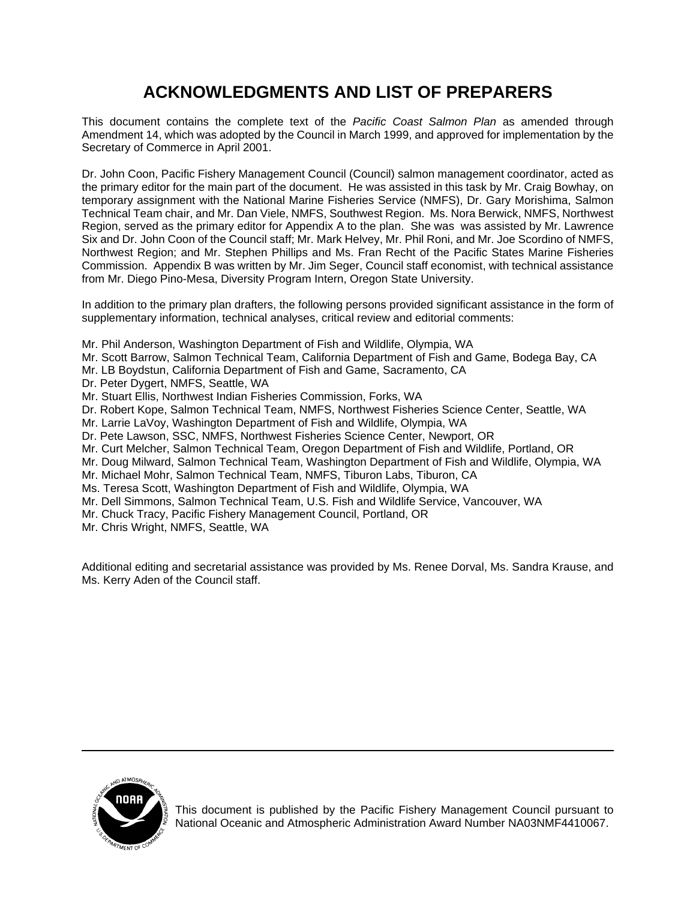## **ACKNOWLEDGMENTS AND LIST OF PREPARERS**

This document contains the complete text of the *Pacific Coast Salmon Plan* as amended through Amendment 14, which was adopted by the Council in March 1999, and approved for implementation by the Secretary of Commerce in April 2001.

Dr. John Coon, Pacific Fishery Management Council (Council) salmon management coordinator, acted as the primary editor for the main part of the document. He was assisted in this task by Mr. Craig Bowhay, on temporary assignment with the National Marine Fisheries Service (NMFS), Dr. Gary Morishima, Salmon Technical Team chair, and Mr. Dan Viele, NMFS, Southwest Region. Ms. Nora Berwick, NMFS, Northwest Region, served as the primary editor for Appendix A to the plan. She was was assisted by Mr. Lawrence Six and Dr. John Coon of the Council staff; Mr. Mark Helvey, Mr. Phil Roni, and Mr. Joe Scordino of NMFS, Northwest Region; and Mr. Stephen Phillips and Ms. Fran Recht of the Pacific States Marine Fisheries Commission. Appendix B was written by Mr. Jim Seger, Council staff economist, with technical assistance from Mr. Diego Pino-Mesa, Diversity Program Intern, Oregon State University.

In addition to the primary plan drafters, the following persons provided significant assistance in the form of supplementary information, technical analyses, critical review and editorial comments:

- Mr. Phil Anderson, Washington Department of Fish and Wildlife, Olympia, WA
- Mr. Scott Barrow, Salmon Technical Team, California Department of Fish and Game, Bodega Bay, CA
- Mr. LB Boydstun, California Department of Fish and Game, Sacramento, CA
- Dr. Peter Dygert, NMFS, Seattle, WA
- Mr. Stuart Ellis, Northwest Indian Fisheries Commission, Forks, WA
- Dr. Robert Kope, Salmon Technical Team, NMFS, Northwest Fisheries Science Center, Seattle, WA
- Mr. Larrie LaVoy, Washington Department of Fish and Wildlife, Olympia, WA
- Dr. Pete Lawson, SSC, NMFS, Northwest Fisheries Science Center, Newport, OR
- Mr. Curt Melcher, Salmon Technical Team, Oregon Department of Fish and Wildlife, Portland, OR
- Mr. Doug Milward, Salmon Technical Team, Washington Department of Fish and Wildlife, Olympia, WA
- Mr. Michael Mohr, Salmon Technical Team, NMFS, Tiburon Labs, Tiburon, CA
- Ms. Teresa Scott, Washington Department of Fish and Wildlife, Olympia, WA
- Mr. Dell Simmons, Salmon Technical Team, U.S. Fish and Wildlife Service, Vancouver, WA
- Mr. Chuck Tracy, Pacific Fishery Management Council, Portland, OR
- Mr. Chris Wright, NMFS, Seattle, WA

Additional editing and secretarial assistance was provided by Ms. Renee Dorval, Ms. Sandra Krause, and Ms. Kerry Aden of the Council staff.



This document is published by the Pacific Fishery Management Council pursuant to National Oceanic and Atmospheric Administration Award Number NA03NMF4410067.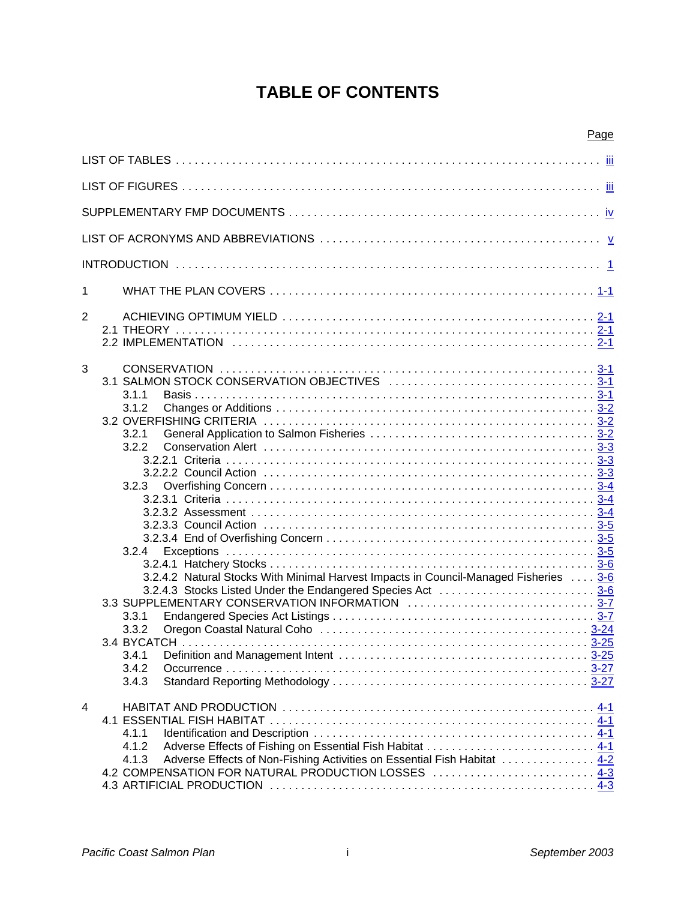# **TABLE OF CONTENTS**

|                |                                                                                      | Page |
|----------------|--------------------------------------------------------------------------------------|------|
|                |                                                                                      |      |
|                |                                                                                      |      |
|                |                                                                                      |      |
|                |                                                                                      |      |
|                |                                                                                      |      |
| 1              |                                                                                      |      |
|                |                                                                                      |      |
| $\overline{2}$ |                                                                                      |      |
|                |                                                                                      |      |
| 3              |                                                                                      |      |
|                |                                                                                      |      |
|                | 3.1.1                                                                                |      |
|                | 3.1.2                                                                                |      |
|                | 3.2.1                                                                                |      |
|                | 3.2.2                                                                                |      |
|                |                                                                                      |      |
|                |                                                                                      |      |
|                | 3.2.3                                                                                |      |
|                |                                                                                      |      |
|                |                                                                                      |      |
|                |                                                                                      |      |
|                | 3.2.4                                                                                |      |
|                |                                                                                      |      |
|                | 3.2.4.2 Natural Stocks With Minimal Harvest Impacts in Council-Managed Fisheries 3-6 |      |
|                |                                                                                      |      |
|                |                                                                                      |      |
|                | 3.3.1                                                                                |      |
|                | 3.3.2                                                                                |      |
|                | 3.4.1                                                                                |      |
|                | 3.4.2                                                                                |      |
|                | 3.4.3                                                                                |      |
| 4              |                                                                                      |      |
|                |                                                                                      |      |
|                | 4.1.1                                                                                |      |
|                | 4.1.2                                                                                |      |
|                | Adverse Effects of Non-Fishing Activities on Essential Fish Habitat  4-2<br>4.1.3    |      |
|                | 4.2 COMPENSATION FOR NATURAL PRODUCTION LOSSES  4-3                                  |      |
|                |                                                                                      |      |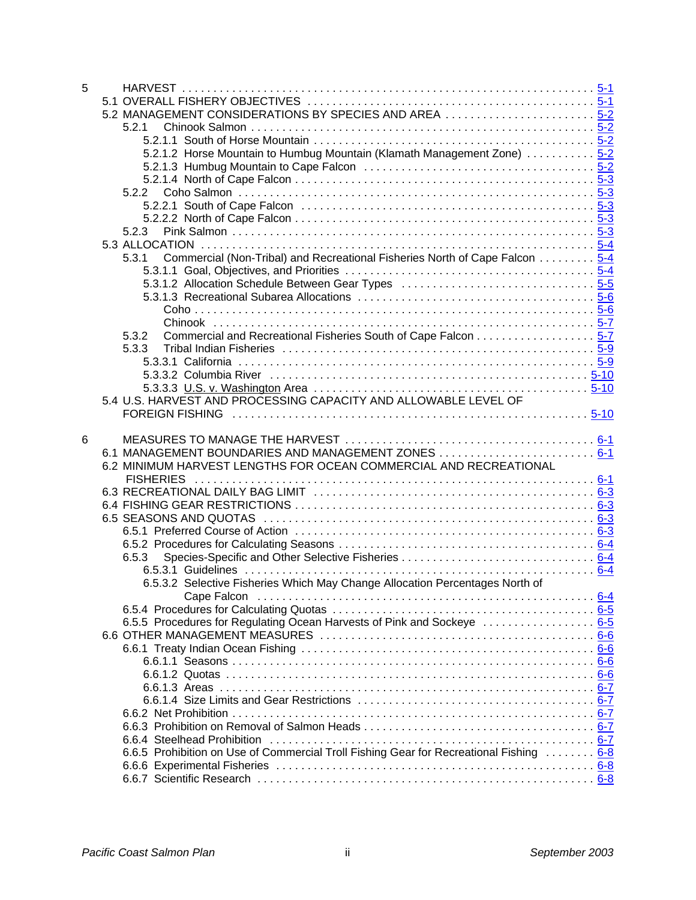| 5 |                                                                                         |  |
|---|-----------------------------------------------------------------------------------------|--|
|   |                                                                                         |  |
|   |                                                                                         |  |
|   | 5.2.1                                                                                   |  |
|   |                                                                                         |  |
|   | 5.2.1.2 Horse Mountain to Humbug Mountain (Klamath Management Zone)  5-2                |  |
|   |                                                                                         |  |
|   |                                                                                         |  |
|   | 5.2.2                                                                                   |  |
|   |                                                                                         |  |
|   |                                                                                         |  |
|   | 5.2.3                                                                                   |  |
|   |                                                                                         |  |
|   |                                                                                         |  |
|   | Commercial (Non-Tribal) and Recreational Fisheries North of Cape Falcon 5-4<br>5.3.1    |  |
|   |                                                                                         |  |
|   |                                                                                         |  |
|   |                                                                                         |  |
|   |                                                                                         |  |
|   |                                                                                         |  |
|   | Commercial and Recreational Fisheries South of Cape Falcon 5-7<br>5.3.2                 |  |
|   | 5.3.3                                                                                   |  |
|   |                                                                                         |  |
|   |                                                                                         |  |
|   |                                                                                         |  |
|   | 5.4 U.S. HARVEST AND PROCESSING CAPACITY AND ALLOWABLE LEVEL OF                         |  |
|   |                                                                                         |  |
|   |                                                                                         |  |
| 6 |                                                                                         |  |
|   | 6.1 MANAGEMENT BOUNDARIES AND MANAGEMENT ZONES  6-1                                     |  |
|   | 6.2 MINIMUM HARVEST LENGTHS FOR OCEAN COMMERCIAL AND RECREATIONAL                       |  |
|   |                                                                                         |  |
|   |                                                                                         |  |
|   |                                                                                         |  |
|   |                                                                                         |  |
|   |                                                                                         |  |
|   |                                                                                         |  |
|   | 6.5.3                                                                                   |  |
|   |                                                                                         |  |
|   |                                                                                         |  |
|   | 6.5.3.2 Selective Fisheries Which May Change Allocation Percentages North of            |  |
|   |                                                                                         |  |
|   |                                                                                         |  |
|   |                                                                                         |  |
|   |                                                                                         |  |
|   |                                                                                         |  |
|   |                                                                                         |  |
|   |                                                                                         |  |
|   |                                                                                         |  |
|   |                                                                                         |  |
|   |                                                                                         |  |
|   |                                                                                         |  |
|   |                                                                                         |  |
|   | 6.6.5 Prohibition on Use of Commercial Troll Fishing Gear for Recreational Fishing  6-8 |  |
|   |                                                                                         |  |
|   |                                                                                         |  |
|   |                                                                                         |  |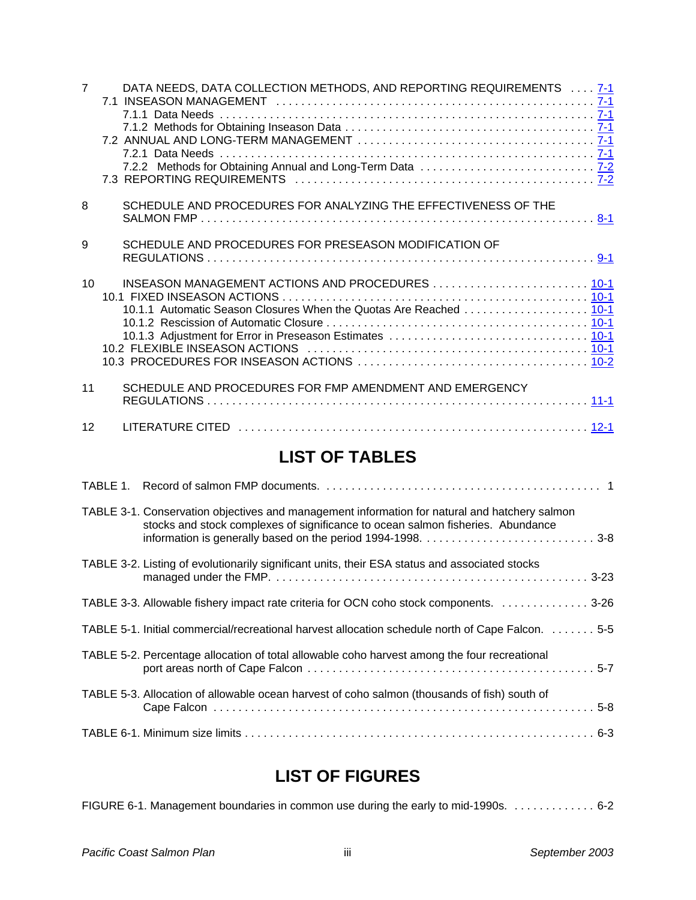| $\overline{7}$  | DATA NEEDS, DATA COLLECTION METHODS, AND REPORTING REQUIREMENTS  7-1                                                   |
|-----------------|------------------------------------------------------------------------------------------------------------------------|
| 8               | SCHEDULE AND PROCEDURES FOR ANALYZING THE EFFECTIVENESS OF THE                                                         |
| 9               | SCHEDULE AND PROCEDURES FOR PRESEASON MODIFICATION OF                                                                  |
| 10 <sup>1</sup> | INSEASON MANAGEMENT ACTIONS AND PROCEDURES  10-1<br>10.1.1 Automatic Season Closures When the Quotas Are Reached  10-1 |
| 11              | SCHEDULE AND PROCEDURES FOR FMP AMENDMENT AND EMERGENCY                                                                |
| 12              |                                                                                                                        |

### **LIST OF TABLES**

| TABLE 3-1. Conservation objectives and management information for natural and hatchery salmon<br>stocks and stock complexes of significance to ocean salmon fisheries. Abundance |
|----------------------------------------------------------------------------------------------------------------------------------------------------------------------------------|
| TABLE 3-2. Listing of evolutionarily significant units, their ESA status and associated stocks                                                                                   |
| TABLE 3-3. Allowable fishery impact rate criteria for OCN coho stock components. 3-26                                                                                            |
| TABLE 5-1. Initial commercial/recreational harvest allocation schedule north of Cape Falcon. 5-5                                                                                 |
| TABLE 5-2. Percentage allocation of total allowable coho harvest among the four recreational                                                                                     |
| TABLE 5-3. Allocation of allowable ocean harvest of coho salmon (thousands of fish) south of                                                                                     |
|                                                                                                                                                                                  |

## **LIST OF FIGURES**

| FIGURE 6-1. Management boundaries in common use during the early to mid-1990s. 6-2 |  |
|------------------------------------------------------------------------------------|--|
|------------------------------------------------------------------------------------|--|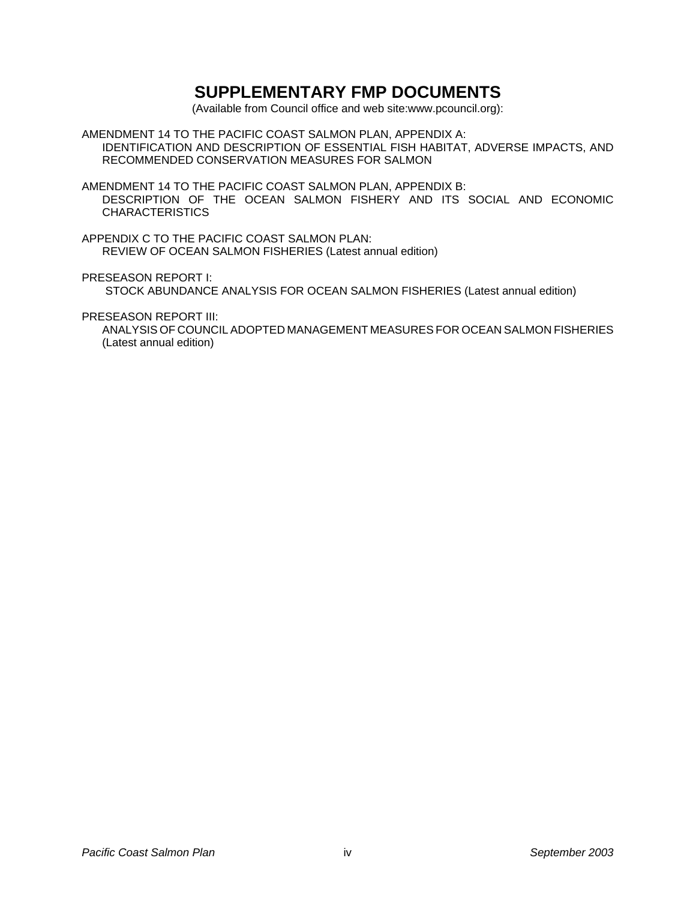### **SUPPLEMENTARY FMP DOCUMENTS**

(Available from Council office and web site:www.pcouncil.org):

AMENDMENT 14 TO THE PACIFIC COAST SALMON PLAN, APPENDIX A: IDENTIFICATION AND DESCRIPTION OF ESSENTIAL FISH HABITAT, ADVERSE IMPACTS, AND RECOMMENDED CONSERVATION MEASURES FOR SALMON

AMENDMENT 14 TO THE PACIFIC COAST SALMON PLAN, APPENDIX B: DESCRIPTION OF THE OCEAN SALMON FISHERY AND ITS SOCIAL AND ECONOMIC CHARACTERISTICS

APPENDIX C TO THE PACIFIC COAST SALMON PLAN: REVIEW OF OCEAN SALMON FISHERIES (Latest annual edition)

PRESEASON REPORT I:

STOCK ABUNDANCE ANALYSIS FOR OCEAN SALMON FISHERIES (Latest annual edition)

PRESEASON REPORT III:

ANALYSIS OF COUNCIL ADOPTED MANAGEMENT MEASURES FOR OCEAN SALMON FISHERIES (Latest annual edition)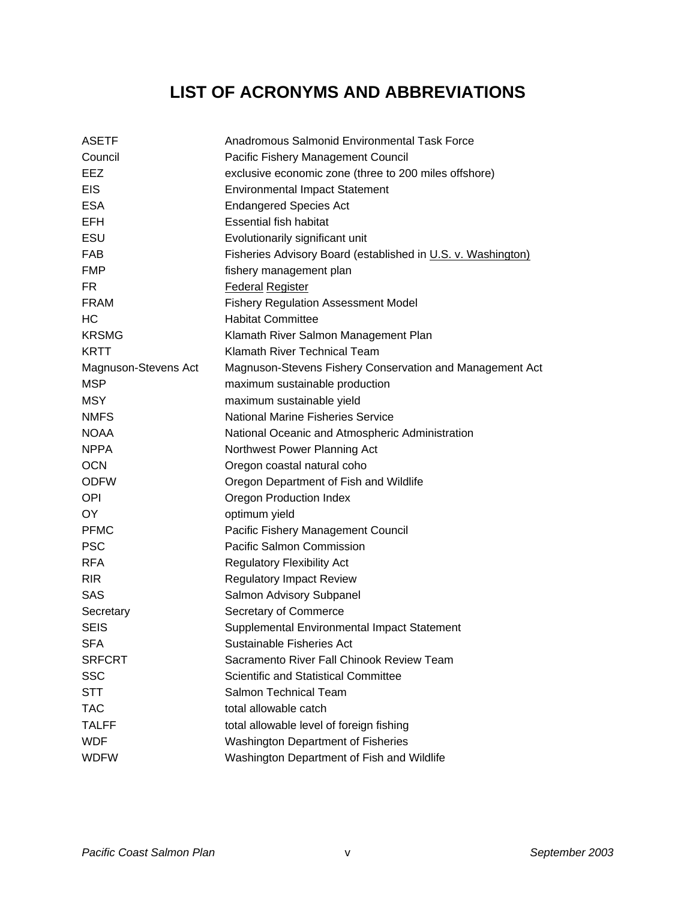# **LIST OF ACRONYMS AND ABBREVIATIONS**

| <b>ASETF</b>         | Anadromous Salmonid Environmental Task Force                 |
|----------------------|--------------------------------------------------------------|
| Council              | Pacific Fishery Management Council                           |
| EEZ                  | exclusive economic zone (three to 200 miles offshore)        |
| <b>EIS</b>           | <b>Environmental Impact Statement</b>                        |
| <b>ESA</b>           | <b>Endangered Species Act</b>                                |
| <b>EFH</b>           | <b>Essential fish habitat</b>                                |
| ESU                  | Evolutionarily significant unit                              |
| <b>FAB</b>           | Fisheries Advisory Board (established in U.S. v. Washington) |
| <b>FMP</b>           | fishery management plan                                      |
| FR.                  | Federal Register                                             |
| <b>FRAM</b>          | <b>Fishery Regulation Assessment Model</b>                   |
| HC                   | <b>Habitat Committee</b>                                     |
| <b>KRSMG</b>         | Klamath River Salmon Management Plan                         |
| <b>KRTT</b>          | Klamath River Technical Team                                 |
| Magnuson-Stevens Act | Magnuson-Stevens Fishery Conservation and Management Act     |
| <b>MSP</b>           | maximum sustainable production                               |
| <b>MSY</b>           | maximum sustainable yield                                    |
| <b>NMFS</b>          | <b>National Marine Fisheries Service</b>                     |
| <b>NOAA</b>          | National Oceanic and Atmospheric Administration              |
| <b>NPPA</b>          | Northwest Power Planning Act                                 |
| <b>OCN</b>           | Oregon coastal natural coho                                  |
| <b>ODFW</b>          | Oregon Department of Fish and Wildlife                       |
| <b>OPI</b>           | Oregon Production Index                                      |
| OY.                  | optimum yield                                                |
| <b>PFMC</b>          | Pacific Fishery Management Council                           |
| <b>PSC</b>           | Pacific Salmon Commission                                    |
| <b>RFA</b>           | <b>Regulatory Flexibility Act</b>                            |
| <b>RIR</b>           | <b>Regulatory Impact Review</b>                              |
| <b>SAS</b>           | Salmon Advisory Subpanel                                     |
| Secretary            | Secretary of Commerce                                        |
| <b>SEIS</b>          | Supplemental Environmental Impact Statement                  |
| SFA                  | Sustainable Fisheries Act                                    |
| <b>SRFCRT</b>        | Sacramento River Fall Chinook Review Team                    |
| <b>SSC</b>           | <b>Scientific and Statistical Committee</b>                  |
| <b>STT</b>           | Salmon Technical Team                                        |
| <b>TAC</b>           | total allowable catch                                        |
| <b>TALFF</b>         | total allowable level of foreign fishing                     |
| <b>WDF</b>           | <b>Washington Department of Fisheries</b>                    |
| <b>WDFW</b>          | Washington Department of Fish and Wildlife                   |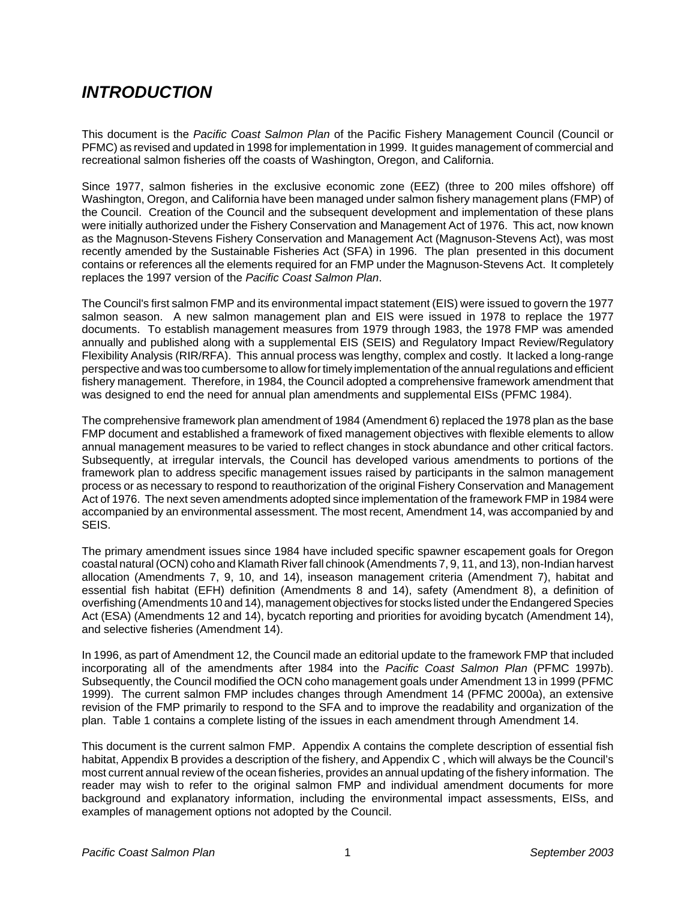### *INTRODUCTION*

This document is the *Pacific Coast Salmon Plan* of the Pacific Fishery Management Council (Council or PFMC) as revised and updated in 1998 for implementation in 1999. It guides management of commercial and recreational salmon fisheries off the coasts of Washington, Oregon, and California.

Since 1977, salmon fisheries in the exclusive economic zone (EEZ) (three to 200 miles offshore) off Washington, Oregon, and California have been managed under salmon fishery management plans (FMP) of the Council. Creation of the Council and the subsequent development and implementation of these plans were initially authorized under the Fishery Conservation and Management Act of 1976. This act, now known as the Magnuson-Stevens Fishery Conservation and Management Act (Magnuson-Stevens Act), was most recently amended by the Sustainable Fisheries Act (SFA) in 1996. The plan presented in this document contains or references all the elements required for an FMP under the Magnuson-Stevens Act. It completely replaces the 1997 version of the *Pacific Coast Salmon Plan*.

The Council's first salmon FMP and its environmental impact statement (EIS) were issued to govern the 1977 salmon season. A new salmon management plan and EIS were issued in 1978 to replace the 1977 documents. To establish management measures from 1979 through 1983, the 1978 FMP was amended annually and published along with a supplemental EIS (SEIS) and Regulatory Impact Review/Regulatory Flexibility Analysis (RIR/RFA). This annual process was lengthy, complex and costly. It lacked a long-range perspective and was too cumbersome to allow for timely implementation of the annual regulations and efficient fishery management. Therefore, in 1984, the Council adopted a comprehensive framework amendment that was designed to end the need for annual plan amendments and supplemental EISs (PFMC 1984).

The comprehensive framework plan amendment of 1984 (Amendment 6) replaced the 1978 plan as the base FMP document and established a framework of fixed management objectives with flexible elements to allow annual management measures to be varied to reflect changes in stock abundance and other critical factors. Subsequently, at irregular intervals, the Council has developed various amendments to portions of the framework plan to address specific management issues raised by participants in the salmon management process or as necessary to respond to reauthorization of the original Fishery Conservation and Management Act of 1976. The next seven amendments adopted since implementation of the framework FMP in 1984 were accompanied by an environmental assessment. The most recent, Amendment 14, was accompanied by and SEIS.

The primary amendment issues since 1984 have included specific spawner escapement goals for Oregon coastal natural (OCN) coho and Klamath River fall chinook (Amendments 7, 9, 11, and 13), non-Indian harvest allocation (Amendments 7, 9, 10, and 14), inseason management criteria (Amendment 7), habitat and essential fish habitat (EFH) definition (Amendments 8 and 14), safety (Amendment 8), a definition of overfishing (Amendments 10 and 14), management objectives for stocks listed under the Endangered Species Act (ESA) (Amendments 12 and 14), bycatch reporting and priorities for avoiding bycatch (Amendment 14), and selective fisheries (Amendment 14).

In 1996, as part of Amendment 12, the Council made an editorial update to the framework FMP that included incorporating all of the amendments after 1984 into the *Pacific Coast Salmon Plan* (PFMC 1997b). Subsequently, the Council modified the OCN coho management goals under Amendment 13 in 1999 (PFMC 1999). The current salmon FMP includes changes through Amendment 14 (PFMC 2000a), an extensive revision of the FMP primarily to respond to the SFA and to improve the readability and organization of the plan. Table 1 contains a complete listing of the issues in each amendment through Amendment 14.

This document is the current salmon FMP. Appendix A contains the complete description of essential fish habitat, Appendix B provides a description of the fishery, and Appendix C , which will always be the Council's most current annual review of the ocean fisheries, provides an annual updating of the fishery information. The reader may wish to refer to the original salmon FMP and individual amendment documents for more background and explanatory information, including the environmental impact assessments, EISs, and examples of management options not adopted by the Council.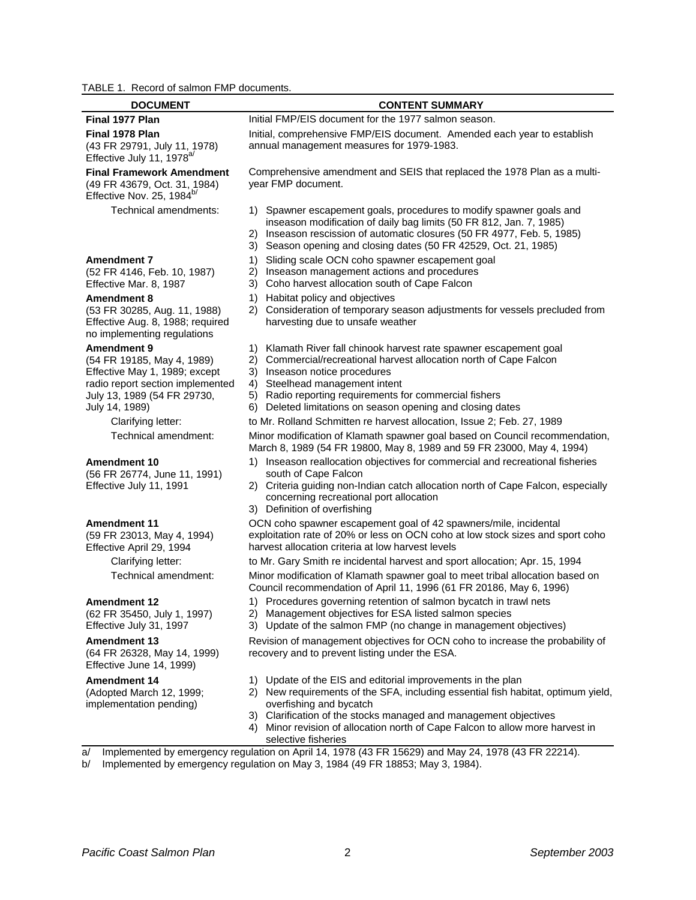### TABLE 1. Record of salmon FMP documents.

| <b>DOCUMENT</b>                                                                                                                                                        | <b>CONTENT SUMMARY</b>                                                                                                                                                                                                                                                                                                                                                                                                                         |
|------------------------------------------------------------------------------------------------------------------------------------------------------------------------|------------------------------------------------------------------------------------------------------------------------------------------------------------------------------------------------------------------------------------------------------------------------------------------------------------------------------------------------------------------------------------------------------------------------------------------------|
| Final 1977 Plan                                                                                                                                                        | Initial FMP/EIS document for the 1977 salmon season.                                                                                                                                                                                                                                                                                                                                                                                           |
| Final 1978 Plan<br>(43 FR 29791, July 11, 1978)<br>Effective July 11, 1978 <sup>a/</sup>                                                                               | Initial, comprehensive FMP/EIS document. Amended each year to establish<br>annual management measures for 1979-1983.                                                                                                                                                                                                                                                                                                                           |
| <b>Final Framework Amendment</b><br>(49 FR 43679, Oct. 31, 1984)<br>Effective Nov. 25, 1984 <sup>b/</sup>                                                              | Comprehensive amendment and SEIS that replaced the 1978 Plan as a multi-<br>year FMP document.                                                                                                                                                                                                                                                                                                                                                 |
| Technical amendments:                                                                                                                                                  | Spawner escapement goals, procedures to modify spawner goals and<br>1)<br>inseason modification of daily bag limits (50 FR 812, Jan. 7, 1985)<br>Inseason rescission of automatic closures (50 FR 4977, Feb. 5, 1985)<br>2)<br>Season opening and closing dates (50 FR 42529, Oct. 21, 1985)<br>3)                                                                                                                                             |
| <b>Amendment 7</b><br>(52 FR 4146, Feb. 10, 1987)<br>Effective Mar. 8, 1987                                                                                            | Sliding scale OCN coho spawner escapement goal<br>1)<br>2)<br>Inseason management actions and procedures<br>Coho harvest allocation south of Cape Falcon<br>3)                                                                                                                                                                                                                                                                                 |
| <b>Amendment 8</b><br>(53 FR 30285, Aug. 11, 1988)<br>Effective Aug. 8, 1988; required<br>no implementing regulations                                                  | Habitat policy and objectives<br>1)<br>Consideration of temporary season adjustments for vessels precluded from<br>2)<br>harvesting due to unsafe weather                                                                                                                                                                                                                                                                                      |
| <b>Amendment 9</b><br>(54 FR 19185, May 4, 1989)<br>Effective May 1, 1989; except<br>radio report section implemented<br>July 13, 1989 (54 FR 29730,<br>July 14, 1989) | Klamath River fall chinook harvest rate spawner escapement goal<br>1)<br>Commercial/recreational harvest allocation north of Cape Falcon<br>2)<br>Inseason notice procedures<br>3)<br>Steelhead management intent<br>4)<br>Radio reporting requirements for commercial fishers<br>5)<br>Deleted limitations on season opening and closing dates<br>6)                                                                                          |
| Clarifying letter:                                                                                                                                                     | to Mr. Rolland Schmitten re harvest allocation, Issue 2; Feb. 27, 1989                                                                                                                                                                                                                                                                                                                                                                         |
| Technical amendment:                                                                                                                                                   | Minor modification of Klamath spawner goal based on Council recommendation,<br>March 8, 1989 (54 FR 19800, May 8, 1989 and 59 FR 23000, May 4, 1994)                                                                                                                                                                                                                                                                                           |
| <b>Amendment 10</b><br>(56 FR 26774, June 11, 1991)<br>Effective July 11, 1991                                                                                         | 1) Inseason reallocation objectives for commercial and recreational fisheries<br>south of Cape Falcon<br>2) Criteria guiding non-Indian catch allocation north of Cape Falcon, especially<br>concerning recreational port allocation<br>3) Definition of overfishing                                                                                                                                                                           |
| <b>Amendment 11</b><br>(59 FR 23013, May 4, 1994)<br>Effective April 29, 1994<br>Clarifying letter:<br>Technical amendment:                                            | OCN coho spawner escapement goal of 42 spawners/mile, incidental<br>exploitation rate of 20% or less on OCN coho at low stock sizes and sport coho<br>harvest allocation criteria at low harvest levels<br>to Mr. Gary Smith re incidental harvest and sport allocation; Apr. 15, 1994<br>Minor modification of Klamath spawner goal to meet tribal allocation based on<br>Council recommendation of April 11, 1996 (61 FR 20186, May 6, 1996) |
| <b>Amendment 12</b><br>(62 FR 35450, July 1, 1997)<br>Effective July 31, 1997                                                                                          | 1)<br>Procedures governing retention of salmon bycatch in trawl nets<br>Management objectives for ESA listed salmon species<br>2)<br>Update of the salmon FMP (no change in management objectives)<br>3)                                                                                                                                                                                                                                       |
| <b>Amendment 13</b><br>(64 FR 26328, May 14, 1999)<br>Effective June 14, 1999)                                                                                         | Revision of management objectives for OCN coho to increase the probability of<br>recovery and to prevent listing under the ESA.                                                                                                                                                                                                                                                                                                                |
| <b>Amendment 14</b><br>(Adopted March 12, 1999;<br>implementation pending)                                                                                             | Update of the EIS and editorial improvements in the plan<br>1)<br>New requirements of the SFA, including essential fish habitat, optimum yield,<br>2)<br>overfishing and bycatch                                                                                                                                                                                                                                                               |

- overfishing and bycatch 3) Clarification of the stocks managed and management objectives
- 4) Minor revision of allocation north of Cape Falcon to allow more harvest in
- selective fisheries

a/ Implemented by emergency regulation on April 14, 1978 (43 FR 15629) and May 24, 1978 (43 FR 22214).

b/ Implemented by emergency regulation on May 3, 1984 (49 FR 18853; May 3, 1984).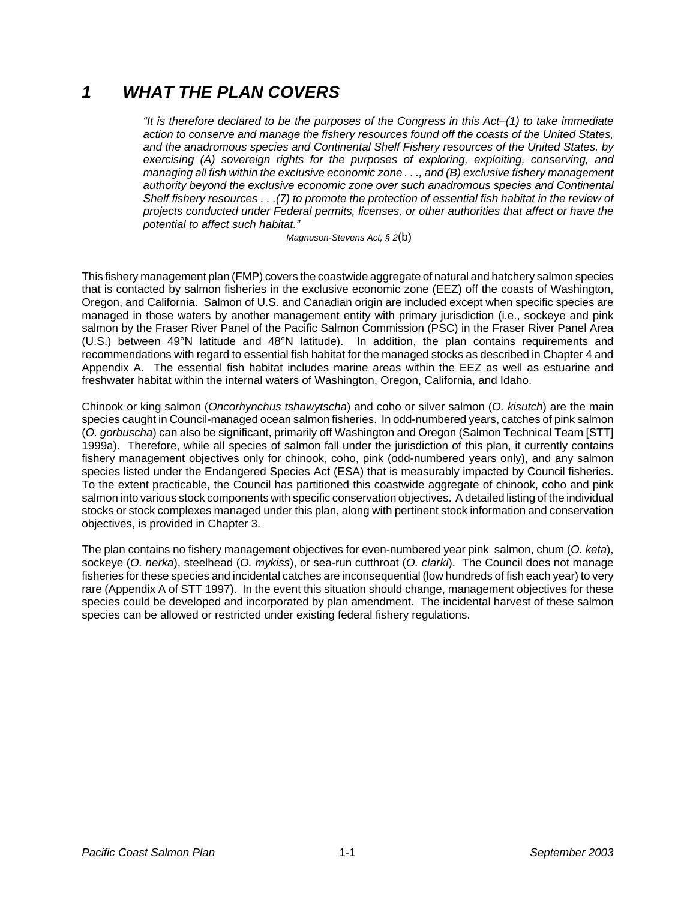### *1 WHAT THE PLAN COVERS*

*"It is therefore declared to be the purposes of the Congress in this Act–(1) to take immediate action to conserve and manage the fishery resources found off the coasts of the United States, and the anadromous species and Continental Shelf Fishery resources of the United States, by exercising (A) sovereign rights for the purposes of exploring, exploiting, conserving, and managing all fish within the exclusive economic zone . . ., and (B) exclusive fishery management authority beyond the exclusive economic zone over such anadromous species and Continental Shelf fishery resources . . .(7) to promote the protection of essential fish habitat in the review of projects conducted under Federal permits, licenses, or other authorities that affect or have the potential to affect such habitat."*

*Magnuson-Stevens Act, § 2*(b)

This fishery management plan (FMP) covers the coastwide aggregate of natural and hatchery salmon species that is contacted by salmon fisheries in the exclusive economic zone (EEZ) off the coasts of Washington, Oregon, and California. Salmon of U.S. and Canadian origin are included except when specific species are managed in those waters by another management entity with primary jurisdiction (i.e., sockeye and pink salmon by the Fraser River Panel of the Pacific Salmon Commission (PSC) in the Fraser River Panel Area (U.S.) between 49°N latitude and 48°N latitude). In addition, the plan contains requirements and recommendations with regard to essential fish habitat for the managed stocks as described in Chapter 4 and Appendix A. The essential fish habitat includes marine areas within the EEZ as well as estuarine and freshwater habitat within the internal waters of Washington, Oregon, California, and Idaho.

Chinook or king salmon (*Oncorhynchus tshawytscha*) and coho or silver salmon (*O. kisutch*) are the main species caught in Council-managed ocean salmon fisheries. In odd-numbered years, catches of pink salmon (*O. gorbuscha*) can also be significant, primarily off Washington and Oregon (Salmon Technical Team [STT] 1999a). Therefore, while all species of salmon fall under the jurisdiction of this plan, it currently contains fishery management objectives only for chinook, coho, pink (odd-numbered years only), and any salmon species listed under the Endangered Species Act (ESA) that is measurably impacted by Council fisheries. To the extent practicable, the Council has partitioned this coastwide aggregate of chinook, coho and pink salmon into various stock components with specific conservation objectives. A detailed listing of the individual stocks or stock complexes managed under this plan, along with pertinent stock information and conservation objectives, is provided in Chapter 3.

The plan contains no fishery management objectives for even-numbered year pink salmon, chum (*O. keta*), sockeye (*O. nerka*), steelhead (*O. mykiss*), or sea-run cutthroat (*O. clarki*). The Council does not manage fisheries for these species and incidental catches are inconsequential (low hundreds of fish each year) to very rare (Appendix A of STT 1997). In the event this situation should change, management objectives for these species could be developed and incorporated by plan amendment. The incidental harvest of these salmon species can be allowed or restricted under existing federal fishery regulations.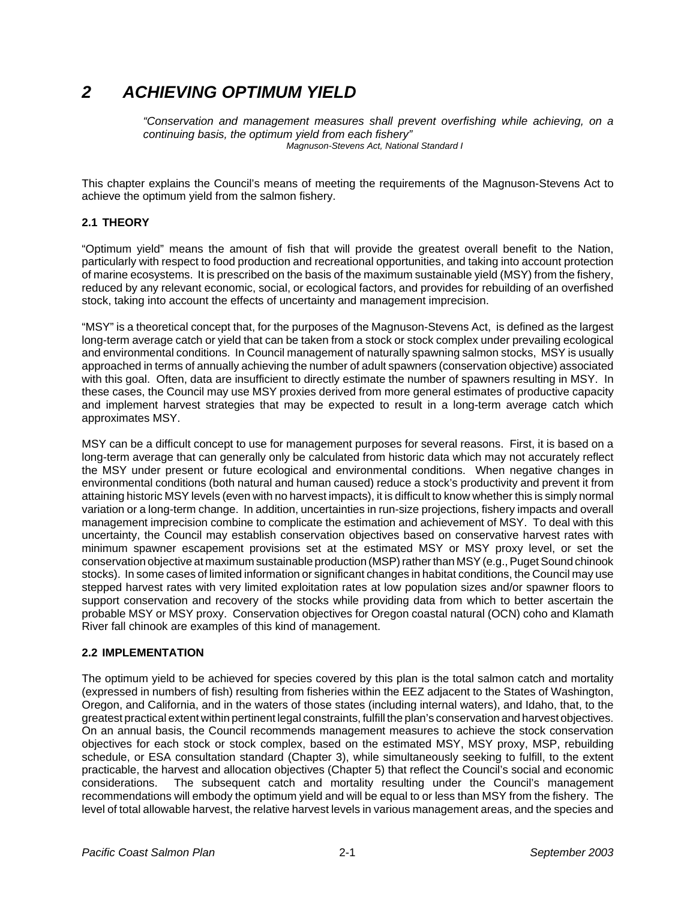### *2 ACHIEVING OPTIMUM YIELD*

*"Conservation and management measures shall prevent overfishing while achieving, on a continuing basis, the optimum yield from each fishery" Magnuson-Stevens Act, National Standard I*

This chapter explains the Council's means of meeting the requirements of the Magnuson-Stevens Act to achieve the optimum yield from the salmon fishery.

#### **2.1 THEORY**

"Optimum yield" means the amount of fish that will provide the greatest overall benefit to the Nation, particularly with respect to food production and recreational opportunities, and taking into account protection of marine ecosystems. It is prescribed on the basis of the maximum sustainable yield (MSY) from the fishery, reduced by any relevant economic, social, or ecological factors, and provides for rebuilding of an overfished stock, taking into account the effects of uncertainty and management imprecision.

"MSY" is a theoretical concept that, for the purposes of the Magnuson-Stevens Act, is defined as the largest long-term average catch or yield that can be taken from a stock or stock complex under prevailing ecological and environmental conditions. In Council management of naturally spawning salmon stocks, MSY is usually approached in terms of annually achieving the number of adult spawners (conservation objective) associated with this goal. Often, data are insufficient to directly estimate the number of spawners resulting in MSY. In these cases, the Council may use MSY proxies derived from more general estimates of productive capacity and implement harvest strategies that may be expected to result in a long-term average catch which approximates MSY.

MSY can be a difficult concept to use for management purposes for several reasons. First, it is based on a long-term average that can generally only be calculated from historic data which may not accurately reflect the MSY under present or future ecological and environmental conditions. When negative changes in environmental conditions (both natural and human caused) reduce a stock's productivity and prevent it from attaining historic MSY levels (even with no harvest impacts), it is difficult to know whether this is simply normal variation or a long-term change. In addition, uncertainties in run-size projections, fishery impacts and overall management imprecision combine to complicate the estimation and achievement of MSY. To deal with this uncertainty, the Council may establish conservation objectives based on conservative harvest rates with minimum spawner escapement provisions set at the estimated MSY or MSY proxy level, or set the conservation objective at maximum sustainable production (MSP) rather than MSY (e.g., Puget Sound chinook stocks). In some cases of limited information or significant changes in habitat conditions, the Council may use stepped harvest rates with very limited exploitation rates at low population sizes and/or spawner floors to support conservation and recovery of the stocks while providing data from which to better ascertain the probable MSY or MSY proxy. Conservation objectives for Oregon coastal natural (OCN) coho and Klamath River fall chinook are examples of this kind of management.

#### **2.2 IMPLEMENTATION**

The optimum yield to be achieved for species covered by this plan is the total salmon catch and mortality (expressed in numbers of fish) resulting from fisheries within the EEZ adjacent to the States of Washington, Oregon, and California, and in the waters of those states (including internal waters), and Idaho, that, to the greatest practical extent within pertinent legal constraints, fulfill the plan's conservation and harvest objectives. On an annual basis, the Council recommends management measures to achieve the stock conservation objectives for each stock or stock complex, based on the estimated MSY, MSY proxy, MSP, rebuilding schedule, or ESA consultation standard (Chapter 3), while simultaneously seeking to fulfill, to the extent practicable, the harvest and allocation objectives (Chapter 5) that reflect the Council's social and economic considerations. The subsequent catch and mortality resulting under the Council's management recommendations will embody the optimum yield and will be equal to or less than MSY from the fishery. The level of total allowable harvest, the relative harvest levels in various management areas, and the species and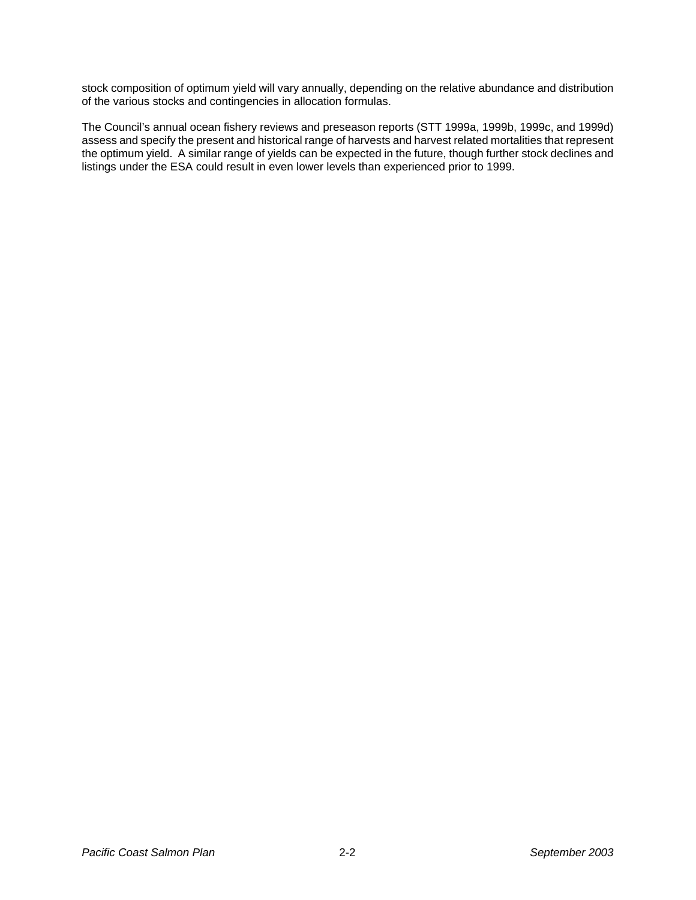stock composition of optimum yield will vary annually, depending on the relative abundance and distribution of the various stocks and contingencies in allocation formulas.

The Council's annual ocean fishery reviews and preseason reports (STT 1999a, 1999b, 1999c, and 1999d) assess and specify the present and historical range of harvests and harvest related mortalities that represent the optimum yield. A similar range of yields can be expected in the future, though further stock declines and listings under the ESA could result in even lower levels than experienced prior to 1999.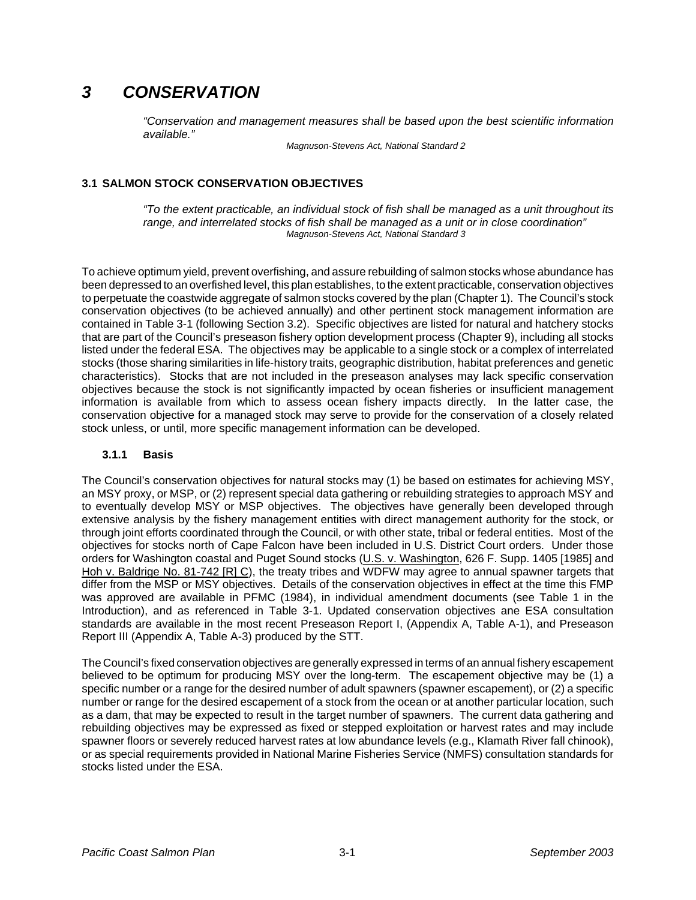### *3 CONSERVATION*

*"Conservation and management measures shall be based upon the best scientific information available."*

*Magnuson-Stevens Act, National Standard 2*

#### **3.1 SALMON STOCK CONSERVATION OBJECTIVES**

*"To the extent practicable, an individual stock of fish shall be managed as a unit throughout its range, and interrelated stocks of fish shall be managed as a unit or in close coordination" Magnuson-Stevens Act, National Standard 3*

To achieve optimum yield, prevent overfishing, and assure rebuilding of salmon stocks whose abundance has been depressed to an overfished level, this plan establishes, to the extent practicable, conservation objectives to perpetuate the coastwide aggregate of salmon stocks covered by the plan (Chapter 1). The Council's stock conservation objectives (to be achieved annually) and other pertinent stock management information are contained in Table 3-1 (following Section 3.2). Specific objectives are listed for natural and hatchery stocks that are part of the Council's preseason fishery option development process (Chapter 9), including all stocks listed under the federal ESA. The objectives may be applicable to a single stock or a complex of interrelated stocks (those sharing similarities in life-history traits, geographic distribution, habitat preferences and genetic characteristics). Stocks that are not included in the preseason analyses may lack specific conservation objectives because the stock is not significantly impacted by ocean fisheries or insufficient management information is available from which to assess ocean fishery impacts directly. In the latter case, the conservation objective for a managed stock may serve to provide for the conservation of a closely related stock unless, or until, more specific management information can be developed.

#### **3.1.1 Basis**

The Council's conservation objectives for natural stocks may (1) be based on estimates for achieving MSY, an MSY proxy, or MSP, or (2) represent special data gathering or rebuilding strategies to approach MSY and to eventually develop MSY or MSP objectives. The objectives have generally been developed through extensive analysis by the fishery management entities with direct management authority for the stock, or through joint efforts coordinated through the Council, or with other state, tribal or federal entities. Most of the objectives for stocks north of Cape Falcon have been included in U.S. District Court orders. Under those orders for Washington coastal and Puget Sound stocks (U.S. v. Washington, 626 F. Supp. 1405 [1985] and Hoh v. Baldrige No. 81-742 [R] C), the treaty tribes and WDFW may agree to annual spawner targets that differ from the MSP or MSY objectives. Details of the conservation objectives in effect at the time this FMP was approved are available in PFMC (1984), in individual amendment documents (see Table 1 in the Introduction), and as referenced in Table 3-1. Updated conservation objectives ane ESA consultation standards are available in the most recent Preseason Report I, (Appendix A, Table A-1), and Preseason Report III (Appendix A, Table A-3) produced by the STT.

The Council's fixed conservation objectives are generally expressed in terms of an annual fishery escapement believed to be optimum for producing MSY over the long-term. The escapement objective may be (1) a specific number or a range for the desired number of adult spawners (spawner escapement), or (2) a specific number or range for the desired escapement of a stock from the ocean or at another particular location, such as a dam, that may be expected to result in the target number of spawners. The current data gathering and rebuilding objectives may be expressed as fixed or stepped exploitation or harvest rates and may include spawner floors or severely reduced harvest rates at low abundance levels (e.g., Klamath River fall chinook), or as special requirements provided in National Marine Fisheries Service (NMFS) consultation standards for stocks listed under the ESA.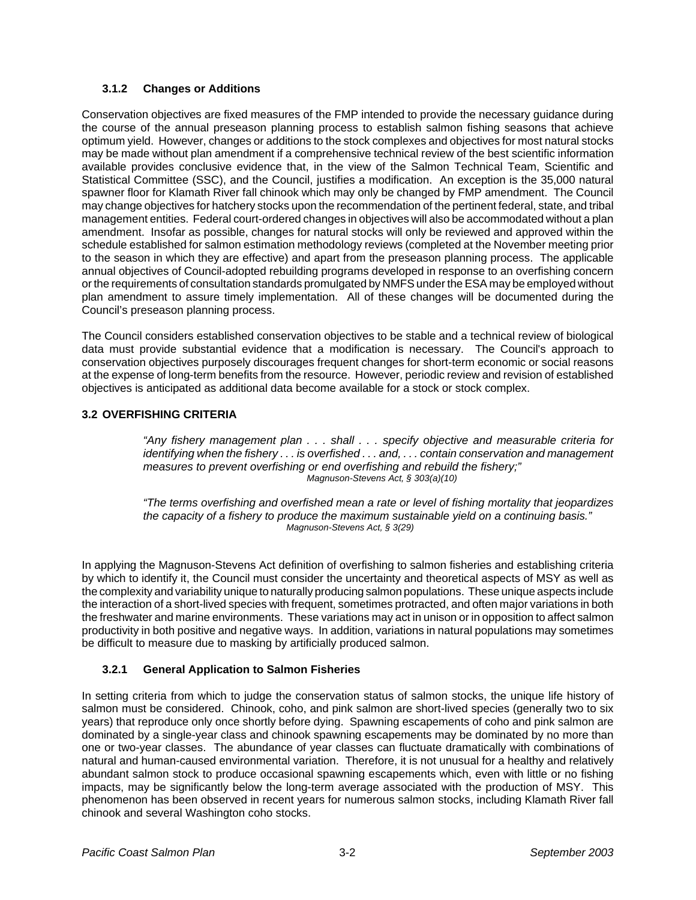#### **3.1.2 Changes or Additions**

Conservation objectives are fixed measures of the FMP intended to provide the necessary guidance during the course of the annual preseason planning process to establish salmon fishing seasons that achieve optimum yield. However, changes or additions to the stock complexes and objectives for most natural stocks may be made without plan amendment if a comprehensive technical review of the best scientific information available provides conclusive evidence that, in the view of the Salmon Technical Team, Scientific and Statistical Committee (SSC), and the Council, justifies a modification. An exception is the 35,000 natural spawner floor for Klamath River fall chinook which may only be changed by FMP amendment. The Council may change objectives for hatchery stocks upon the recommendation of the pertinent federal, state, and tribal management entities. Federal court-ordered changes in objectives will also be accommodated without a plan amendment. Insofar as possible, changes for natural stocks will only be reviewed and approved within the schedule established for salmon estimation methodology reviews (completed at the November meeting prior to the season in which they are effective) and apart from the preseason planning process. The applicable annual objectives of Council-adopted rebuilding programs developed in response to an overfishing concern or the requirements of consultation standards promulgated by NMFS under the ESA may be employed without plan amendment to assure timely implementation. All of these changes will be documented during the Council's preseason planning process.

The Council considers established conservation objectives to be stable and a technical review of biological data must provide substantial evidence that a modification is necessary. The Council's approach to conservation objectives purposely discourages frequent changes for short-term economic or social reasons at the expense of long-term benefits from the resource. However, periodic review and revision of established objectives is anticipated as additional data become available for a stock or stock complex.

#### **3.2 OVERFISHING CRITERIA**

*"Any fishery management plan . . . shall . . . specify objective and measurable criteria for identifying when the fishery . . . is overfished . . . and, . . . contain conservation and management measures to prevent overfishing or end overfishing and rebuild the fishery;" Magnuson-Stevens Act, § 303(a)(10)*

*"The terms overfishing and overfished mean a rate or level of fishing mortality that jeopardizes the capacity of a fishery to produce the maximum sustainable yield on a continuing basis." Magnuson-Stevens Act, § 3(29)*

In applying the Magnuson-Stevens Act definition of overfishing to salmon fisheries and establishing criteria by which to identify it, the Council must consider the uncertainty and theoretical aspects of MSY as well as the complexity and variability unique to naturally producing salmon populations. These unique aspects include the interaction of a short-lived species with frequent, sometimes protracted, and often major variations in both the freshwater and marine environments. These variations may act in unison or in opposition to affect salmon productivity in both positive and negative ways. In addition, variations in natural populations may sometimes be difficult to measure due to masking by artificially produced salmon.

#### **3.2.1 General Application to Salmon Fisheries**

In setting criteria from which to judge the conservation status of salmon stocks, the unique life history of salmon must be considered. Chinook, coho, and pink salmon are short-lived species (generally two to six years) that reproduce only once shortly before dying. Spawning escapements of coho and pink salmon are dominated by a single-year class and chinook spawning escapements may be dominated by no more than one or two-year classes. The abundance of year classes can fluctuate dramatically with combinations of natural and human-caused environmental variation. Therefore, it is not unusual for a healthy and relatively abundant salmon stock to produce occasional spawning escapements which, even with little or no fishing impacts, may be significantly below the long-term average associated with the production of MSY. This phenomenon has been observed in recent years for numerous salmon stocks, including Klamath River fall chinook and several Washington coho stocks.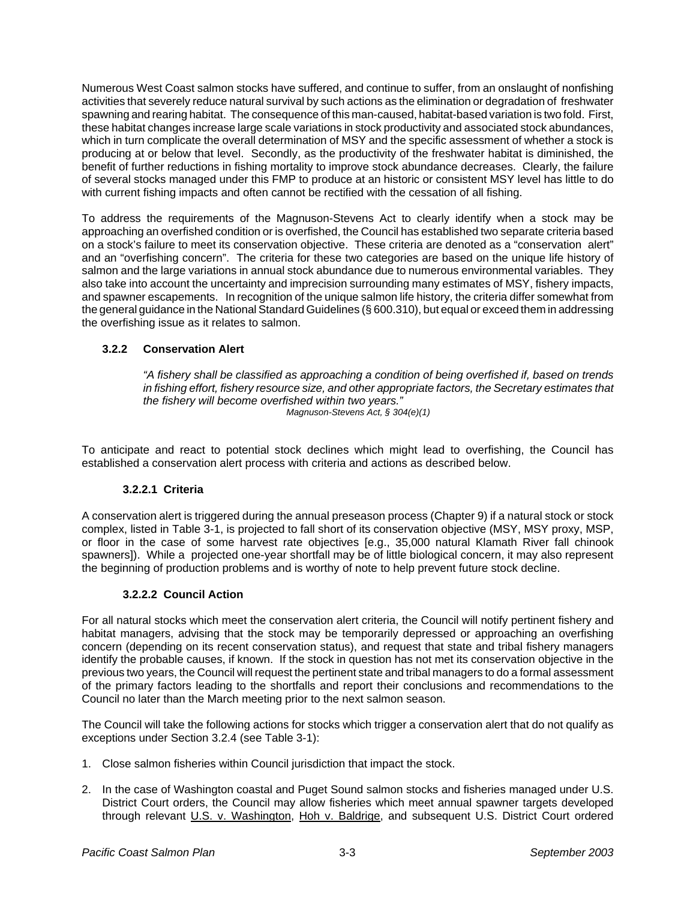Numerous West Coast salmon stocks have suffered, and continue to suffer, from an onslaught of nonfishing activities that severely reduce natural survival by such actions as the elimination or degradation of freshwater spawning and rearing habitat. The consequence of this man-caused, habitat-based variation is two fold. First, these habitat changes increase large scale variations in stock productivity and associated stock abundances, which in turn complicate the overall determination of MSY and the specific assessment of whether a stock is producing at or below that level. Secondly, as the productivity of the freshwater habitat is diminished, the benefit of further reductions in fishing mortality to improve stock abundance decreases. Clearly, the failure of several stocks managed under this FMP to produce at an historic or consistent MSY level has little to do with current fishing impacts and often cannot be rectified with the cessation of all fishing.

To address the requirements of the Magnuson-Stevens Act to clearly identify when a stock may be approaching an overfished condition or is overfished, the Council has established two separate criteria based on a stock's failure to meet its conservation objective. These criteria are denoted as a "conservation alert" and an "overfishing concern". The criteria for these two categories are based on the unique life history of salmon and the large variations in annual stock abundance due to numerous environmental variables. They also take into account the uncertainty and imprecision surrounding many estimates of MSY, fishery impacts, and spawner escapements. In recognition of the unique salmon life history, the criteria differ somewhat from the general guidance in the National Standard Guidelines (§ 600.310), but equal or exceed them in addressing the overfishing issue as it relates to salmon.

#### **3.2.2 Conservation Alert**

*"A fishery shall be classified as approaching a condition of being overfished if, based on trends in fishing effort, fishery resource size, and other appropriate factors, the Secretary estimates that the fishery will become overfished within two years." Magnuson-Stevens Act, § 304(e)(1)*

To anticipate and react to potential stock declines which might lead to overfishing, the Council has established a conservation alert process with criteria and actions as described below.

#### **3.2.2.1 Criteria**

A conservation alert is triggered during the annual preseason process (Chapter 9) if a natural stock or stock complex, listed in Table 3-1, is projected to fall short of its conservation objective (MSY, MSY proxy, MSP, or floor in the case of some harvest rate objectives [e.g., 35,000 natural Klamath River fall chinook spawners]). While a projected one-year shortfall may be of little biological concern, it may also represent the beginning of production problems and is worthy of note to help prevent future stock decline.

#### **3.2.2.2 Council Action**

For all natural stocks which meet the conservation alert criteria, the Council will notify pertinent fishery and habitat managers, advising that the stock may be temporarily depressed or approaching an overfishing concern (depending on its recent conservation status), and request that state and tribal fishery managers identify the probable causes, if known. If the stock in question has not met its conservation objective in the previous two years, the Council will request the pertinent state and tribal managers to do a formal assessment of the primary factors leading to the shortfalls and report their conclusions and recommendations to the Council no later than the March meeting prior to the next salmon season.

The Council will take the following actions for stocks which trigger a conservation alert that do not qualify as exceptions under Section 3.2.4 (see Table 3-1):

- 1. Close salmon fisheries within Council jurisdiction that impact the stock.
- 2. In the case of Washington coastal and Puget Sound salmon stocks and fisheries managed under U.S. District Court orders, the Council may allow fisheries which meet annual spawner targets developed through relevant U.S. v. Washington, Hoh v. Baldrige, and subsequent U.S. District Court ordered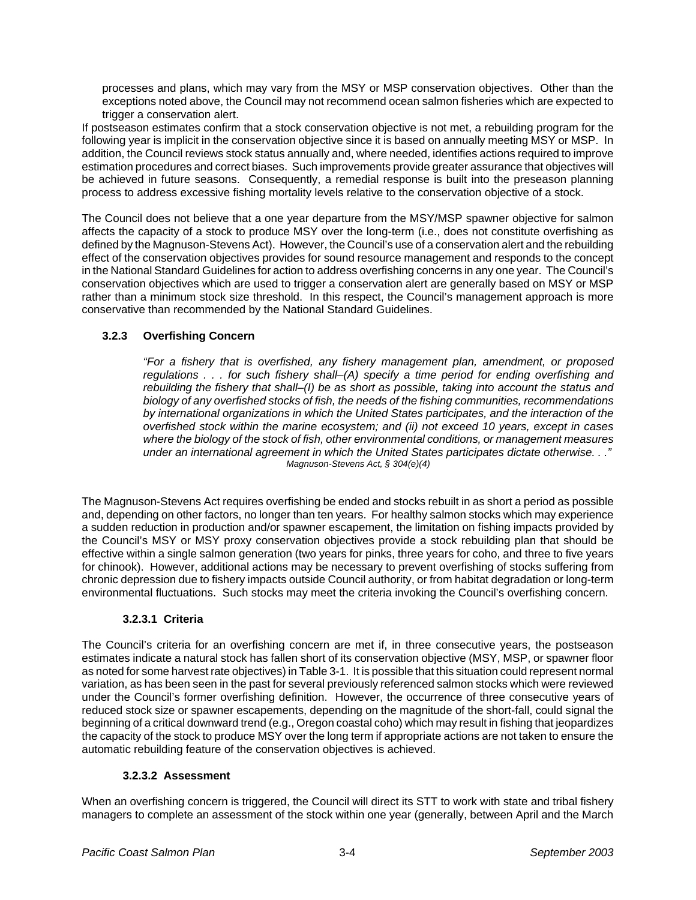processes and plans, which may vary from the MSY or MSP conservation objectives. Other than the exceptions noted above, the Council may not recommend ocean salmon fisheries which are expected to trigger a conservation alert.

If postseason estimates confirm that a stock conservation objective is not met, a rebuilding program for the following year is implicit in the conservation objective since it is based on annually meeting MSY or MSP. In addition, the Council reviews stock status annually and, where needed, identifies actions required to improve estimation procedures and correct biases. Such improvements provide greater assurance that objectives will be achieved in future seasons. Consequently, a remedial response is built into the preseason planning process to address excessive fishing mortality levels relative to the conservation objective of a stock.

The Council does not believe that a one year departure from the MSY/MSP spawner objective for salmon affects the capacity of a stock to produce MSY over the long-term (i.e., does not constitute overfishing as defined by the Magnuson-Stevens Act). However, the Council's use of a conservation alert and the rebuilding effect of the conservation objectives provides for sound resource management and responds to the concept in the National Standard Guidelines for action to address overfishing concerns in any one year. The Council's conservation objectives which are used to trigger a conservation alert are generally based on MSY or MSP rather than a minimum stock size threshold. In this respect, the Council's management approach is more conservative than recommended by the National Standard Guidelines.

#### **3.2.3 Overfishing Concern**

*"For a fishery that is overfished, any fishery management plan, amendment, or proposed regulations . . . for such fishery shall–(A) specify a time period for ending overfishing and rebuilding the fishery that shall–(I) be as short as possible, taking into account the status and biology of any overfished stocks of fish, the needs of the fishing communities, recommendations by international organizations in which the United States participates, and the interaction of the overfished stock within the marine ecosystem; and (ii) not exceed 10 years, except in cases where the biology of the stock of fish, other environmental conditions, or management measures under an international agreement in which the United States participates dictate otherwise. . ." Magnuson-Stevens Act, § 304(e)(4)*

The Magnuson-Stevens Act requires overfishing be ended and stocks rebuilt in as short a period as possible and, depending on other factors, no longer than ten years. For healthy salmon stocks which may experience a sudden reduction in production and/or spawner escapement, the limitation on fishing impacts provided by the Council's MSY or MSY proxy conservation objectives provide a stock rebuilding plan that should be effective within a single salmon generation (two years for pinks, three years for coho, and three to five years for chinook). However, additional actions may be necessary to prevent overfishing of stocks suffering from chronic depression due to fishery impacts outside Council authority, or from habitat degradation or long-term environmental fluctuations. Such stocks may meet the criteria invoking the Council's overfishing concern.

#### **3.2.3.1 Criteria**

The Council's criteria for an overfishing concern are met if, in three consecutive years, the postseason estimates indicate a natural stock has fallen short of its conservation objective (MSY, MSP, or spawner floor as noted for some harvest rate objectives) in Table 3-1. It is possible that this situation could represent normal variation, as has been seen in the past for several previously referenced salmon stocks which were reviewed under the Council's former overfishing definition. However, the occurrence of three consecutive years of reduced stock size or spawner escapements, depending on the magnitude of the short-fall, could signal the beginning of a critical downward trend (e.g., Oregon coastal coho) which may result in fishing that jeopardizes the capacity of the stock to produce MSY over the long term if appropriate actions are not taken to ensure the automatic rebuilding feature of the conservation objectives is achieved.

#### **3.2.3.2 Assessment**

When an overfishing concern is triggered, the Council will direct its STT to work with state and tribal fishery managers to complete an assessment of the stock within one year (generally, between April and the March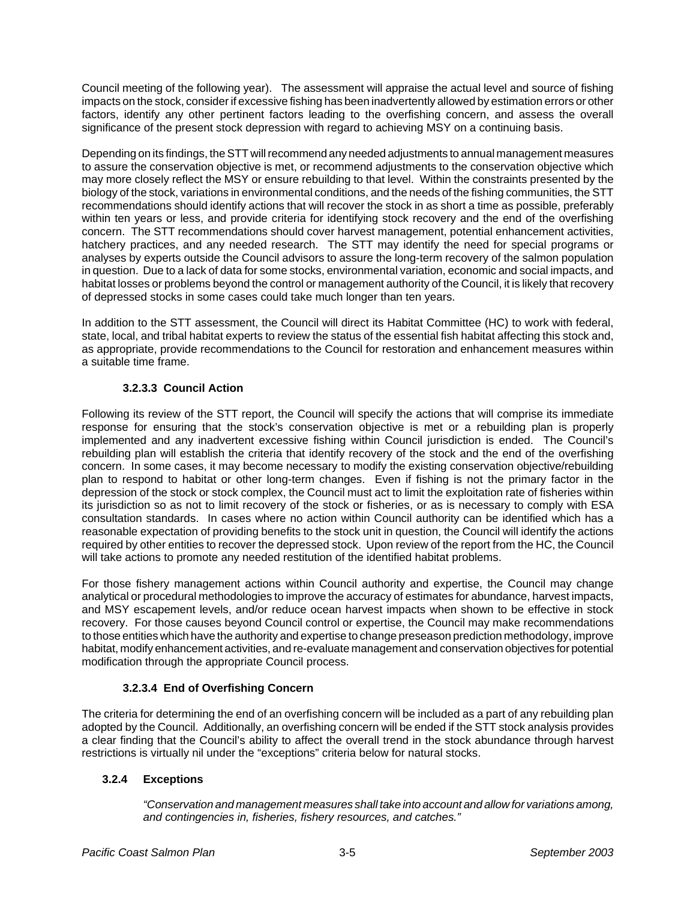Council meeting of the following year). The assessment will appraise the actual level and source of fishing impacts on the stock, consider if excessive fishing has been inadvertently allowed by estimation errors or other factors, identify any other pertinent factors leading to the overfishing concern, and assess the overall significance of the present stock depression with regard to achieving MSY on a continuing basis.

Depending on its findings, the STT will recommend any needed adjustments to annual management measures to assure the conservation objective is met, or recommend adjustments to the conservation objective which may more closely reflect the MSY or ensure rebuilding to that level. Within the constraints presented by the biology of the stock, variations in environmental conditions, and the needs of the fishing communities, the STT recommendations should identify actions that will recover the stock in as short a time as possible, preferably within ten years or less, and provide criteria for identifying stock recovery and the end of the overfishing concern. The STT recommendations should cover harvest management, potential enhancement activities, hatchery practices, and any needed research. The STT may identify the need for special programs or analyses by experts outside the Council advisors to assure the long-term recovery of the salmon population in question. Due to a lack of data for some stocks, environmental variation, economic and social impacts, and habitat losses or problems beyond the control or management authority of the Council, it is likely that recovery of depressed stocks in some cases could take much longer than ten years.

In addition to the STT assessment, the Council will direct its Habitat Committee (HC) to work with federal, state, local, and tribal habitat experts to review the status of the essential fish habitat affecting this stock and, as appropriate, provide recommendations to the Council for restoration and enhancement measures within a suitable time frame.

### **3.2.3.3 Council Action**

Following its review of the STT report, the Council will specify the actions that will comprise its immediate response for ensuring that the stock's conservation objective is met or a rebuilding plan is properly implemented and any inadvertent excessive fishing within Council jurisdiction is ended. The Council's rebuilding plan will establish the criteria that identify recovery of the stock and the end of the overfishing concern. In some cases, it may become necessary to modify the existing conservation objective/rebuilding plan to respond to habitat or other long-term changes. Even if fishing is not the primary factor in the depression of the stock or stock complex, the Council must act to limit the exploitation rate of fisheries within its jurisdiction so as not to limit recovery of the stock or fisheries, or as is necessary to comply with ESA consultation standards. In cases where no action within Council authority can be identified which has a reasonable expectation of providing benefits to the stock unit in question, the Council will identify the actions required by other entities to recover the depressed stock. Upon review of the report from the HC, the Council will take actions to promote any needed restitution of the identified habitat problems.

For those fishery management actions within Council authority and expertise, the Council may change analytical or procedural methodologies to improve the accuracy of estimates for abundance, harvest impacts, and MSY escapement levels, and/or reduce ocean harvest impacts when shown to be effective in stock recovery. For those causes beyond Council control or expertise, the Council may make recommendations to those entities which have the authority and expertise to change preseason prediction methodology, improve habitat, modify enhancement activities, and re-evaluate management and conservation objectives for potential modification through the appropriate Council process.

### **3.2.3.4 End of Overfishing Concern**

The criteria for determining the end of an overfishing concern will be included as a part of any rebuilding plan adopted by the Council. Additionally, an overfishing concern will be ended if the STT stock analysis provides a clear finding that the Council's ability to affect the overall trend in the stock abundance through harvest restrictions is virtually nil under the "exceptions" criteria below for natural stocks.

### **3.2.4 Exceptions**

*"Conservation and management measures shall take into account and allow for variations among, and contingencies in, fisheries, fishery resources, and catches."*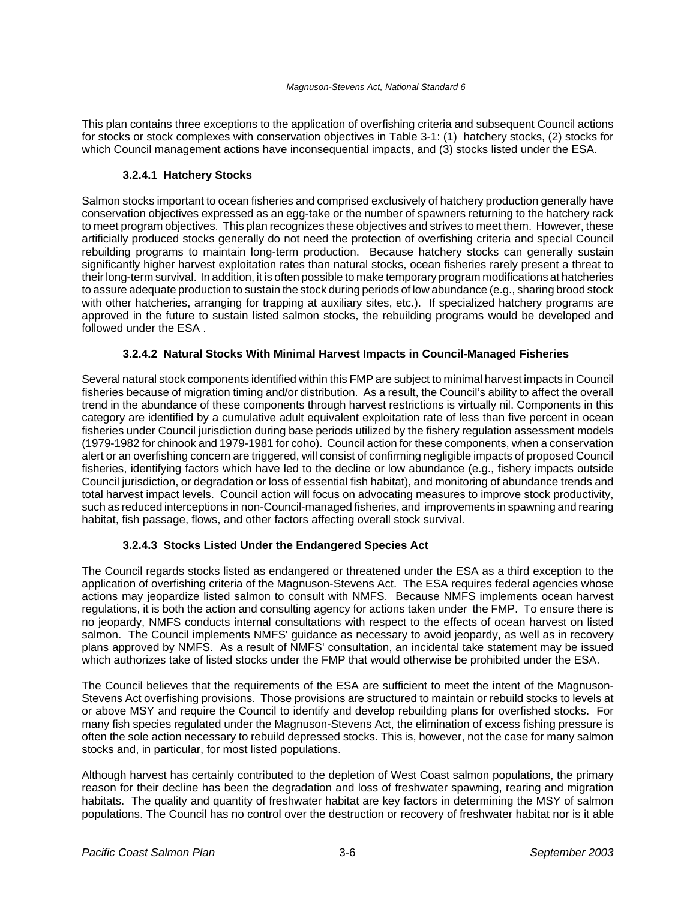This plan contains three exceptions to the application of overfishing criteria and subsequent Council actions for stocks or stock complexes with conservation objectives in Table 3-1: (1) hatchery stocks, (2) stocks for which Council management actions have inconsequential impacts, and (3) stocks listed under the ESA.

#### **3.2.4.1 Hatchery Stocks**

Salmon stocks important to ocean fisheries and comprised exclusively of hatchery production generally have conservation objectives expressed as an egg-take or the number of spawners returning to the hatchery rack to meet program objectives. This plan recognizes these objectives and strives to meet them. However, these artificially produced stocks generally do not need the protection of overfishing criteria and special Council rebuilding programs to maintain long-term production. Because hatchery stocks can generally sustain significantly higher harvest exploitation rates than natural stocks, ocean fisheries rarely present a threat to their long-term survival. In addition, it is often possible to make temporary program modifications at hatcheries to assure adequate production to sustain the stock during periods of low abundance (e.g., sharing brood stock with other hatcheries, arranging for trapping at auxiliary sites, etc.). If specialized hatchery programs are approved in the future to sustain listed salmon stocks, the rebuilding programs would be developed and followed under the ESA .

#### **3.2.4.2 Natural Stocks With Minimal Harvest Impacts in Council-Managed Fisheries**

Several natural stock components identified within this FMP are subject to minimal harvest impacts in Council fisheries because of migration timing and/or distribution. As a result, the Council's ability to affect the overall trend in the abundance of these components through harvest restrictions is virtually nil. Components in this category are identified by a cumulative adult equivalent exploitation rate of less than five percent in ocean fisheries under Council jurisdiction during base periods utilized by the fishery regulation assessment models (1979-1982 for chinook and 1979-1981 for coho). Council action for these components, when a conservation alert or an overfishing concern are triggered, will consist of confirming negligible impacts of proposed Council fisheries, identifying factors which have led to the decline or low abundance (e.g., fishery impacts outside Council jurisdiction, or degradation or loss of essential fish habitat), and monitoring of abundance trends and total harvest impact levels. Council action will focus on advocating measures to improve stock productivity, such as reduced interceptions in non-Council-managed fisheries, and improvements in spawning and rearing habitat, fish passage, flows, and other factors affecting overall stock survival.

#### **3.2.4.3 Stocks Listed Under the Endangered Species Act**

The Council regards stocks listed as endangered or threatened under the ESA as a third exception to the application of overfishing criteria of the Magnuson-Stevens Act. The ESA requires federal agencies whose actions may jeopardize listed salmon to consult with NMFS. Because NMFS implements ocean harvest regulations, it is both the action and consulting agency for actions taken under the FMP. To ensure there is no jeopardy, NMFS conducts internal consultations with respect to the effects of ocean harvest on listed salmon. The Council implements NMFS' guidance as necessary to avoid jeopardy, as well as in recovery plans approved by NMFS. As a result of NMFS' consultation, an incidental take statement may be issued which authorizes take of listed stocks under the FMP that would otherwise be prohibited under the ESA.

The Council believes that the requirements of the ESA are sufficient to meet the intent of the Magnuson-Stevens Act overfishing provisions. Those provisions are structured to maintain or rebuild stocks to levels at or above MSY and require the Council to identify and develop rebuilding plans for overfished stocks. For many fish species regulated under the Magnuson-Stevens Act, the elimination of excess fishing pressure is often the sole action necessary to rebuild depressed stocks. This is, however, not the case for many salmon stocks and, in particular, for most listed populations.

Although harvest has certainly contributed to the depletion of West Coast salmon populations, the primary reason for their decline has been the degradation and loss of freshwater spawning, rearing and migration habitats. The quality and quantity of freshwater habitat are key factors in determining the MSY of salmon populations. The Council has no control over the destruction or recovery of freshwater habitat nor is it able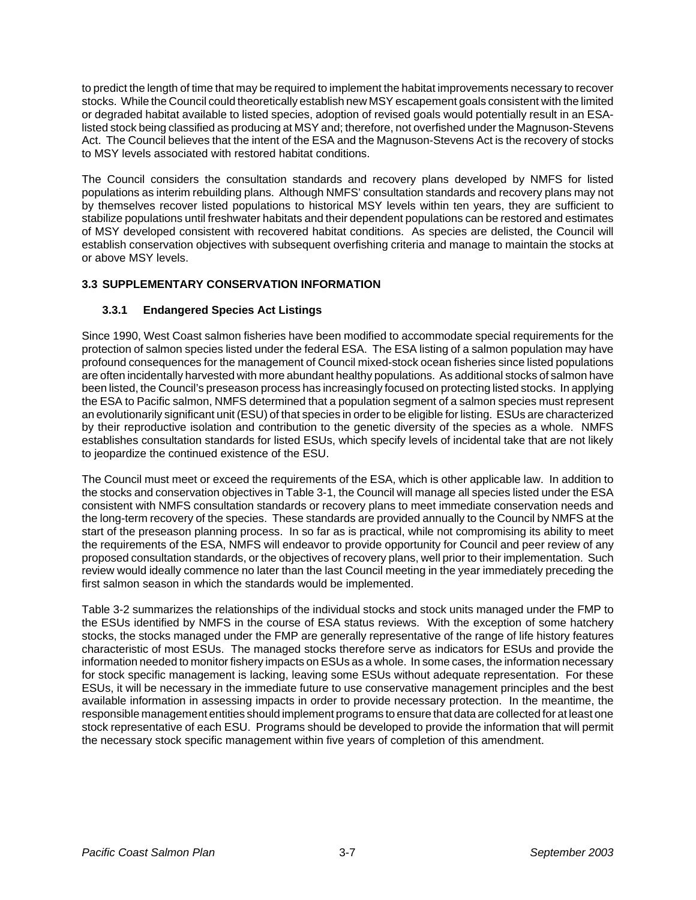to predict the length of time that may be required to implement the habitat improvements necessary to recover stocks. While the Council could theoretically establish new MSY escapement goals consistent with the limited or degraded habitat available to listed species, adoption of revised goals would potentially result in an ESAlisted stock being classified as producing at MSY and; therefore, not overfished under the Magnuson-Stevens Act. The Council believes that the intent of the ESA and the Magnuson-Stevens Act is the recovery of stocks to MSY levels associated with restored habitat conditions.

The Council considers the consultation standards and recovery plans developed by NMFS for listed populations as interim rebuilding plans. Although NMFS' consultation standards and recovery plans may not by themselves recover listed populations to historical MSY levels within ten years, they are sufficient to stabilize populations until freshwater habitats and their dependent populations can be restored and estimates of MSY developed consistent with recovered habitat conditions. As species are delisted, the Council will establish conservation objectives with subsequent overfishing criteria and manage to maintain the stocks at or above MSY levels.

### **3.3 SUPPLEMENTARY CONSERVATION INFORMATION**

#### **3.3.1 Endangered Species Act Listings**

Since 1990, West Coast salmon fisheries have been modified to accommodate special requirements for the protection of salmon species listed under the federal ESA. The ESA listing of a salmon population may have profound consequences for the management of Council mixed-stock ocean fisheries since listed populations are often incidentally harvested with more abundant healthy populations. As additional stocks of salmon have been listed, the Council's preseason process has increasingly focused on protecting listed stocks. In applying the ESA to Pacific salmon, NMFS determined that a population segment of a salmon species must represent an evolutionarily significant unit (ESU) of that species in order to be eligible for listing. ESUs are characterized by their reproductive isolation and contribution to the genetic diversity of the species as a whole. NMFS establishes consultation standards for listed ESUs, which specify levels of incidental take that are not likely to jeopardize the continued existence of the ESU.

The Council must meet or exceed the requirements of the ESA, which is other applicable law. In addition to the stocks and conservation objectives in Table 3-1, the Council will manage all species listed under the ESA consistent with NMFS consultation standards or recovery plans to meet immediate conservation needs and the long-term recovery of the species. These standards are provided annually to the Council by NMFS at the start of the preseason planning process. In so far as is practical, while not compromising its ability to meet the requirements of the ESA, NMFS will endeavor to provide opportunity for Council and peer review of any proposed consultation standards, or the objectives of recovery plans, well prior to their implementation. Such review would ideally commence no later than the last Council meeting in the year immediately preceding the first salmon season in which the standards would be implemented.

Table 3-2 summarizes the relationships of the individual stocks and stock units managed under the FMP to the ESUs identified by NMFS in the course of ESA status reviews. With the exception of some hatchery stocks, the stocks managed under the FMP are generally representative of the range of life history features characteristic of most ESUs. The managed stocks therefore serve as indicators for ESUs and provide the information needed to monitor fishery impacts on ESUs as a whole. In some cases, the information necessary for stock specific management is lacking, leaving some ESUs without adequate representation. For these ESUs, it will be necessary in the immediate future to use conservative management principles and the best available information in assessing impacts in order to provide necessary protection. In the meantime, the responsible management entities should implement programs to ensure that data are collected for at least one stock representative of each ESU. Programs should be developed to provide the information that will permit the necessary stock specific management within five years of completion of this amendment.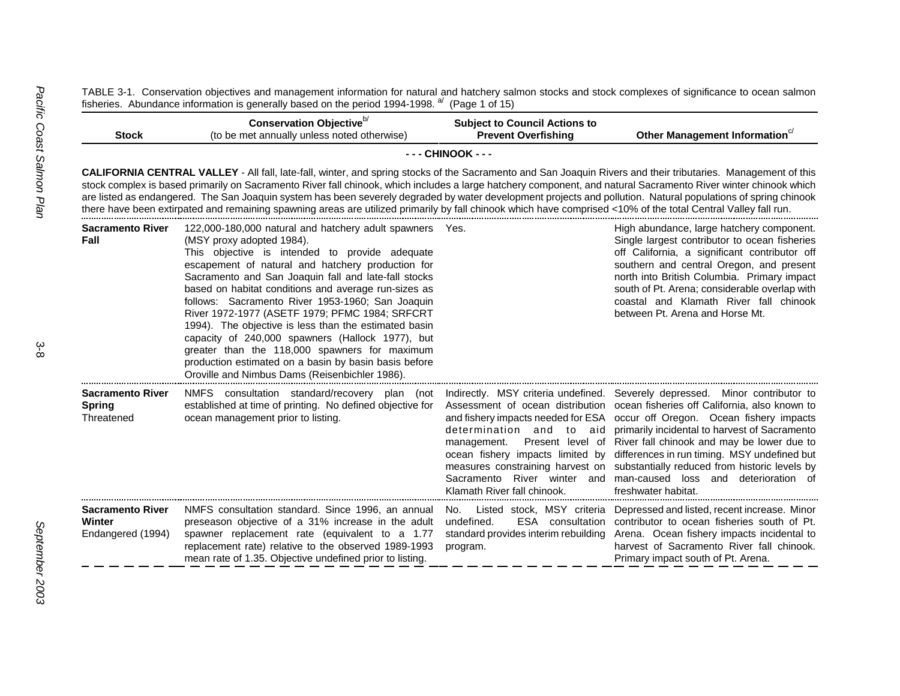TABLE 3-1. Conservation objectives and management information for natural and hatchery salmon stocks and stock complexes of significance to ocean salmon fisheries. Abundance information is generally based on the period 1994-1998. <sup>a/</sup> (Page 1 of 15)

| <b>Stock</b>                                                  | Conservation Objective <sup>b/</sup><br>(to be met annually unless noted otherwise)                                                                                                                                                                                                                                                                                                                                                                                                                                                                                                                                                                                                         | <b>Subject to Council Actions to</b><br><b>Prevent Overfishing</b>                                                                                                                                                                                                                                                 | Other Management Information <sup>c/</sup>                                                                                                                                                                                                                                                                                                                                                             |
|---------------------------------------------------------------|---------------------------------------------------------------------------------------------------------------------------------------------------------------------------------------------------------------------------------------------------------------------------------------------------------------------------------------------------------------------------------------------------------------------------------------------------------------------------------------------------------------------------------------------------------------------------------------------------------------------------------------------------------------------------------------------|--------------------------------------------------------------------------------------------------------------------------------------------------------------------------------------------------------------------------------------------------------------------------------------------------------------------|--------------------------------------------------------------------------------------------------------------------------------------------------------------------------------------------------------------------------------------------------------------------------------------------------------------------------------------------------------------------------------------------------------|
|                                                               |                                                                                                                                                                                                                                                                                                                                                                                                                                                                                                                                                                                                                                                                                             | - - - CHINOOK - - -                                                                                                                                                                                                                                                                                                |                                                                                                                                                                                                                                                                                                                                                                                                        |
|                                                               | <b>CALIFORNIA CENTRAL VALLEY</b> - All fall, late-fall, winter, and spring stocks of the Sacramento and San Joaquin Rivers and their tributaries. Management of this<br>stock complex is based primarily on Sacramento River fall chinook, which includes a large hatchery component, and natural Sacramento River winter chinook which<br>are listed as endangered. The San Joaquin system has been severely degraded by water development projects and pollution. Natural populations of spring chinook<br>there have been extirpated and remaining spawning areas are utilized primarily by fall chinook which have comprised <10% of the total Central Valley fall run.                 |                                                                                                                                                                                                                                                                                                                    |                                                                                                                                                                                                                                                                                                                                                                                                        |
| <b>Sacramento River</b><br>Fall                               | 122,000-180,000 natural and hatchery adult spawners Yes.<br>(MSY proxy adopted 1984).<br>This objective is intended to provide adequate<br>escapement of natural and hatchery production for<br>Sacramento and San Joaquin fall and late-fall stocks<br>based on habitat conditions and average run-sizes as<br>follows: Sacramento River 1953-1960; San Joaquin<br>River 1972-1977 (ASETF 1979; PFMC 1984; SRFCRT<br>1994). The objective is less than the estimated basin<br>capacity of 240,000 spawners (Hallock 1977), but<br>greater than the 118,000 spawners for maximum<br>production estimated on a basin by basin basis before<br>Oroville and Nimbus Dams (Reisenbichler 1986). |                                                                                                                                                                                                                                                                                                                    | High abundance, large hatchery component.<br>Single largest contributor to ocean fisheries<br>off California, a significant contributor off<br>southern and central Oregon, and present<br>north into British Columbia. Primary impact<br>south of Pt. Arena; considerable overlap with<br>coastal and Klamath River fall chinook<br>between Pt. Arena and Horse Mt.                                   |
| <b>Sacramento River</b><br><b>Spring</b><br>Threatened        | NMFS consultation standard/recovery plan (not<br>established at time of printing. No defined objective for<br>ocean management prior to listing.                                                                                                                                                                                                                                                                                                                                                                                                                                                                                                                                            | Indirectly. MSY criteria undefined.<br>Assessment of ocean distribution<br>and fishery impacts needed for ESA<br>determination and to aid<br>management.<br>Present level of<br>ocean fishery impacts limited by<br>measures constraining harvest on<br>Sacramento River winter and<br>Klamath River fall chinook. | Severely depressed. Minor contributor to<br>ocean fisheries off California, also known to<br>occur off Oregon. Ocean fishery impacts<br>primarily incidental to harvest of Sacramento<br>River fall chinook and may be lower due to<br>differences in run timing. MSY undefined but<br>substantially reduced from historic levels by<br>man-caused loss and<br>deterioration of<br>freshwater habitat. |
| <b>Sacramento River</b><br><b>Winter</b><br>Endangered (1994) | NMFS consultation standard. Since 1996, an annual<br>preseason objective of a 31% increase in the adult<br>spawner replacement rate (equivalent to a 1.77<br>replacement rate) relative to the observed 1989-1993<br>mean rate of 1.35. Objective undefined prior to listing.                                                                                                                                                                                                                                                                                                                                                                                                               | ESA consultation<br>undefined.<br>standard provides interim rebuilding<br>program.                                                                                                                                                                                                                                 | No. Listed stock, MSY criteria Depressed and listed, recent increase. Minor<br>contributor to ocean fisheries south of Pt.<br>Arena. Ocean fishery impacts incidental to<br>harvest of Sacramento River fall chinook.<br>Primary impact south of Pt. Arena.                                                                                                                                            |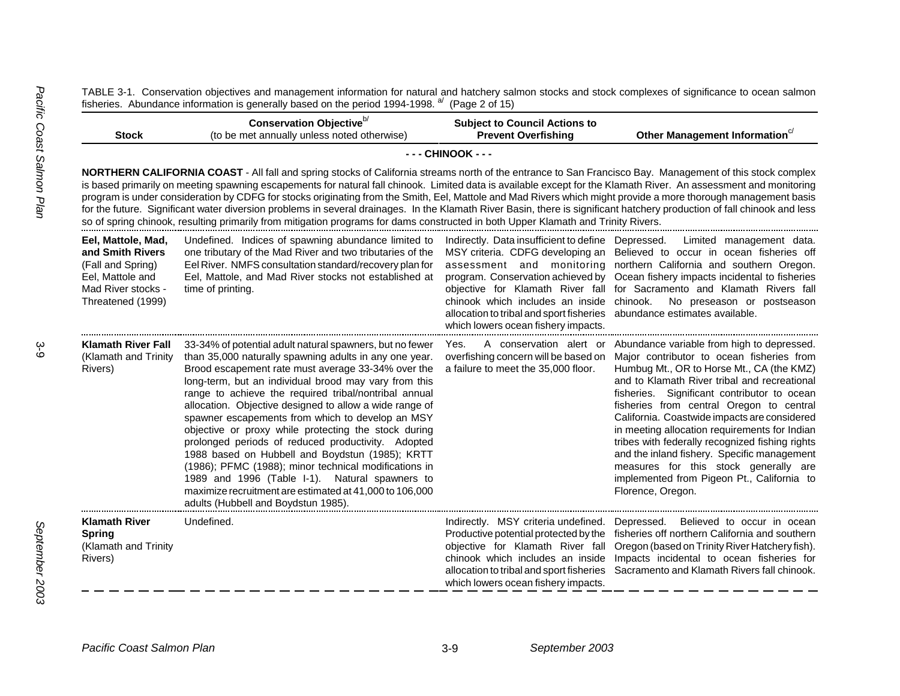TABLE 3-1. Conservation objectives and management information for natural and hatchery salmon stocks and stock complexes of significance to ocean salmon fisheries. Abundance information is generally based on the period 1994-1998. <sup>a/</sup> (Page 2 of 15)

| <b>Stock</b>                                                                                                               | Conservation Objective <sup>b/</sup><br>(to be met annually unless noted otherwise)                                                                                                                                                                                                                                                                                                                                                                                                                                                                                                                                                                                                                                                                                                                               | <b>Subject to Council Actions to</b><br><b>Prevent Overfishing</b>                                                                                                                                                                                                        | Other Management Information <sup>c/</sup>                                                                                                                                                                                                                                                                                                                                                                                                                                                                                                                                                                             |  |  |
|----------------------------------------------------------------------------------------------------------------------------|-------------------------------------------------------------------------------------------------------------------------------------------------------------------------------------------------------------------------------------------------------------------------------------------------------------------------------------------------------------------------------------------------------------------------------------------------------------------------------------------------------------------------------------------------------------------------------------------------------------------------------------------------------------------------------------------------------------------------------------------------------------------------------------------------------------------|---------------------------------------------------------------------------------------------------------------------------------------------------------------------------------------------------------------------------------------------------------------------------|------------------------------------------------------------------------------------------------------------------------------------------------------------------------------------------------------------------------------------------------------------------------------------------------------------------------------------------------------------------------------------------------------------------------------------------------------------------------------------------------------------------------------------------------------------------------------------------------------------------------|--|--|
|                                                                                                                            |                                                                                                                                                                                                                                                                                                                                                                                                                                                                                                                                                                                                                                                                                                                                                                                                                   | - - - CHINOOK - - -                                                                                                                                                                                                                                                       |                                                                                                                                                                                                                                                                                                                                                                                                                                                                                                                                                                                                                        |  |  |
|                                                                                                                            | NORTHERN CALIFORNIA COAST - All fall and spring stocks of California streams north of the entrance to San Francisco Bay. Management of this stock complex<br>is based primarily on meeting spawning escapements for natural fall chinook. Limited data is available except for the Klamath River. An assessment and monitoring<br>program is under consideration by CDFG for stocks originating from the Smith, Eel, Mattole and Mad Rivers which might provide a more thorough management basis<br>for the future. Significant water diversion problems in several drainages. In the Klamath River Basin, there is significant hatchery production of fall chinook and less<br>so of spring chinook, resulting primarily from mitigation programs for dams constructed in both Upper Klamath and Trinity Rivers. |                                                                                                                                                                                                                                                                           |                                                                                                                                                                                                                                                                                                                                                                                                                                                                                                                                                                                                                        |  |  |
| Eel, Mattole, Mad,<br>and Smith Rivers<br>(Fall and Spring)<br>Eel, Mattole and<br>Mad River stocks -<br>Threatened (1999) | Undefined. Indices of spawning abundance limited to<br>one tributary of the Mad River and two tributaries of the<br>Eel River. NMFS consultation standard/recovery plan for<br>Eel, Mattole, and Mad River stocks not established at<br>time of printing.                                                                                                                                                                                                                                                                                                                                                                                                                                                                                                                                                         | Indirectly. Data insufficient to define Depressed.<br>MSY criteria. CDFG developing an<br>assessment and monitoring<br>chinook which includes an inside<br>allocation to tribal and sport fisheries abundance estimates available.<br>which lowers ocean fishery impacts. | Limited management data.<br>Believed to occur in ocean fisheries off<br>northern California and southern Oregon.<br>program. Conservation achieved by Ocean fishery impacts incidental to fisheries<br>objective for Klamath River fall for Sacramento and Klamath Rivers fall<br>chinook.<br>No preseason or postseason                                                                                                                                                                                                                                                                                               |  |  |
| <b>Klamath River Fall</b><br>(Klamath and Trinity<br>Rivers)                                                               | 33-34% of potential adult natural spawners, but no fewer<br>than 35,000 naturally spawning adults in any one year.<br>Brood escapement rate must average 33-34% over the<br>long-term, but an individual brood may vary from this<br>range to achieve the required tribal/nontribal annual<br>allocation. Objective designed to allow a wide range of<br>spawner escapements from which to develop an MSY<br>objective or proxy while protecting the stock during<br>prolonged periods of reduced productivity. Adopted<br>1988 based on Hubbell and Boydstun (1985); KRTT<br>(1986); PFMC (1988); minor technical modifications in<br>1989 and 1996 (Table I-1). Natural spawners to<br>maximize recruitment are estimated at 41,000 to 106,000<br>adults (Hubbell and Boydstun 1985).                           | Yes.<br>overfishing concern will be based on<br>a failure to meet the 35,000 floor.                                                                                                                                                                                       | A conservation alert or Abundance variable from high to depressed.<br>Major contributor to ocean fisheries from<br>Humbug Mt., OR to Horse Mt., CA (the KMZ)<br>and to Klamath River tribal and recreational<br>fisheries. Significant contributor to ocean<br>fisheries from central Oregon to central<br>California. Coastwide impacts are considered<br>in meeting allocation requirements for Indian<br>tribes with federally recognized fishing rights<br>and the inland fishery. Specific management<br>measures for this stock generally are<br>implemented from Pigeon Pt., California to<br>Florence, Oregon. |  |  |
| <b>Klamath River</b><br><b>Spring</b><br>(Klamath and Trinity<br>Rivers)                                                   | Undefined.                                                                                                                                                                                                                                                                                                                                                                                                                                                                                                                                                                                                                                                                                                                                                                                                        | Indirectly. MSY criteria undefined.<br>Productive potential protected by the<br>objective for Klamath River fall<br>chinook which includes an inside<br>allocation to tribal and sport fisheries<br>which lowers ocean fishery impacts.                                   | Depressed. Believed to occur in ocean<br>fisheries off northern California and southern<br>Oregon (based on Trinity River Hatchery fish).<br>Impacts incidental to ocean fisheries for<br>Sacramento and Klamath Rivers fall chinook.                                                                                                                                                                                                                                                                                                                                                                                  |  |  |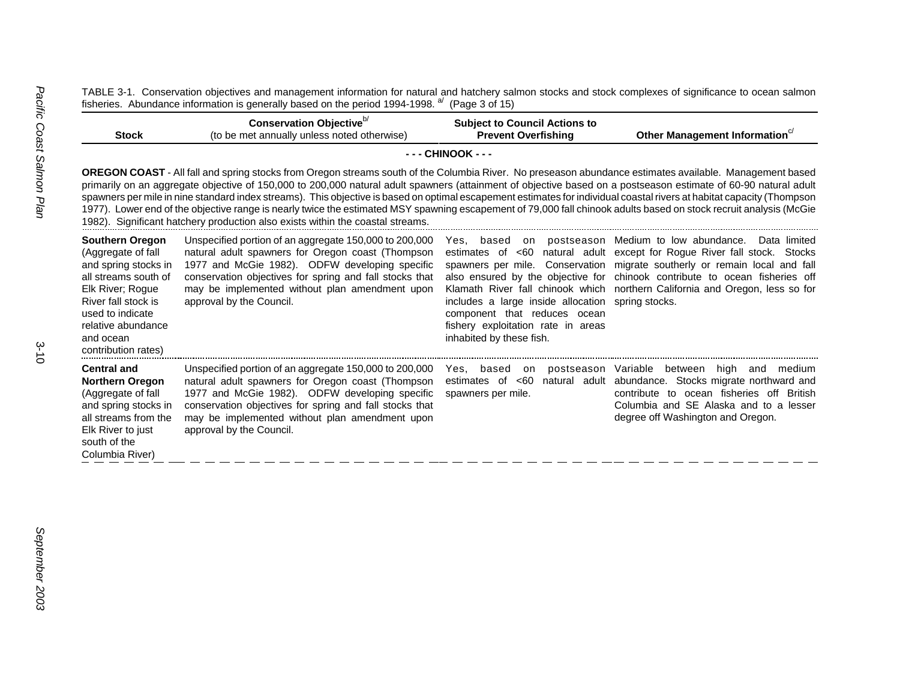TABLE 3-1. Conservation objectives and management information for natural and hatchery salmon stocks and stock complexes of significance to ocean salmon fisheries. Abundance information is generally based on the period 1994-1998. <sup>a/</sup> (Page 3 of 15)

| <b>Stock</b>                                                                                                                                                                                                                                                                                                                                                                                                                                                                                                                                                                                                                                                                                                                                                 | Conservation Objective <sup>b/</sup><br>(to be met annually unless noted otherwise)                                                                                                                                                                                                                    | <b>Subject to Council Actions to</b><br><b>Prevent Overfishing</b>                                                                                          | Other Management Information <sup>c/</sup>                                                                                                                                                                                                                                                                                                                                            |
|--------------------------------------------------------------------------------------------------------------------------------------------------------------------------------------------------------------------------------------------------------------------------------------------------------------------------------------------------------------------------------------------------------------------------------------------------------------------------------------------------------------------------------------------------------------------------------------------------------------------------------------------------------------------------------------------------------------------------------------------------------------|--------------------------------------------------------------------------------------------------------------------------------------------------------------------------------------------------------------------------------------------------------------------------------------------------------|-------------------------------------------------------------------------------------------------------------------------------------------------------------|---------------------------------------------------------------------------------------------------------------------------------------------------------------------------------------------------------------------------------------------------------------------------------------------------------------------------------------------------------------------------------------|
|                                                                                                                                                                                                                                                                                                                                                                                                                                                                                                                                                                                                                                                                                                                                                              |                                                                                                                                                                                                                                                                                                        | - - - CHINOOK - - -                                                                                                                                         |                                                                                                                                                                                                                                                                                                                                                                                       |
| OREGON COAST - All fall and spring stocks from Oregon streams south of the Columbia River. No preseason abundance estimates available. Management based<br>primarily on an aggregate objective of 150,000 to 200,000 natural adult spawners (attainment of objective based on a postseason estimate of 60-90 natural adult<br>spawners per mile in nine standard index streams). This objective is based on optimal escapement estimates for individual coastal rivers at habitat capacity (Thompson<br>1977). Lower end of the objective range is nearly twice the estimated MSY spawning escapement of 79,000 fall chinook adults based on stock recruit analysis (McGie<br>1982). Significant hatchery production also exists within the coastal streams. |                                                                                                                                                                                                                                                                                                        |                                                                                                                                                             |                                                                                                                                                                                                                                                                                                                                                                                       |
| <b>Southern Oregon</b><br>(Aggregate of fall<br>and spring stocks in<br>all streams south of<br>Elk River; Rogue<br>River fall stock is<br>used to indicate<br>relative abundance<br>and ocean<br>contribution rates)                                                                                                                                                                                                                                                                                                                                                                                                                                                                                                                                        | Unspecified portion of an aggregate 150,000 to 200,000<br>natural adult spawners for Oregon coast (Thompson<br>1977 and McGie 1982). ODFW developing specific<br>conservation objectives for spring and fall stocks that<br>may be implemented without plan amendment upon<br>approval by the Council. | Yes.<br>includes a large inside allocation spring stocks.<br>component that reduces ocean<br>fishery exploitation rate in areas<br>inhabited by these fish. | based on postseason Medium to low abundance.<br>Data limited<br>estimates of <60 natural adult except for Roque River fall stock. Stocks<br>spawners per mile. Conservation migrate southerly or remain local and fall<br>also ensured by the objective for chinook contribute to ocean fisheries off<br>Klamath River fall chinook which northern California and Oregon, less so for |
| <b>Central and</b><br><b>Northern Oregon</b><br>(Aggregate of fall<br>and spring stocks in<br>all streams from the<br>Elk River to just<br>south of the<br>Columbia River)                                                                                                                                                                                                                                                                                                                                                                                                                                                                                                                                                                                   | Unspecified portion of an aggregate 150,000 to 200,000<br>natural adult spawners for Oregon coast (Thompson<br>1977 and McGie 1982). ODFW developing specific<br>conservation objectives for spring and fall stocks that<br>may be implemented without plan amendment upon<br>approval by the Council. | postseason Variable<br>Yes, based on<br>estimates of $< 60$<br>natural adult<br>spawners per mile.                                                          | between high and medium<br>abundance. Stocks migrate northward and<br>contribute to ocean fisheries off British<br>Columbia and SE Alaska and to a lesser<br>degree off Washington and Oregon.                                                                                                                                                                                        |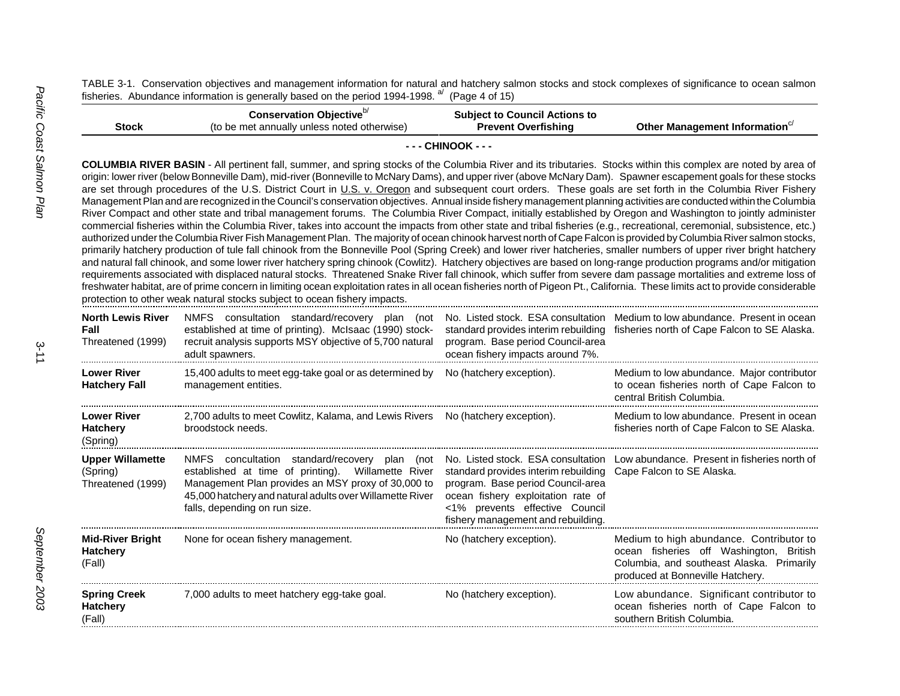TABLE 3-1. Conservation objectives and management information for natural and hatchery salmon stocks and stock complexes of significance to ocean salmon fisheries. Abundance information is generally based on the period 1994-1998. <sup>a</sup> (Page 4 of 15)

|              | Conservation Objective <sup>b/</sup>        | <b>Subject to Council Actions to</b> |                              |
|--------------|---------------------------------------------|--------------------------------------|------------------------------|
| <b>Stock</b> | (to be met annually unless noted otherwise) | <b>Prevent Overfishing</b>           | Other Management Information |
|              |                                             |                                      |                              |

**- - - CHINOOK - - -**

**COLUMBIA RIVER BASIN** - All pertinent fall, summer, and spring stocks of the Columbia River and its tributaries. Stocks within this complex are noted by area of origin: lower river (below Bonneville Dam), mid-river (Bonneville to McNary Dams), and upper river (above McNary Dam). Spawner escapement goals for these stocks are set through procedures of the U.S. District Court in U.S. v. Oregon and subsequent court orders. These goals are set forth in the Columbia River Fishery Management Plan and are recognized in the Council's conservation objectives. Annual inside fishery management planning activities are conducted within the Columbia River Compact and other state and tribal management forums. The Columbia River Compact, initially established by Oregon and Washington to jointly administer commercial fisheries within the Columbia River, takes into account the impacts from other state and tribal fisheries (e.g., recreational, ceremonial, subsistence, etc.) authorized under the Columbia River Fish Management Plan. The majority of ocean chinook harvest north of Cape Falcon is provided by Columbia River salmon stocks, primarily hatchery production of tule fall chinook from the Bonneville Pool (Spring Creek) and lower river hatcheries, smaller numbers of upper river bright hatchery and natural fall chinook, and some lower river hatchery spring chinook (Cowlitz). Hatchery objectives are based on long-range production programs and/or mitigation requirements associated with displaced natural stocks. Threatened Snake River fall chinook, which suffer from severe dam passage mortalities and extreme loss of freshwater habitat, are of prime concern in limiting ocean exploitation rates in all ocean fisheries north of Pigeon Pt., California. These limits act to provide considerable protection to other weak natural stocks subject to ocean fishery impacts.

| <b>North Lewis River</b><br>Fall<br>Threatened (1999)    | NMFS consultation standard/recovery plan (not<br>established at time of printing). McIsaac (1990) stock-<br>recruit analysis supports MSY objective of 5,700 natural<br>adult spawners.                                                                | program. Base period Council-area<br>ocean fishery impacts around 7%.                                                                                                                                             | No. Listed stock. ESA consultation Medium to low abundance. Present in ocean<br>standard provides interim rebuilding fisheries north of Cape Falcon to SE Alaska.    |
|----------------------------------------------------------|--------------------------------------------------------------------------------------------------------------------------------------------------------------------------------------------------------------------------------------------------------|-------------------------------------------------------------------------------------------------------------------------------------------------------------------------------------------------------------------|----------------------------------------------------------------------------------------------------------------------------------------------------------------------|
| <b>Lower River</b><br><b>Hatchery Fall</b>               | 15,400 adults to meet egg-take goal or as determined by<br>management entities.                                                                                                                                                                        | No (hatchery exception).                                                                                                                                                                                          | Medium to low abundance. Major contributor<br>to ocean fisheries north of Cape Falcon to<br>central British Columbia.                                                |
| <b>Lower River</b><br><b>Hatchery</b><br>(Spring)        | 2,700 adults to meet Cowlitz, Kalama, and Lewis Rivers No (hatchery exception).<br>broodstock needs.                                                                                                                                                   |                                                                                                                                                                                                                   | Medium to low abundance. Present in ocean<br>fisheries north of Cape Falcon to SE Alaska.                                                                            |
| <b>Upper Willamette</b><br>(Spring)<br>Threatened (1999) | NMFS concultation standard/recovery plan (not<br>established at time of printing). Willamette River<br>Management Plan provides an MSY proxy of 30,000 to<br>45,000 hatchery and natural adults over Willamette River<br>falls, depending on run size. | standard provides interim rebuilding Cape Falcon to SE Alaska.<br>program. Base period Council-area<br>ocean fishery exploitation rate of<br><1% prevents effective Council<br>fishery management and rebuilding. | No. Listed stock. ESA consultation Low abundance. Present in fisheries north of                                                                                      |
| <b>Mid-River Bright</b><br><b>Hatchery</b><br>(Fall)     | None for ocean fishery management.                                                                                                                                                                                                                     | No (hatchery exception).                                                                                                                                                                                          | Medium to high abundance. Contributor to<br>ocean fisheries off Washington, British<br>Columbia, and southeast Alaska. Primarily<br>produced at Bonneville Hatchery. |
| <b>Spring Creek</b><br><b>Hatchery</b><br>(Fall)         | 7,000 adults to meet hatchery egg-take goal.                                                                                                                                                                                                           | No (hatchery exception).                                                                                                                                                                                          | Low abundance. Significant contributor to<br>ocean fisheries north of Cape Falcon to<br>southern British Columbia.                                                   |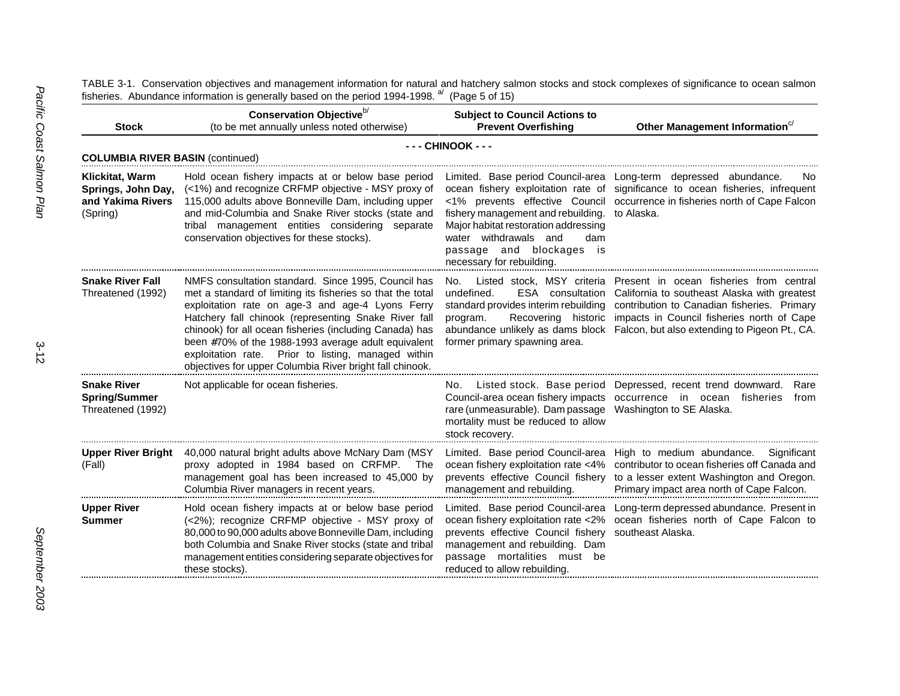fisheries. Abundance information is generally based on the period 1994-1998. <sup>a</sup> (Page 5 of 15) **Stock**Conservation Objective<sup>b/</sup> (to be met annually unless noted otherwise) **Subject to Council Actions to Prevent Information**<sup>c/</sup> **- - - CHINOOK - - -COLUMBIA RIVER BASIN** (continued) **Klickitat, Warm Springs, John Day, and Yakima Rivers**(Spring) Hold ocean fishery impacts at or below base period (<1%) and recognize CRFMP objective - MSY proxy of 115,000 adults above Bonneville Dam, including upper and mid-Columbia and Snake River stocks (state and tribal management entities considering separate conservation objectives for these stocks). Limited. Base period Council-area Long-term depressed abundance. No ocean fishery exploitation rate of significance to ocean fisheries, infrequent <1% prevents effective Council occurrence in fisheries north of Cape Falcon fishery management and rebuilding. to Alaska. Major habitat restoration addressing water withdrawals and dam passage and blockages is necessary for rebuilding. **Snake River Fall**Threatened (1992) NMFS consultation standard. Since 1995, Council has met a standard of limiting its fisheries so that the total exploitation rate on age-3 and age-4 Lyons Ferry Hatchery fall chinook (representing Snake River fall chinook) for all ocean fisheries (including Canada) has been #70% of the 1988-1993 average adult equivalent exploitation rate. Prior to listing, managed within objectives for upper Columbia River bright fall chinook. No. Listed stock, MSY criteria Present in ocean fisheries from centralundefined. ESA consultation California to southeast Alaska with greatest standard provides interim rebuilding contribution to Canadian fisheries. Primary program. Recovering historic impacts in Council fisheries north of Cape abundance unlikely as dams block Falcon, but also extending to Pigeon Pt., CA. former primary spawning area. **Snake RiverSpring/Summer** Threatened (1992) Not applicable for ocean fisheries. No. Listed stock. Base period Depressed, recent trend downward. Rare Council-area ocean fishery impacts occurrence in ocean fisheries fromrare (unmeasurable). Dam passage Washington to SE Alaska. mortality must be reduced to allow stock recovery. **Upper River Bright** 40,000 natural bright adults above McNary Dam (MSY (Fall) proxy adopted in 1984 based on CRFMP. The management goal has been increased to 45,000 by Columbia River managers in recent years. Limited. Base period Council-area High to medium abundance. Significant ocean fishery exploitation rate <4% prevents effective Council fishery to a lesser extent Washington and Oregon. management and rebuilding. contributor to ocean fisheries off Canada andPrimary impact area north of Cape Falcon. **Upper River Summer**Hold ocean fishery impacts at or below base period (<2%); recognize CRFMP objective - MSY proxy of 80,000 to 90,000 adults above Bonneville Dam, including both Columbia and Snake River stocks (state and tribal management entities considering separate objectives for these stocks). Limited. Base period Council-area Long-term depressed abundance. Present in ocean fishery exploitation rate <2% ocean fisheries north of Cape Falcon to prevents effective Council fishery southeast Alaska.management and rebuilding. Dam passage mortalities must be reduced to allow rebuilding.

TABLE 3-1. Conservation objectives and management information for natural and hatchery salmon stocks and stock complexes of significance to ocean salmon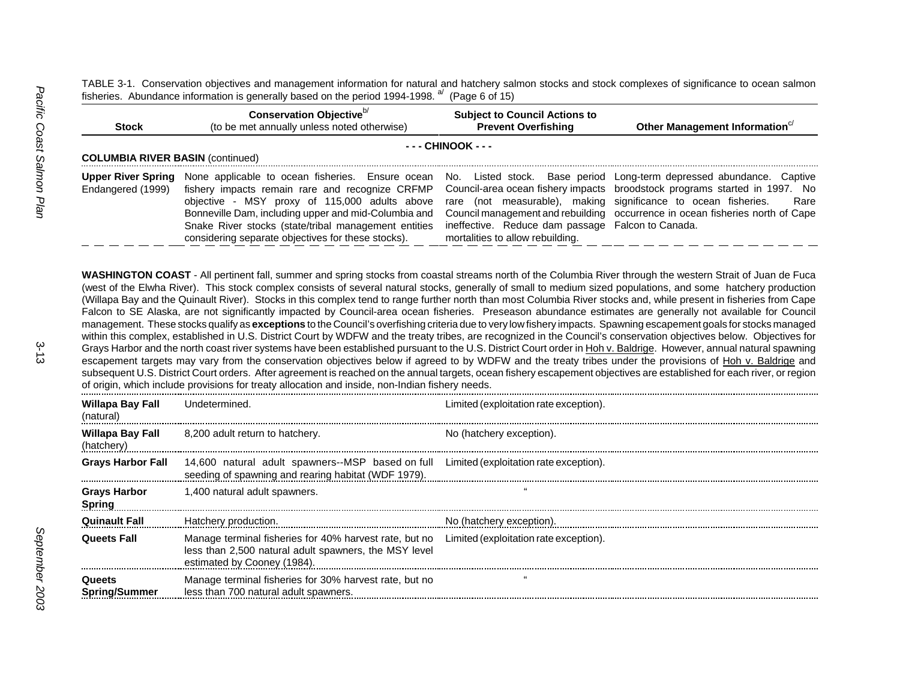TABLE 3-1. Conservation objectives and management information for natural and hatchery salmon stocks and stock complexes of significance to ocean salmon fisheries. Abundance information is generally based on the period 1994-1998. <sup>a/</sup> (Page 6 of 15)

| <b>Stock</b>                            | Conservation Objective <sup>b/</sup><br>(to be met annually unless noted otherwise)                                                                                                                                                                                                                                                                                                                                                                                                                                                                                                                                                                                                                                                                                                                                                                                                                                                                                                                                                                                                                                                                                                                                                                                                                                                                                                                                                                                                                                                                                                                                              | <b>Subject to Council Actions to</b><br><b>Prevent Overfishing</b>                                                                                      | Other Management Information <sup>c/</sup>                                                                                                                                                                                                  |
|-----------------------------------------|----------------------------------------------------------------------------------------------------------------------------------------------------------------------------------------------------------------------------------------------------------------------------------------------------------------------------------------------------------------------------------------------------------------------------------------------------------------------------------------------------------------------------------------------------------------------------------------------------------------------------------------------------------------------------------------------------------------------------------------------------------------------------------------------------------------------------------------------------------------------------------------------------------------------------------------------------------------------------------------------------------------------------------------------------------------------------------------------------------------------------------------------------------------------------------------------------------------------------------------------------------------------------------------------------------------------------------------------------------------------------------------------------------------------------------------------------------------------------------------------------------------------------------------------------------------------------------------------------------------------------------|---------------------------------------------------------------------------------------------------------------------------------------------------------|---------------------------------------------------------------------------------------------------------------------------------------------------------------------------------------------------------------------------------------------|
|                                         |                                                                                                                                                                                                                                                                                                                                                                                                                                                                                                                                                                                                                                                                                                                                                                                                                                                                                                                                                                                                                                                                                                                                                                                                                                                                                                                                                                                                                                                                                                                                                                                                                                  | - - - CHINOOK - - -                                                                                                                                     |                                                                                                                                                                                                                                             |
| <b>COLUMBIA RIVER BASIN (continued)</b> |                                                                                                                                                                                                                                                                                                                                                                                                                                                                                                                                                                                                                                                                                                                                                                                                                                                                                                                                                                                                                                                                                                                                                                                                                                                                                                                                                                                                                                                                                                                                                                                                                                  |                                                                                                                                                         |                                                                                                                                                                                                                                             |
| Endangered (1999)                       | <b>Upper River Spring</b> None applicable to ocean fisheries. Ensure ocean<br>fishery impacts remain rare and recognize CRFMP<br>objective - MSY proxy of 115,000 adults above<br>Bonneville Dam, including upper and mid-Columbia and<br>Snake River stocks (state/tribal management entities<br>considering separate objectives for these stocks).                                                                                                                                                                                                                                                                                                                                                                                                                                                                                                                                                                                                                                                                                                                                                                                                                                                                                                                                                                                                                                                                                                                                                                                                                                                                             | rare (not measurable), making significance to ocean fisheries.<br>ineffective. Reduce dam passage Falcon to Canada.<br>mortalities to allow rebuilding. | No. Listed stock. Base period Long-term depressed abundance. Captive<br>Council-area ocean fishery impacts broodstock programs started in 1997. No<br>Rare<br>Council management and rebuilding occurrence in ocean fisheries north of Cape |
|                                         | WASHINGTON COAST - All pertinent fall, summer and spring stocks from coastal streams north of the Columbia River through the western Strait of Juan de Fuca<br>(west of the Elwha River). This stock complex consists of several natural stocks, generally of small to medium sized populations, and some hatchery production<br>(Willapa Bay and the Quinault River). Stocks in this complex tend to range further north than most Columbia River stocks and, while present in fisheries from Cape<br>Falcon to SE Alaska, are not significantly impacted by Council-area ocean fisheries. Preseason abundance estimates are generally not available for Council<br>management. These stocks qualify as exceptions to the Council's overfishing criteria due to very low fishery impacts. Spawning escapement goals for stocks managed<br>within this complex, established in U.S. District Court by WDFW and the treaty tribes, are recognized in the Council's conservation objectives below. Objectives for<br>Grays Harbor and the north coast river systems have been established pursuant to the U.S. District Court order in Hoh v. Baldrige. However, annual natural spawning<br>escapement targets may vary from the conservation objectives below if agreed to by WDFW and the treaty tribes under the provisions of Hoh v. Baldrige and<br>subsequent U.S. District Court orders. After agreement is reached on the annual targets, ocean fishery escapement objectives are established for each river, or region<br>of origin, which include provisions for treaty allocation and inside, non-Indian fishery needs. |                                                                                                                                                         |                                                                                                                                                                                                                                             |
| <b>Willapa Bay Fall</b><br>(natural)    | Undetermined.                                                                                                                                                                                                                                                                                                                                                                                                                                                                                                                                                                                                                                                                                                                                                                                                                                                                                                                                                                                                                                                                                                                                                                                                                                                                                                                                                                                                                                                                                                                                                                                                                    | Limited (exploitation rate exception).                                                                                                                  |                                                                                                                                                                                                                                             |
| Willapa Bay Fall<br>(hatchery)          | 8,200 adult return to hatchery.                                                                                                                                                                                                                                                                                                                                                                                                                                                                                                                                                                                                                                                                                                                                                                                                                                                                                                                                                                                                                                                                                                                                                                                                                                                                                                                                                                                                                                                                                                                                                                                                  | No (hatchery exception).                                                                                                                                |                                                                                                                                                                                                                                             |
| Crove Horbor Foll —                     | 1.4.800 notition that the province-MSP has a on full limited (evaloitation rate exception)                                                                                                                                                                                                                                                                                                                                                                                                                                                                                                                                                                                                                                                                                                                                                                                                                                                                                                                                                                                                                                                                                                                                                                                                                                                                                                                                                                                                                                                                                                                                       |                                                                                                                                                         |                                                                                                                                                                                                                                             |

| <b>Grays Harbor Fall</b>      | 14,600 natural adult spawners-MSP based on full Limited (exploitation rate exception).<br>seeding of spawning and rearing habitat (WDF 1979).                                         |                          |
|-------------------------------|---------------------------------------------------------------------------------------------------------------------------------------------------------------------------------------|--------------------------|
| <b>Grays Harbor</b><br>Spring | 1,400 natural adult spawners.                                                                                                                                                         |                          |
| <b>Quinault Fall</b>          | Hatchery production.                                                                                                                                                                  | No (hatchery exception). |
| Queets Fall                   | Manage terminal fisheries for 40% harvest rate, but no Limited (exploitation rate exception).<br>less than 2,500 natural adult spawners, the MSY level<br>estimated by Cooney (1984). |                          |
| Queets<br>Spring/Summer       | Manage terminal fisheries for 30% harvest rate, but no<br>less than 700 natural adult spawners.                                                                                       |                          |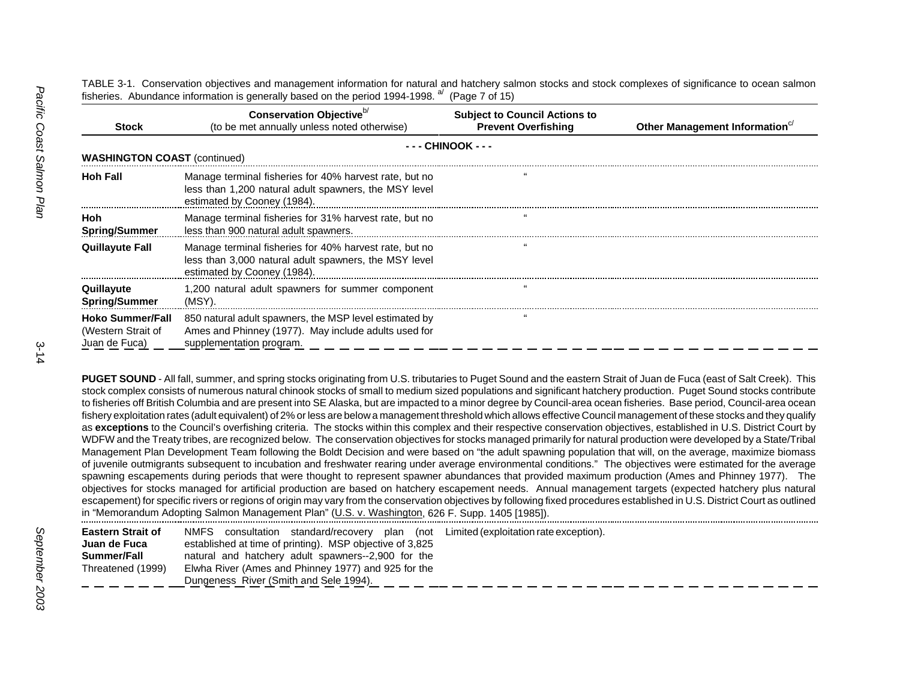TABLE 3-1. Conservation objectives and management information for natural and hatchery salmon stocks and stock complexes of significance to ocean salmon fisheries. Abundance information is generally based on the period 1994-1998.  $a^{1}$  (Page 7 of 15)

| <b>Stock</b>                                                   | Conservation Objective <sup>b/</sup><br>(to be met annually unless noted otherwise)                                                            | <b>Subject to Council Actions to</b><br><b>Prevent Overfishing</b> | Other Management Information <sup>c/</sup> |
|----------------------------------------------------------------|------------------------------------------------------------------------------------------------------------------------------------------------|--------------------------------------------------------------------|--------------------------------------------|
|                                                                |                                                                                                                                                | - - - CHINOOK - - -                                                |                                            |
| <b>WASHINGTON COAST (continued)</b>                            |                                                                                                                                                |                                                                    |                                            |
| <b>Hoh Fall</b>                                                | Manage terminal fisheries for 40% harvest rate, but no<br>less than 1,200 natural adult spawners, the MSY level<br>estimated by Cooney (1984). |                                                                    |                                            |
| Hoh.<br><b>Spring/Summer</b>                                   | Manage terminal fisheries for 31% harvest rate, but no<br>less than 900 natural adult spawners.                                                |                                                                    |                                            |
| <b>Quillayute Fall</b>                                         | Manage terminal fisheries for 40% harvest rate, but no<br>less than 3,000 natural adult spawners, the MSY level<br>estimated by Cooney (1984). |                                                                    |                                            |
| Quillayute<br><b>Spring/Summer</b>                             | 1,200 natural adult spawners for summer component<br>(MSY).                                                                                    |                                                                    |                                            |
| <b>Hoko Summer/Fall</b><br>(Western Strait of<br>Juan de Fuca) | 850 natural adult spawners, the MSP level estimated by<br>Ames and Phinney (1977). May include adults used for<br>supplementation program.     |                                                                    |                                            |

PUGET SOUND - All fall, summer, and spring stocks originating from U.S. tributaries to Puget Sound and the eastern Strait of Juan de Fuca (east of Salt Creek). This stock complex consists of numerous natural chinook stocks of small to medium sized populations and significant hatchery production. Puget Sound stocks contribute to fisheries off British Columbia and are present into SE Alaska, but are impacted to a minor degree by Council-area ocean fisheries. Base period, Council-area ocean fishery exploitation rates (adult equivalent) of 2% or less are below a management threshold which allows effective Council management of these stocks and they qualify as **exceptions** to the Council's overfishing criteria. The stocks within this complex and their respective conservation objectives, established in U.S. District Court by WDFW and the Treaty tribes, are recognized below. The conservation objectives for stocks managed primarily for natural production were developed by a State/Tribal Management Plan Development Team following the Boldt Decision and were based on "the adult spawning population that will, on the average, maximize biomass of juvenile outmigrants subsequent to incubation and freshwater rearing under average environmental conditions." The objectives were estimated for the average spawning escapements during periods that were thought to represent spawner abundances that provided maximum production (Ames and Phinney 1977). The objectives for stocks managed for artificial production are based on hatchery escapement needs. Annual management targets (expected hatchery plus natural escapement) for specific rivers or regions of origin may vary from the conservation objectives by following fixed procedures established in U.S. District Court as outlined in "Memorandum Adopting Salmon Management Plan" (U.S. v. Washington, 626 F. Supp. 1405 [1985]).

| <b>Eastern Strait of</b> | NMFS consultation standard/recovery plan (not Limited (exploitation rate exception). |
|--------------------------|--------------------------------------------------------------------------------------|
| Juan de Fuca             | established at time of printing). MSP objective of 3,825                             |
| Summer/Fall              | natural and hatchery adult spawners--2,900 for the                                   |
| Threatened (1999)        | Elwha River (Ames and Phinney 1977) and 925 for the                                  |
|                          | Dungeness River (Smith and Sele 1994).                                               |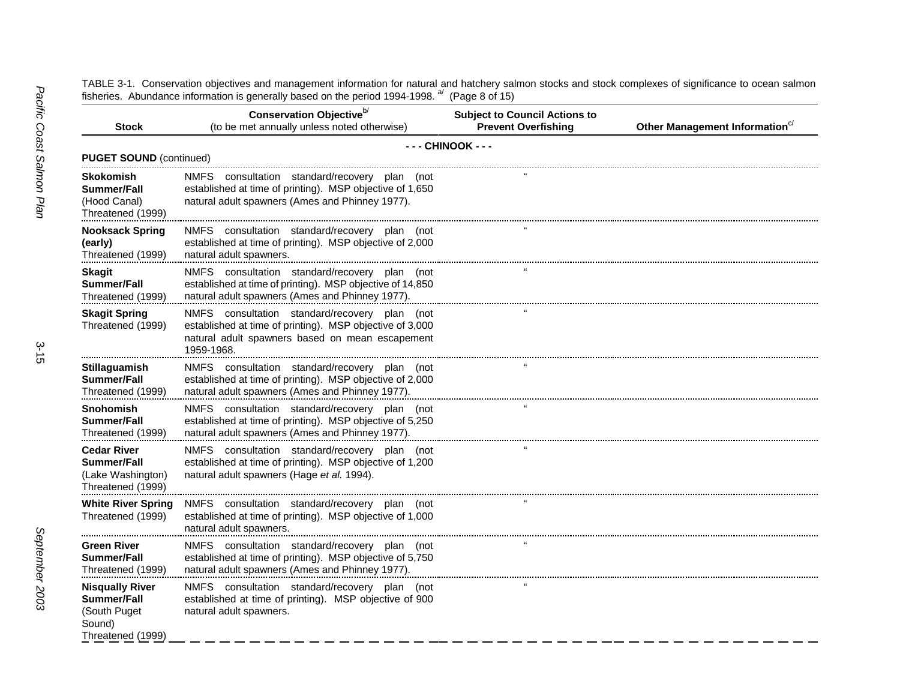TABLE 3-1. Conservation objectives and management information for natural and hatchery salmon stocks and stock complexes of significance to ocean salmon fisheries. Abundance information is generally based on the period 1994-1998. <sup>a/</sup> (Page 8 of 15)

| <b>Stock</b>                                                                                | Conservation Objective <sup>b/</sup><br>(to be met annually unless noted otherwise)                                                                                        | <b>Subject to Council Actions to</b><br><b>Prevent Overfishing</b> | Other Management Information <sup>c/</sup> |
|---------------------------------------------------------------------------------------------|----------------------------------------------------------------------------------------------------------------------------------------------------------------------------|--------------------------------------------------------------------|--------------------------------------------|
|                                                                                             |                                                                                                                                                                            |                                                                    |                                            |
| <b>PUGET SOUND (continued)</b>                                                              |                                                                                                                                                                            | - - - CHINOOK - - -                                                |                                            |
| Skokomish<br>Summer/Fall<br>(Hood Canal)<br>Threatened (1999)                               | NMFS consultation standard/recovery plan (not<br>established at time of printing). MSP objective of 1,650<br>natural adult spawners (Ames and Phinney 1977).               |                                                                    |                                            |
| <b>Nooksack Spring</b><br>(early)<br>Threatened (1999)                                      | NMFS consultation standard/recovery plan (not<br>established at time of printing). MSP objective of 2,000<br>natural adult spawners.                                       |                                                                    |                                            |
| Skagit<br>Summer/Fall<br>Threatened (1999)                                                  | NMFS consultation standard/recovery plan (not<br>established at time of printing). MSP objective of 14,850<br>natural adult spawners (Ames and Phinney 1977).              |                                                                    |                                            |
| <b>Skagit Spring</b><br>Threatened (1999)                                                   | NMFS consultation standard/recovery plan (not<br>established at time of printing). MSP objective of 3,000<br>natural adult spawners based on mean escapement<br>1959-1968. |                                                                    |                                            |
| <b>Stillaguamish</b><br><b>Summer/Fall</b><br>Threatened (1999)                             | NMFS consultation standard/recovery plan (not<br>established at time of printing). MSP objective of 2,000<br>natural adult spawners (Ames and Phinney 1977).               |                                                                    |                                            |
| Snohomish<br><b>Summer/Fall</b><br>Threatened (1999)                                        | NMFS consultation standard/recovery plan (not<br>established at time of printing). MSP objective of 5,250<br>natural adult spawners (Ames and Phinney 1977).               |                                                                    |                                            |
| <b>Cedar River</b><br><b>Summer/Fall</b><br>(Lake Washington)<br>Threatened (1999)          | NMFS consultation standard/recovery plan (not<br>established at time of printing). MSP objective of 1,200<br>natural adult spawners (Hage et al. 1994).                    |                                                                    |                                            |
| <b>White River Spring</b><br>Threatened (1999)                                              | NMFS consultation standard/recovery plan (not<br>established at time of printing). MSP objective of 1,000<br>natural adult spawners.                                       |                                                                    |                                            |
| Green River<br>Summer/Fall<br>Threatened (1999)                                             | NMFS consultation standard/recovery plan (not<br>established at time of printing). MSP objective of 5,750<br>natural adult spawners (Ames and Phinney 1977).               |                                                                    |                                            |
| <b>Nisqually River</b><br><b>Summer/Fall</b><br>(South Puget<br>Sound)<br>Threatened (1999) | NMFS consultation standard/recovery plan (not<br>established at time of printing). MSP objective of 900<br>natural adult spawners.                                         |                                                                    |                                            |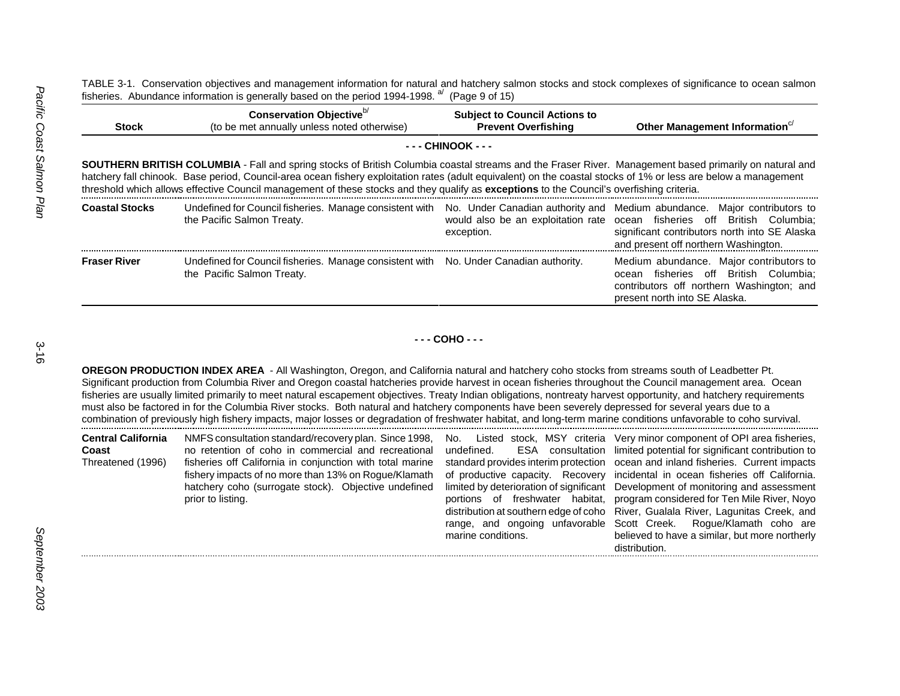TABLE 3-1. Conservation objectives and management information for natural and hatchery salmon stocks and stock complexes of significance to ocean salmon fisheries. Abundance information is generally based on the period 1994-1998.<sup>a/</sup> (Page 9 of 15)

| <b>Stock</b>          | Conservation Objective <sup>b/</sup><br>(to be met annually unless noted otherwise)                                                                                                                                                                                                                                                                                                                                                                                           | <b>Subject to Council Actions to</b><br><b>Prevent Overfishing</b> | Other Management Information $c$                                                                                                                                                                                                              |
|-----------------------|-------------------------------------------------------------------------------------------------------------------------------------------------------------------------------------------------------------------------------------------------------------------------------------------------------------------------------------------------------------------------------------------------------------------------------------------------------------------------------|--------------------------------------------------------------------|-----------------------------------------------------------------------------------------------------------------------------------------------------------------------------------------------------------------------------------------------|
|                       |                                                                                                                                                                                                                                                                                                                                                                                                                                                                               | - - - CHINOOK - - -                                                |                                                                                                                                                                                                                                               |
|                       | <b>SOUTHERN BRITISH COLUMBIA</b> - Fall and spring stocks of British Columbia coastal streams and the Fraser River. Management based primarily on natural and<br>hatchery fall chinook. Base period, Council-area ocean fishery exploitation rates (adult equivalent) on the coastal stocks of 1% or less are below a management<br>threshold which allows effective Council management of these stocks and they qualify as exceptions to the Council's overfishing criteria. |                                                                    |                                                                                                                                                                                                                                               |
| <b>Coastal Stocks</b> | Undefined for Council fisheries. Manage consistent with<br>the Pacific Salmon Treaty.                                                                                                                                                                                                                                                                                                                                                                                         | exception.                                                         | No. Under Canadian authority and Medium abundance. Major contributors to<br>would also be an exploitation rate ocean fisheries off British Columbia;<br>significant contributors north into SE Alaska<br>and present off northern Washington. |
| <b>Fraser River</b>   | Undefined for Council fisheries. Manage consistent with No. Under Canadian authority.<br>the Pacific Salmon Treaty.                                                                                                                                                                                                                                                                                                                                                           |                                                                    | Medium abundance. Major contributors to<br>fisheries off British Columbia:<br>ocean<br>contributors off northern Washington; and<br>present north into SE Alaska.                                                                             |

**- - - COHO - - -**

**OREGON PRODUCTION INDEX AREA** - All Washington, Oregon, and California natural and hatchery coho stocks from streams south of Leadbetter Pt. Significant production from Columbia River and Oregon coastal hatcheries provide harvest in ocean fisheries throughout the Council management area. Ocean fisheries are usually limited primarily to meet natural escapement objectives. Treaty Indian obligations, nontreaty harvest opportunity, and hatchery requirements must also be factored in for the Columbia River stocks. Both natural and hatchery components have been severely depressed for several years due to a combination of previously high fishery impacts, major losses or degradation of freshwater habitat, and long-term marine conditions unfavorable to coho survival.

| <b>Central California</b><br>Coast<br>Threatened (1996) | NMFS consultation standard/recovery plan. Since 1998,<br>no retention of coho in commercial and recreational<br>fisheries off California in conjunction with total marine<br>fishery impacts of no more than 13% on Rogue/Klamath<br>hatchery coho (surrogate stock). Objective undefined<br>prior to listing. | undefined.<br>marine conditions. | No. Listed stock, MSY criteria Very minor component of OPI area fisheries,<br>ESA consultation limited potential for significant contribution to<br>standard provides interim protection ocean and inland fisheries. Current impacts<br>of productive capacity. Recovery incidental in ocean fisheries off California.<br>limited by deterioration of significant Development of monitoring and assessment<br>portions of freshwater habitat, program considered for Ten Mile River, Noyo<br>distribution at southern edge of coho River, Gualala River, Lagunitas Creek, and<br>range, and ongoing unfavorable Scott Creek. Rogue/Klamath coho are<br>believed to have a similar, but more northerly |
|---------------------------------------------------------|----------------------------------------------------------------------------------------------------------------------------------------------------------------------------------------------------------------------------------------------------------------------------------------------------------------|----------------------------------|-------------------------------------------------------------------------------------------------------------------------------------------------------------------------------------------------------------------------------------------------------------------------------------------------------------------------------------------------------------------------------------------------------------------------------------------------------------------------------------------------------------------------------------------------------------------------------------------------------------------------------------------------------------------------------------------------------|
|                                                         |                                                                                                                                                                                                                                                                                                                |                                  | distribution.                                                                                                                                                                                                                                                                                                                                                                                                                                                                                                                                                                                                                                                                                         |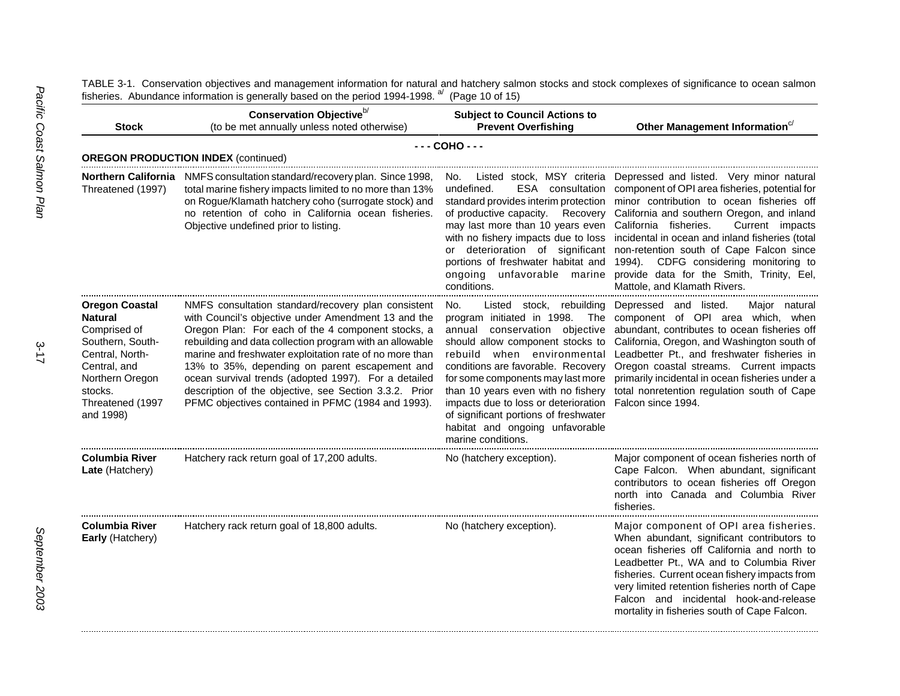| <b>Stock</b>                                                                                                                                                    | Conservation Objective <sup>b/</sup><br>(to be met annually unless noted otherwise)                                                                                                                                                                                                                                                                                                                                                                                                                               | <b>Subject to Council Actions to</b><br><b>Prevent Overfishing</b>                                                                                                                                                                                                                                                                                                                                                                 | Other Management Information <sup>c/</sup>                                                                                                                                                                                                                                                                                                                                                                                                                                                                                               |
|-----------------------------------------------------------------------------------------------------------------------------------------------------------------|-------------------------------------------------------------------------------------------------------------------------------------------------------------------------------------------------------------------------------------------------------------------------------------------------------------------------------------------------------------------------------------------------------------------------------------------------------------------------------------------------------------------|------------------------------------------------------------------------------------------------------------------------------------------------------------------------------------------------------------------------------------------------------------------------------------------------------------------------------------------------------------------------------------------------------------------------------------|------------------------------------------------------------------------------------------------------------------------------------------------------------------------------------------------------------------------------------------------------------------------------------------------------------------------------------------------------------------------------------------------------------------------------------------------------------------------------------------------------------------------------------------|
|                                                                                                                                                                 | <b>OREGON PRODUCTION INDEX (continued)</b>                                                                                                                                                                                                                                                                                                                                                                                                                                                                        | $--$ COHO $--$                                                                                                                                                                                                                                                                                                                                                                                                                     |                                                                                                                                                                                                                                                                                                                                                                                                                                                                                                                                          |
| Threatened (1997)                                                                                                                                               | <b>Northern California</b> NMFS consultation standard/recovery plan. Since 1998,<br>total marine fishery impacts limited to no more than 13%<br>on Rogue/Klamath hatchery coho (surrogate stock) and<br>no retention of coho in California ocean fisheries.<br>Objective undefined prior to listing.                                                                                                                                                                                                              | No.<br>ESA<br>undefined.<br>consultation<br>standard provides interim protection<br>of productive capacity.<br>may last more than 10 years even California fisheries.<br>portions of freshwater habitat and<br>ongoing unfavorable marine<br>conditions.                                                                                                                                                                           | Listed stock, MSY criteria Depressed and listed. Very minor natural<br>component of OPI area fisheries, potential for<br>minor contribution to ocean fisheries off<br>Recovery California and southern Oregon, and inland<br>Current impacts<br>with no fishery impacts due to loss incidental in ocean and inland fisheries (total<br>or deterioration of significant non-retention south of Cape Falcon since<br>1994).<br>CDFG considering monitoring to<br>provide data for the Smith, Trinity, Eel,<br>Mattole, and Klamath Rivers. |
| Oregon Coastal<br>Natural<br>Comprised of<br>Southern, South-<br>Central, North-<br>Central, and<br>Northern Oregon<br>stocks.<br>Threatened (1997<br>and 1998) | NMFS consultation standard/recovery plan consistent<br>with Council's objective under Amendment 13 and the<br>Oregon Plan: For each of the 4 component stocks, a<br>rebuilding and data collection program with an allowable<br>marine and freshwater exploitation rate of no more than<br>13% to 35%, depending on parent escapement and<br>ocean survival trends (adopted 1997). For a detailed<br>description of the objective, see Section 3.3.2. Prior<br>PFMC objectives contained in PFMC (1984 and 1993). | Listed stock, rebuilding<br>No.<br>program initiated in 1998.<br>The<br>annual conservation objective<br>should allow component stocks to<br>rebuild when environmental<br>conditions are favorable. Recovery<br>for some components may last more<br>than 10 years even with no fishery<br>impacts due to loss or deterioration<br>of significant portions of freshwater<br>habitat and ongoing unfavorable<br>marine conditions. | Depressed and listed.<br>Major natural<br>component of OPI area which, when<br>abundant, contributes to ocean fisheries off<br>California, Oregon, and Washington south of<br>Leadbetter Pt., and freshwater fisheries in<br>Oregon coastal streams. Current impacts<br>primarily incidental in ocean fisheries under a<br>total nonretention regulation south of Cape<br>Falcon since 1994.                                                                                                                                             |
| Columbia River<br>Late (Hatchery)                                                                                                                               | Hatchery rack return goal of 17,200 adults.                                                                                                                                                                                                                                                                                                                                                                                                                                                                       | No (hatchery exception).                                                                                                                                                                                                                                                                                                                                                                                                           | Major component of ocean fisheries north of<br>Cape Falcon. When abundant, significant<br>contributors to ocean fisheries off Oregon<br>north into Canada and Columbia River<br>fisheries.                                                                                                                                                                                                                                                                                                                                               |
| Columbia River<br>Early (Hatchery)                                                                                                                              | Hatchery rack return goal of 18,800 adults.                                                                                                                                                                                                                                                                                                                                                                                                                                                                       | No (hatchery exception).                                                                                                                                                                                                                                                                                                                                                                                                           | Major component of OPI area fisheries.<br>When abundant, significant contributors to<br>ocean fisheries off California and north to<br>Leadbetter Pt., WA and to Columbia River<br>fisheries. Current ocean fishery impacts from<br>very limited retention fisheries north of Cape<br>Falcon and incidental hook-and-release<br>mortality in fisheries south of Cape Falcon.                                                                                                                                                             |

TABLE 3-1. Conservation objectives and management information for natural and hatchery salmon stocks and stock complexes of significance to ocean salmon fisheries. Abundance information is generally based on the period 1994-1998. <sup>a/</sup> (Page 10 of 15)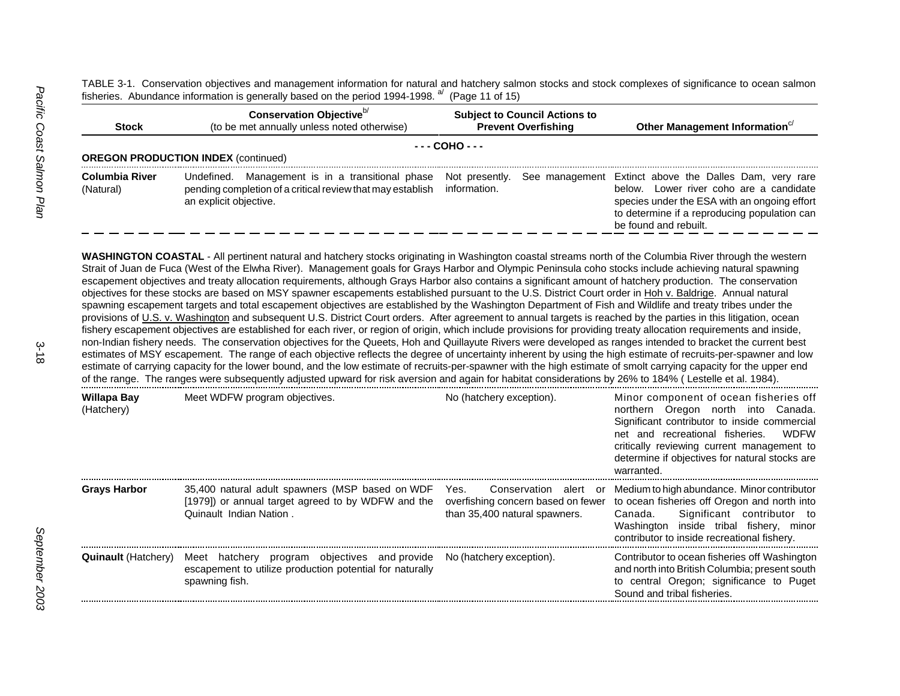TABLE 3-1. Conservation objectives and management information for natural and hatchery salmon stocks and stock complexes of significance to ocean salmon fisheries. Abundance information is generally based on the period 1994-1998.  $a^{d}$  (Page 11 of 15)

| <b>Stock</b>                       | Conservation Objective <sup>b/</sup><br>(to be met annually unless noted otherwise)                                                         | <b>Subject to Council Actions to</b><br><b>Prevent Overfishing</b> | Other Management Information <sup>c/</sup>                                                                                                                                                                                    |
|------------------------------------|---------------------------------------------------------------------------------------------------------------------------------------------|--------------------------------------------------------------------|-------------------------------------------------------------------------------------------------------------------------------------------------------------------------------------------------------------------------------|
|                                    | <b>OREGON PRODUCTION INDEX (continued)</b>                                                                                                  | --- COHO ---                                                       |                                                                                                                                                                                                                               |
| <b>Columbia River</b><br>(Natural) | Management is in a transitional phase<br>Undefined.<br>pending completion of a critical review that may establish<br>an explicit objective. | Not presently.<br>information.                                     | See management Extinct above the Dalles Dam, very rare<br>Lower river coho are a candidate<br>below.<br>species under the ESA with an ongoing effort<br>to determine if a reproducing population can<br>be found and rebuilt. |

**WASHINGTON COASTAL** - All pertinent natural and hatchery stocks originating in Washington coastal streams north of the Columbia River through the western Strait of Juan de Fuca (West of the Elwha River). Management goals for Grays Harbor and Olympic Peninsula coho stocks include achieving natural spawning escapement objectives and treaty allocation requirements, although Grays Harbor also contains a significant amount of hatchery production. The conservation objectives for these stocks are based on MSY spawner escapements established pursuant to the U.S. District Court order in Hoh v. Baldrige. Annual natural spawning escapement targets and total escapement objectives are established by the Washington Department of Fish and Wildlife and treaty tribes under the provisions of U.S. v. Washington and subsequent U.S. District Court orders. After agreement to annual targets is reached by the parties in this litigation, ocean fishery escapement objectives are established for each river, or region of origin, which include provisions for providing treaty allocation requirements and inside, non-Indian fishery needs. The conservation objectives for the Queets, Hoh and Quillayute Rivers were developed as ranges intended to bracket the current best estimates of MSY escapement. The range of each objective reflects the degree of uncertainty inherent by using the high estimate of recruits-per-spawner and low estimate of carrying capacity for the lower bound, and the low estimate of recruits-per-spawner with the high estimate of smolt carrying capacity for the upper end of the range. The ranges were subsequently adjusted upward for risk aversion and again for habitat considerations by 26% to 184% ( Lestelle et al. 1984).

| Willapa Bay<br>(Hatchery)  | Meet WDFW program objectives.                                                                                                                       | No (hatchery exception).                                                    | Minor component of ocean fisheries off<br>northern Oregon north into Canada.<br>Significant contributor to inside commercial<br>net and recreational fisheries.<br><b>WDFW</b><br>critically reviewing current management to<br>determine if objectives for natural stocks are<br>warranted. |
|----------------------------|-----------------------------------------------------------------------------------------------------------------------------------------------------|-----------------------------------------------------------------------------|----------------------------------------------------------------------------------------------------------------------------------------------------------------------------------------------------------------------------------------------------------------------------------------------|
| <b>Grays Harbor</b>        | 35,400 natural adult spawners (MSP based on WDF<br>[1979]) or annual target agreed to by WDFW and the<br>Quinault Indian Nation.                    | Yes.<br>overfishing concern based on fewer<br>than 35,400 natural spawners. | Conservation alert or Medium to high abundance. Minor contributor<br>to ocean fisheries off Oregon and north into<br>Significant contributor to<br>Canada.<br>Washington inside tribal fishery, minor<br>contributor to inside recreational fishery.                                         |
| <b>Quinault</b> (Hatchery) | Meet hatchery program objectives and provide No (hatchery exception).<br>escapement to utilize production potential for naturally<br>spawning fish. |                                                                             | Contributor to ocean fisheries off Washington<br>and north into British Columbia; present south<br>to central Oregon; significance to Puget<br>Sound and tribal fisheries.                                                                                                                   |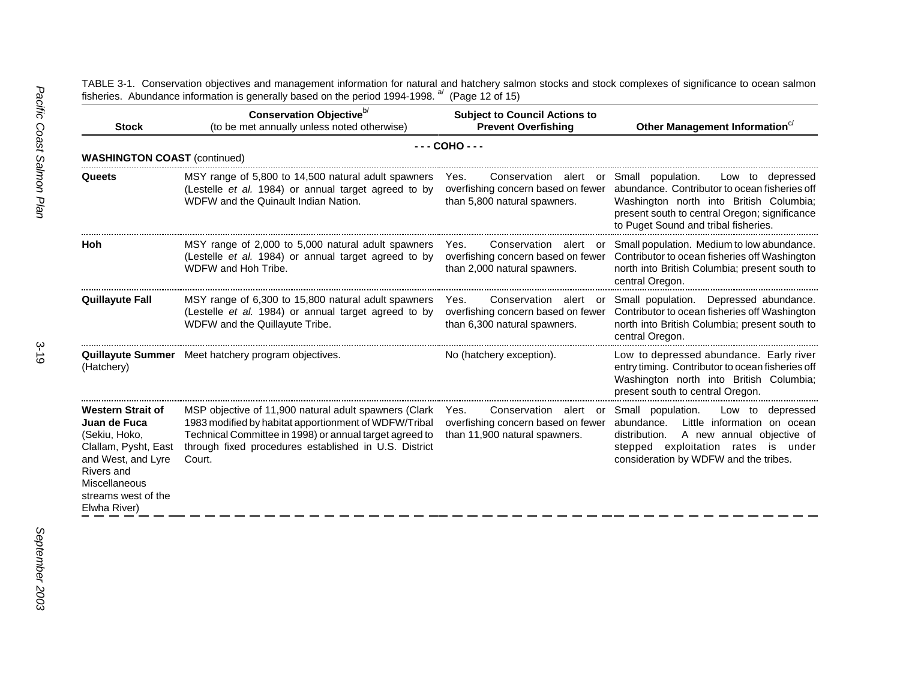TABLE 3-1. Conservation objectives and management information for natural and hatchery salmon stocks and stock complexes of significance to ocean salmon fisheries. Abundance information is generally based on the period 1994-1998. <sup>a/</sup> (Page 12 of 15)

| <b>Stock</b>                                                                                                                                                                  | Conservation Objective <sup>b/</sup><br>(to be met annually unless noted otherwise)                                                                                                                                                          | <b>Subject to Council Actions to</b><br><b>Prevent Overfishing</b>                                     | Other Management Information <sup>c/</sup>                                                                                                                                                                                 |
|-------------------------------------------------------------------------------------------------------------------------------------------------------------------------------|----------------------------------------------------------------------------------------------------------------------------------------------------------------------------------------------------------------------------------------------|--------------------------------------------------------------------------------------------------------|----------------------------------------------------------------------------------------------------------------------------------------------------------------------------------------------------------------------------|
| <b>WASHINGTON COAST (continued)</b>                                                                                                                                           |                                                                                                                                                                                                                                              | $--$ COHO $--$                                                                                         |                                                                                                                                                                                                                            |
| Queets                                                                                                                                                                        | MSY range of 5,800 to 14,500 natural adult spawners<br>(Lestelle et al. 1984) or annual target agreed to by<br>WDFW and the Quinault Indian Nation.                                                                                          | Yes.<br>Conservation alert or<br>overfishing concern based on fewer<br>than 5,800 natural spawners.    | Small population.<br>Low to depressed<br>abundance. Contributor to ocean fisheries off<br>Washington north into British Columbia;<br>present south to central Oregon; significance<br>to Puget Sound and tribal fisheries. |
| Hoh                                                                                                                                                                           | MSY range of 2,000 to 5,000 natural adult spawners<br>(Lestelle et al. 1984) or annual target agreed to by<br>WDFW and Hoh Tribe.                                                                                                            | Conservation alert or<br>Yes.<br>overfishing concern based on fewer<br>than 2,000 natural spawners.    | Small population. Medium to low abundance.<br>Contributor to ocean fisheries off Washington<br>north into British Columbia; present south to<br>central Oregon.                                                            |
| <b>Quillayute Fall</b>                                                                                                                                                        | MSY range of 6,300 to 15,800 natural adult spawners<br>(Lestelle et al. 1984) or annual target agreed to by<br>WDFW and the Quillayute Tribe.                                                                                                | Conservation<br>Yes.<br>alert or<br>overfishing concern based on fewer<br>than 6,300 natural spawners. | Small population. Depressed abundance.<br>Contributor to ocean fisheries off Washington<br>north into British Columbia; present south to<br>central Oregon.                                                                |
| (Hatchery)                                                                                                                                                                    | <b>Quillayute Summer</b> Meet hatchery program objectives.                                                                                                                                                                                   | No (hatchery exception).                                                                               | Low to depressed abundance. Early river<br>entry timing. Contributor to ocean fisheries off<br>Washington north into British Columbia;<br>present south to central Oregon.                                                 |
| <b>Western Strait of</b><br>Juan de Fuca<br>(Sekiu, Hoko,<br>Clallam, Pysht, East<br>and West, and Lyre<br>Rivers and<br>Miscellaneous<br>streams west of the<br>Elwha River) | MSP objective of 11,900 natural adult spawners (Clark<br>1983 modified by habitat apportionment of WDFW/Tribal<br>Technical Committee in 1998) or annual target agreed to<br>through fixed procedures established in U.S. District<br>Court. | Conservation alert or<br>Yes.<br>overfishing concern based on fewer<br>than 11,900 natural spawners.   | Small population.<br>Low to<br>depressed<br>abundance.<br>Little information on ocean<br>A new annual objective of<br>distribution.<br>exploitation rates is under<br>stepped<br>consideration by WDFW and the tribes.     |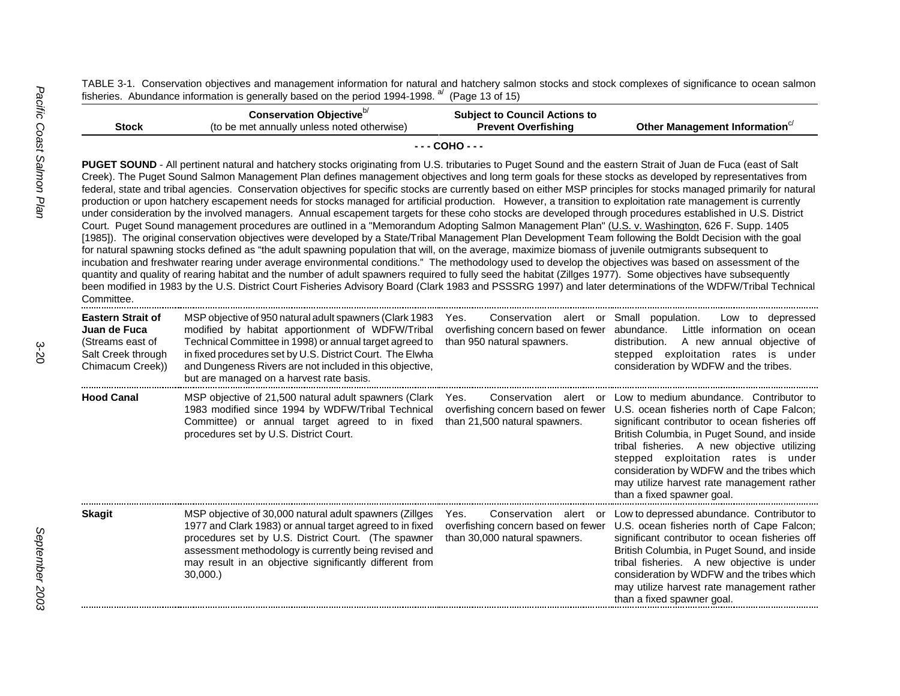TABLE 3-1. Conservation objectives and management information for natural and hatchery salmon stocks and stock complexes of significance to ocean salmon fisheries. Abundance information is generally based on the period 1994-1998. <sup>a/</sup> (Page 13 of 15)

| <b>Stock</b>                                                                                           | Conservation Objective <sup>b/</sup><br>(to be met annually unless noted otherwise)                                                                                                                                                                                                                                                                                                                                                                                                                                                                                                                                                                                                                                                                                                                                                                                                                                                                                                                                                                                                                                                                                                                                                                                                                                                                                                                                                                                                                                                                                                                                                                                                                                                                                                                      | <b>Subject to Council Actions to</b><br><b>Prevent Overfishing</b>                                                             | Other Management Information <sup>c/</sup>                                                                                                                                                                                                                                                                                                                                                              |
|--------------------------------------------------------------------------------------------------------|----------------------------------------------------------------------------------------------------------------------------------------------------------------------------------------------------------------------------------------------------------------------------------------------------------------------------------------------------------------------------------------------------------------------------------------------------------------------------------------------------------------------------------------------------------------------------------------------------------------------------------------------------------------------------------------------------------------------------------------------------------------------------------------------------------------------------------------------------------------------------------------------------------------------------------------------------------------------------------------------------------------------------------------------------------------------------------------------------------------------------------------------------------------------------------------------------------------------------------------------------------------------------------------------------------------------------------------------------------------------------------------------------------------------------------------------------------------------------------------------------------------------------------------------------------------------------------------------------------------------------------------------------------------------------------------------------------------------------------------------------------------------------------------------------------|--------------------------------------------------------------------------------------------------------------------------------|---------------------------------------------------------------------------------------------------------------------------------------------------------------------------------------------------------------------------------------------------------------------------------------------------------------------------------------------------------------------------------------------------------|
|                                                                                                        |                                                                                                                                                                                                                                                                                                                                                                                                                                                                                                                                                                                                                                                                                                                                                                                                                                                                                                                                                                                                                                                                                                                                                                                                                                                                                                                                                                                                                                                                                                                                                                                                                                                                                                                                                                                                          | $- - -$ COHO $- -$                                                                                                             |                                                                                                                                                                                                                                                                                                                                                                                                         |
| Committee.                                                                                             | PUGET SOUND - All pertinent natural and hatchery stocks originating from U.S. tributaries to Puget Sound and the eastern Strait of Juan de Fuca (east of Salt<br>Creek). The Puget Sound Salmon Management Plan defines management objectives and long term goals for these stocks as developed by representatives from<br>federal, state and tribal agencies. Conservation objectives for specific stocks are currently based on either MSP principles for stocks managed primarily for natural<br>production or upon hatchery escapement needs for stocks managed for artificial production. However, a transition to exploitation rate management is currently<br>under consideration by the involved managers. Annual escapement targets for these coho stocks are developed through procedures established in U.S. District<br>Court. Puget Sound management procedures are outlined in a "Memorandum Adopting Salmon Management Plan" (U.S. v. Washington, 626 F. Supp. 1405<br>[1985]). The original conservation objectives were developed by a State/Tribal Management Plan Development Team following the Boldt Decision with the goal<br>for natural spawning stocks defined as "the adult spawning population that will, on the average, maximize biomass of juvenile outmigrants subsequent to<br>incubation and freshwater rearing under average environmental conditions." The methodology used to develop the objectives was based on assessment of the<br>quantity and quality of rearing habitat and the number of adult spawners required to fully seed the habitat (Zillges 1977). Some objectives have subsequently<br>been modified in 1983 by the U.S. District Court Fisheries Advisory Board (Clark 1983 and PSSSRG 1997) and later determinations of the WDFW/Tribal Technical |                                                                                                                                |                                                                                                                                                                                                                                                                                                                                                                                                         |
| <b>Eastern Strait of</b><br>Juan de Fuca<br>(Streams east of<br>Salt Creek through<br>Chimacum Creek)) | MSP objective of 950 natural adult spawners (Clark 1983<br>modified by habitat apportionment of WDFW/Tribal<br>Technical Committee in 1998) or annual target agreed to<br>in fixed procedures set by U.S. District Court. The Elwha<br>and Dungeness Rivers are not included in this objective,<br>but are managed on a harvest rate basis.                                                                                                                                                                                                                                                                                                                                                                                                                                                                                                                                                                                                                                                                                                                                                                                                                                                                                                                                                                                                                                                                                                                                                                                                                                                                                                                                                                                                                                                              | Conservation alert or Small population.<br>Yes.<br>overfishing concern based on fewer abundance.<br>than 950 natural spawners. | Low to depressed<br>Little information on ocean<br>distribution.<br>A new annual objective of<br>stepped exploitation rates is under<br>consideration by WDFW and the tribes.                                                                                                                                                                                                                           |
| <b>Hood Canal</b>                                                                                      | MSP objective of 21,500 natural adult spawners (Clark<br>1983 modified since 1994 by WDFW/Tribal Technical<br>Committee) or annual target agreed to in fixed<br>procedures set by U.S. District Court.                                                                                                                                                                                                                                                                                                                                                                                                                                                                                                                                                                                                                                                                                                                                                                                                                                                                                                                                                                                                                                                                                                                                                                                                                                                                                                                                                                                                                                                                                                                                                                                                   | Conservation alert or<br>Yes.<br>overfishing concern based on fewer<br>than 21,500 natural spawners.                           | Low to medium abundance. Contributor to<br>U.S. ocean fisheries north of Cape Falcon;<br>significant contributor to ocean fisheries off<br>British Columbia, in Puget Sound, and inside<br>tribal fisheries. A new objective utilizing<br>stepped exploitation rates is under<br>consideration by WDFW and the tribes which<br>may utilize harvest rate management rather<br>than a fixed spawner goal. |
| <b>Skagit</b>                                                                                          | MSP objective of 30,000 natural adult spawners (Zillges<br>1977 and Clark 1983) or annual target agreed to in fixed<br>procedures set by U.S. District Court. (The spawner<br>assessment methodology is currently being revised and<br>may result in an objective significantly different from<br>30,000.                                                                                                                                                                                                                                                                                                                                                                                                                                                                                                                                                                                                                                                                                                                                                                                                                                                                                                                                                                                                                                                                                                                                                                                                                                                                                                                                                                                                                                                                                                | Conservation alert or<br>Yes.<br>overfishing concern based on fewer<br>than 30,000 natural spawners.                           | Low to depressed abundance. Contributor to<br>U.S. ocean fisheries north of Cape Falcon;<br>significant contributor to ocean fisheries off<br>British Columbia, in Puget Sound, and inside<br>tribal fisheries. A new objective is under<br>consideration by WDFW and the tribes which<br>may utilize harvest rate management rather<br>than a fixed spawner goal.                                      |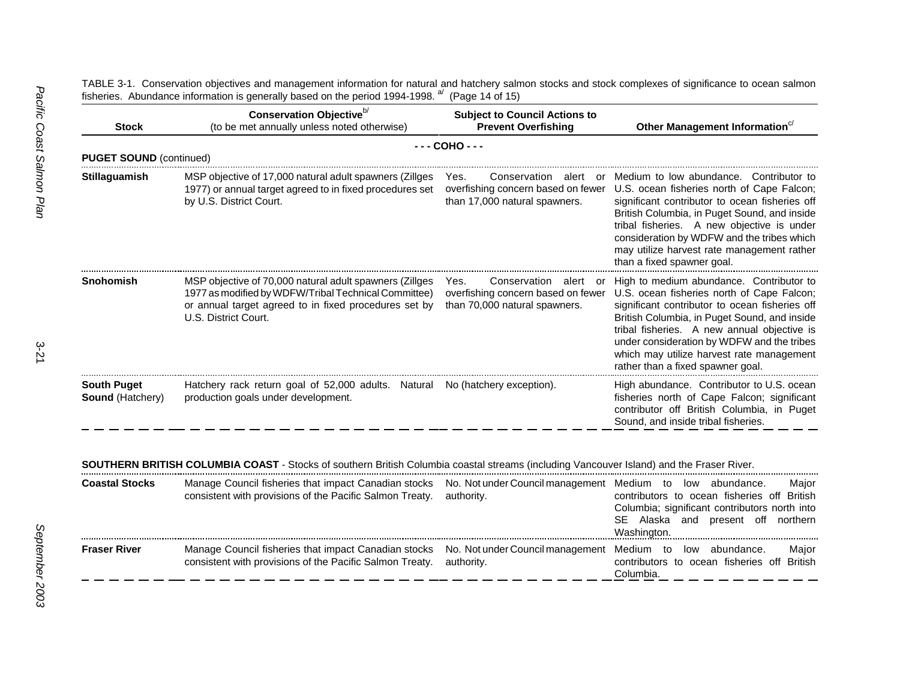| <b>Stock</b>                                    | Conservation Objective <sup>b/</sup><br>(to be met annually unless noted otherwise)                                                                                                              | <b>Subject to Council Actions to</b><br><b>Prevent Overfishing</b>                                      | Other Management Information <sup>c/</sup>                                                                                                                                                                                                                                                                                                                              |  |  |  |
|-------------------------------------------------|--------------------------------------------------------------------------------------------------------------------------------------------------------------------------------------------------|---------------------------------------------------------------------------------------------------------|-------------------------------------------------------------------------------------------------------------------------------------------------------------------------------------------------------------------------------------------------------------------------------------------------------------------------------------------------------------------------|--|--|--|
| $--- COHO---$<br><b>PUGET SOUND (continued)</b> |                                                                                                                                                                                                  |                                                                                                         |                                                                                                                                                                                                                                                                                                                                                                         |  |  |  |
| <b>Stillaguamish</b>                            | MSP objective of 17,000 natural adult spawners (Zillges<br>1977) or annual target agreed to in fixed procedures set<br>by U.S. District Court.                                                   | Yes.<br>Conservation<br>alert or<br>overfishing concern based on fewer<br>than 17,000 natural spawners. | Medium to low abundance. Contributor to<br>U.S. ocean fisheries north of Cape Falcon;<br>significant contributor to ocean fisheries off<br>British Columbia, in Puget Sound, and inside<br>tribal fisheries. A new objective is under<br>consideration by WDFW and the tribes which<br>may utilize harvest rate management rather<br>than a fixed spawner goal.         |  |  |  |
| Snohomish                                       | MSP objective of 70,000 natural adult spawners (Zillges<br>1977 as modified by WDFW/Tribal Technical Committee)<br>or annual target agreed to in fixed procedures set by<br>U.S. District Court. | Yes.<br>Conservation<br>alert or<br>overfishing concern based on fewer<br>than 70,000 natural spawners. | High to medium abundance. Contributor to<br>U.S. ocean fisheries north of Cape Falcon;<br>significant contributor to ocean fisheries off<br>British Columbia, in Puget Sound, and inside<br>tribal fisheries. A new annual objective is<br>under consideration by WDFW and the tribes<br>which may utilize harvest rate management<br>rather than a fixed spawner goal. |  |  |  |
| <b>South Puget</b><br><b>Sound (Hatchery)</b>   | Hatchery rack return goal of 52,000 adults. Natural No (hatchery exception).<br>production goals under development.                                                                              |                                                                                                         | High abundance. Contributor to U.S. ocean<br>fisheries north of Cape Falcon; significant<br>contributor off British Columbia, in Puget<br>Sound, and inside tribal fisheries.                                                                                                                                                                                           |  |  |  |

TABLE 3-1. Conservation objectives and management information for natural and hatchery salmon stocks and stock complexes of significance to ocean salmon fisheries. Abundance information is generally based on the period 1994-1998. <sup>a/</sup> (Page 14 of 15)

**SOUTHERN BRITISH COLUMBIA COAST** - Stocks of southern British Columbia coastal streams (including Vancouver Island) and the Fraser River.

| <b>Coastal Stocks</b> | Manage Council fisheries that impact Canadian stocks No. Not under Council management Medium to low abundance.<br>consistent with provisions of the Pacific Salmon Treaty. authority. | Major<br>contributors to ocean fisheries off British<br>Columbia; significant contributors north into<br>SE Alaska and present off northern<br>Washington. |
|-----------------------|---------------------------------------------------------------------------------------------------------------------------------------------------------------------------------------|------------------------------------------------------------------------------------------------------------------------------------------------------------|
| <b>Fraser River</b>   | Manage Council fisheries that impact Canadian stocks No. Not under Council management Medium to low abundance.<br>consistent with provisions of the Pacific Salmon Treaty. authority. | Major<br>contributors to ocean fisheries off British<br>Columbia.                                                                                          |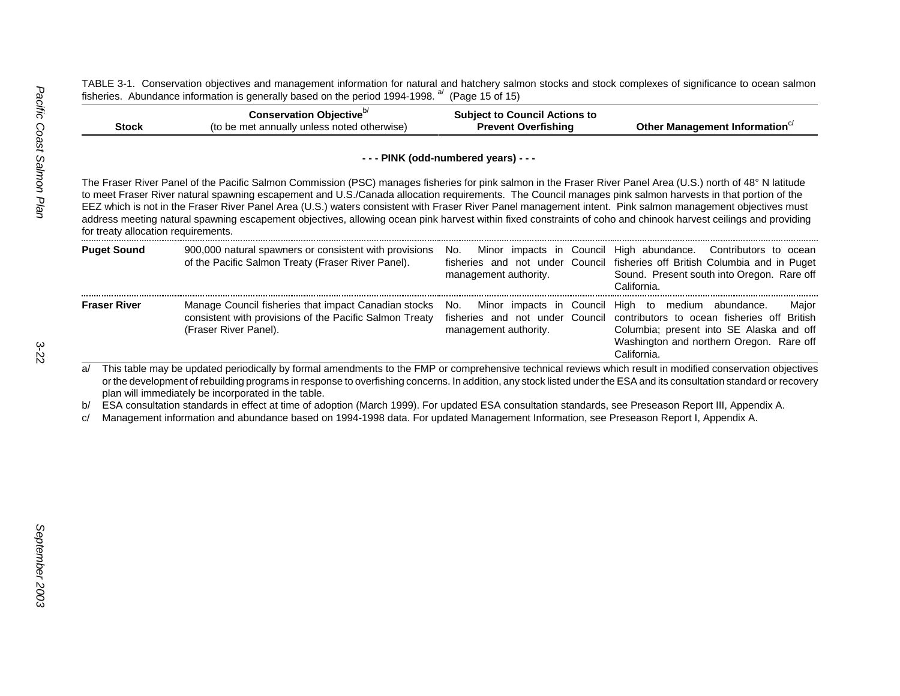TABLE 3-1. Conservation objectives and management information for natural and hatchery salmon stocks and stock complexes of significance to ocean salmon fisheries. Abundance information is generally based on the period 1994-1998.  $a^{d}$  (Page 15 of 15)

|       | Conservation Objective <sup>"</sup>         | <b>Subject to Council Actions to</b> |                              |
|-------|---------------------------------------------|--------------------------------------|------------------------------|
| Stock | (to be met annually unless noted otherwise) | <b>Prevent Overfishing</b>           | Other Management Information |

|                                     |                                                                                                                                                                                                                                                                                                                                                                                                                                                                                                                                                                                                                                                             | --- PINK (odd-numbered years) --- |                                                                                                                                                                                                                                                   |
|-------------------------------------|-------------------------------------------------------------------------------------------------------------------------------------------------------------------------------------------------------------------------------------------------------------------------------------------------------------------------------------------------------------------------------------------------------------------------------------------------------------------------------------------------------------------------------------------------------------------------------------------------------------------------------------------------------------|-----------------------------------|---------------------------------------------------------------------------------------------------------------------------------------------------------------------------------------------------------------------------------------------------|
| for treaty allocation requirements. | The Fraser River Panel of the Pacific Salmon Commission (PSC) manages fisheries for pink salmon in the Fraser River Panel Area (U.S.) north of 48° N latitude<br>to meet Fraser River natural spawning escapement and U.S./Canada allocation requirements. The Council manages pink salmon harvests in that portion of the<br>EEZ which is not in the Fraser River Panel Area (U.S.) waters consistent with Fraser River Panel management intent. Pink salmon management objectives must<br>address meeting natural spawning escapement objectives, allowing ocean pink harvest within fixed constraints of coho and chinook harvest ceilings and providing |                                   |                                                                                                                                                                                                                                                   |
| <b>Puget Sound</b>                  | 900,000 natural spawners or consistent with provisions<br>of the Pacific Salmon Treaty (Fraser River Panel).                                                                                                                                                                                                                                                                                                                                                                                                                                                                                                                                                | No.<br>management authority.      | Minor impacts in Council High abundance. Contributors to ocean<br>fisheries and not under Council fisheries off British Columbia and in Puget<br>Sound. Present south into Oregon. Rare off<br>California.                                        |
| <b>Fraser River</b>                 | Manage Council fisheries that impact Canadian stocks<br>consistent with provisions of the Pacific Salmon Treaty<br>(Fraser River Panel).                                                                                                                                                                                                                                                                                                                                                                                                                                                                                                                    | No.<br>management authority.      | Minor impacts in Council High to medium abundance.<br>Major<br>fisheries and not under Council contributors to ocean fisheries off British<br>Columbia; present into SE Alaska and off<br>Washington and northern Oregon. Rare off<br>California. |
| b/<br>c/                            | or the development of rebuilding programs in response to overfishing concerns. In addition, any stock listed under the ESA and its consultation standard or recovery<br>plan will immediately be incorporated in the table.<br>ESA consultation standards in effect at time of adoption (March 1999). For updated ESA consultation standards, see Preseason Report III, Appendix A.<br>Management information and abundance based on 1994-1998 data. For updated Management Information, see Preseason Report I, Appendix A.                                                                                                                                |                                   |                                                                                                                                                                                                                                                   |
|                                     |                                                                                                                                                                                                                                                                                                                                                                                                                                                                                                                                                                                                                                                             |                                   |                                                                                                                                                                                                                                                   |
|                                     |                                                                                                                                                                                                                                                                                                                                                                                                                                                                                                                                                                                                                                                             |                                   |                                                                                                                                                                                                                                                   |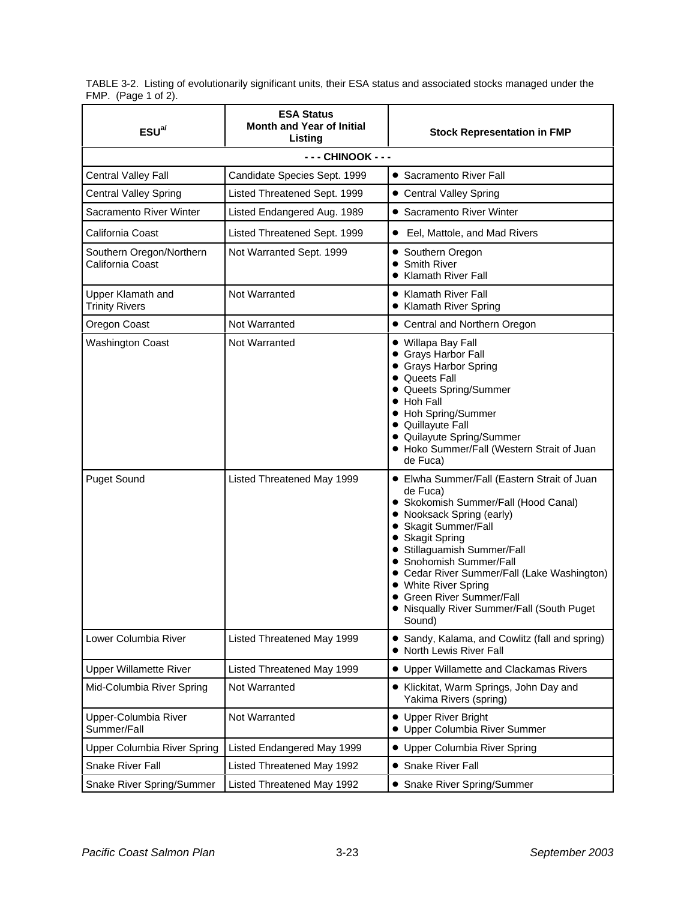TABLE 3-2. Listing of evolutionarily significant units, their ESA status and associated stocks managed under the FMP. (Page 1 of 2).

| ESU <sup>a/</sup>                            | <b>ESA Status</b><br><b>Month and Year of Initial</b><br>Listing | <b>Stock Representation in FMP</b>                                                                                                                                                                                                                                                                                                                                                            |
|----------------------------------------------|------------------------------------------------------------------|-----------------------------------------------------------------------------------------------------------------------------------------------------------------------------------------------------------------------------------------------------------------------------------------------------------------------------------------------------------------------------------------------|
|                                              | - - - CHINOOK - - -                                              |                                                                                                                                                                                                                                                                                                                                                                                               |
| Central Valley Fall                          | Candidate Species Sept. 1999                                     | • Sacramento River Fall                                                                                                                                                                                                                                                                                                                                                                       |
| <b>Central Valley Spring</b>                 | Listed Threatened Sept. 1999                                     | • Central Valley Spring                                                                                                                                                                                                                                                                                                                                                                       |
| Sacramento River Winter                      | Listed Endangered Aug. 1989                                      | • Sacramento River Winter                                                                                                                                                                                                                                                                                                                                                                     |
| California Coast                             | Listed Threatened Sept. 1999                                     | • Eel, Mattole, and Mad Rivers                                                                                                                                                                                                                                                                                                                                                                |
| Southern Oregon/Northern<br>California Coast | Not Warranted Sept. 1999                                         | • Southern Oregon<br>• Smith River<br>• Klamath River Fall                                                                                                                                                                                                                                                                                                                                    |
| Upper Klamath and<br><b>Trinity Rivers</b>   | Not Warranted                                                    | • Klamath River Fall<br>• Klamath River Spring                                                                                                                                                                                                                                                                                                                                                |
| Oregon Coast                                 | Not Warranted                                                    | • Central and Northern Oregon                                                                                                                                                                                                                                                                                                                                                                 |
| <b>Washington Coast</b>                      | Not Warranted                                                    | • Willapa Bay Fall<br>• Grays Harbor Fall<br>• Grays Harbor Spring<br>• Queets Fall<br>• Queets Spring/Summer<br>• Hoh Fall<br>• Hoh Spring/Summer<br>• Quillayute Fall<br>• Quilayute Spring/Summer<br>• Hoko Summer/Fall (Western Strait of Juan<br>de Fuca)                                                                                                                                |
| <b>Puget Sound</b>                           | Listed Threatened May 1999                                       | • Elwha Summer/Fall (Eastern Strait of Juan<br>de Fuca)<br>· Skokomish Summer/Fall (Hood Canal)<br>• Nooksack Spring (early)<br>• Skagit Summer/Fall<br>• Skagit Spring<br>• Stillaguamish Summer/Fall<br>• Snohomish Summer/Fall<br>• Cedar River Summer/Fall (Lake Washington)<br>• White River Spring<br>• Green River Summer/Fall<br>• Nisqually River Summer/Fall (South Puget<br>Sound) |
| Lower Columbia River                         | Listed Threatened May 1999                                       | • Sandy, Kalama, and Cowlitz (fall and spring)<br>• North Lewis River Fall                                                                                                                                                                                                                                                                                                                    |
| <b>Upper Willamette River</b>                | Listed Threatened May 1999                                       | • Upper Willamette and Clackamas Rivers                                                                                                                                                                                                                                                                                                                                                       |
| Mid-Columbia River Spring                    | Not Warranted                                                    | • Klickitat, Warm Springs, John Day and<br>Yakima Rivers (spring)                                                                                                                                                                                                                                                                                                                             |
| Upper-Columbia River<br>Summer/Fall          | Not Warranted                                                    | • Upper River Bright<br>• Upper Columbia River Summer                                                                                                                                                                                                                                                                                                                                         |
| Upper Columbia River Spring                  | Listed Endangered May 1999                                       | • Upper Columbia River Spring                                                                                                                                                                                                                                                                                                                                                                 |
| <b>Snake River Fall</b>                      | Listed Threatened May 1992                                       | • Snake River Fall                                                                                                                                                                                                                                                                                                                                                                            |
| Snake River Spring/Summer                    | Listed Threatened May 1992                                       | • Snake River Spring/Summer                                                                                                                                                                                                                                                                                                                                                                   |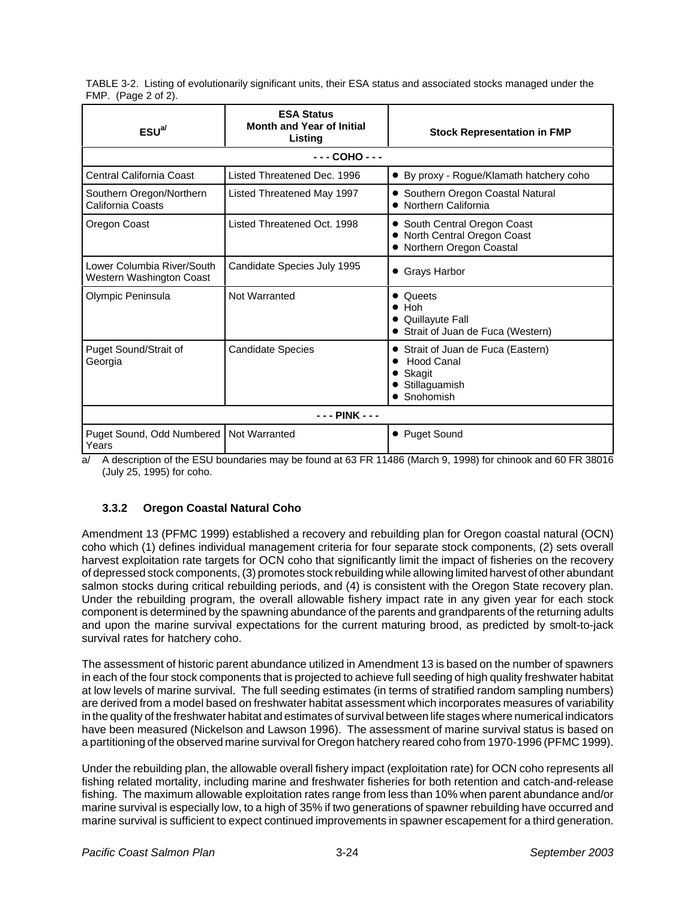TABLE 3-2. Listing of evolutionarily significant units, their ESA status and associated stocks managed under the FMP. (Page 2 of 2).

| $ESU^{a}$                                              | <b>ESA Status</b><br><b>Month and Year of Initial</b><br>Listing | <b>Stock Representation in FMP</b>                                                         |
|--------------------------------------------------------|------------------------------------------------------------------|--------------------------------------------------------------------------------------------|
|                                                        | $COHO - - -$                                                     |                                                                                            |
| Central California Coast                               | Listed Threatened Dec. 1996                                      | • By proxy - Rogue/Klamath hatchery coho                                                   |
| Southern Oregon/Northern<br>California Coasts          | Listed Threatened May 1997                                       | • Southern Oregon Coastal Natural<br>• Northern California                                 |
| Oregon Coast                                           | Listed Threatened Oct. 1998                                      | • South Central Oregon Coast<br>• North Central Oregon Coast<br>• Northern Oregon Coastal  |
| Lower Columbia River/South<br>Western Washington Coast | Candidate Species July 1995                                      | • Grays Harbor                                                                             |
| Olympic Peninsula                                      | Not Warranted                                                    | Queets<br>$\bullet$ Hoh<br>• Quillayute Fall<br>• Strait of Juan de Fuca (Western)         |
| Puget Sound/Strait of<br>Georgia                       | Candidate Species                                                | • Strait of Juan de Fuca (Eastern)<br>Hood Canal<br>Skagit<br>• Stillaguamish<br>Snohomish |
|                                                        | - - - PINK - - -                                                 |                                                                                            |
| Puget Sound, Odd Numbered<br>Years                     | Not Warranted                                                    | • Puget Sound                                                                              |

a/ A description of the ESU boundaries may be found at 63 FR 11486 (March 9, 1998) for chinook and 60 FR 38016 (July 25, 1995) for coho.

## **3.3.2 Oregon Coastal Natural Coho**

Amendment 13 (PFMC 1999) established a recovery and rebuilding plan for Oregon coastal natural (OCN) coho which (1) defines individual management criteria for four separate stock components, (2) sets overall harvest exploitation rate targets for OCN coho that significantly limit the impact of fisheries on the recovery of depressed stock components, (3) promotes stock rebuilding while allowing limited harvest of other abundant salmon stocks during critical rebuilding periods, and (4) is consistent with the Oregon State recovery plan. Under the rebuilding program, the overall allowable fishery impact rate in any given year for each stock component is determined by the spawning abundance of the parents and grandparents of the returning adults and upon the marine survival expectations for the current maturing brood, as predicted by smolt-to-jack survival rates for hatchery coho.

The assessment of historic parent abundance utilized in Amendment 13 is based on the number of spawners in each of the four stock components that is projected to achieve full seeding of high quality freshwater habitat at low levels of marine survival. The full seeding estimates (in terms of stratified random sampling numbers) are derived from a model based on freshwater habitat assessment which incorporates measures of variability in the quality of the freshwater habitat and estimates of survival between life stages where numerical indicators have been measured (Nickelson and Lawson 1996). The assessment of marine survival status is based on a partitioning of the observed marine survival for Oregon hatchery reared coho from 1970-1996 (PFMC 1999).

Under the rebuilding plan, the allowable overall fishery impact (exploitation rate) for OCN coho represents all fishing related mortality, including marine and freshwater fisheries for both retention and catch-and-release fishing. The maximum allowable exploitation rates range from less than 10% when parent abundance and/or marine survival is especially low, to a high of 35% if two generations of spawner rebuilding have occurred and marine survival is sufficient to expect continued improvements in spawner escapement for a third generation.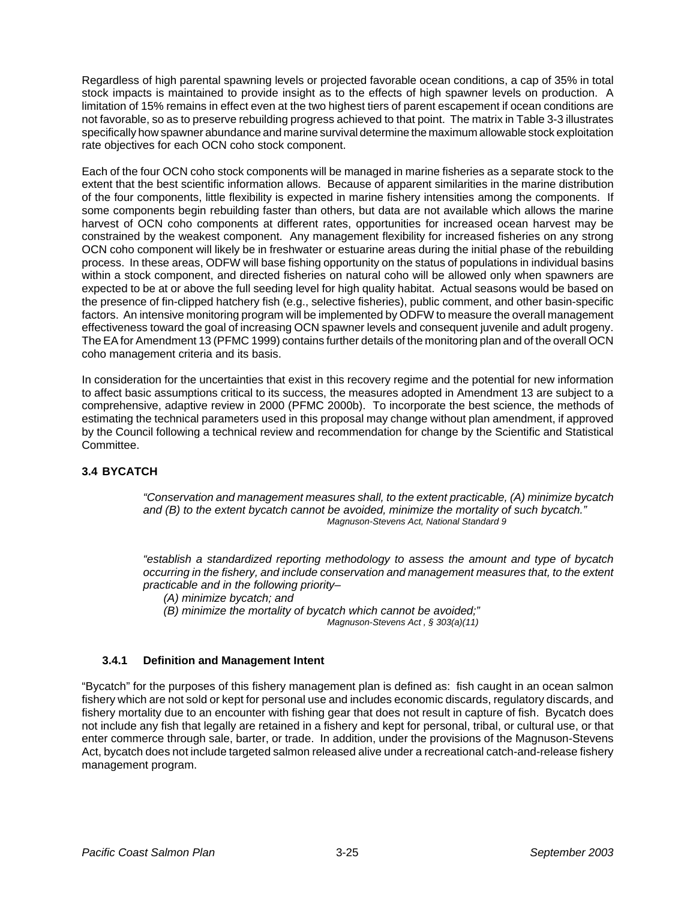Regardless of high parental spawning levels or projected favorable ocean conditions, a cap of 35% in total stock impacts is maintained to provide insight as to the effects of high spawner levels on production. A limitation of 15% remains in effect even at the two highest tiers of parent escapement if ocean conditions are not favorable, so as to preserve rebuilding progress achieved to that point. The matrix in Table 3-3 illustrates specifically how spawner abundance and marine survival determine the maximum allowable stock exploitation rate objectives for each OCN coho stock component.

Each of the four OCN coho stock components will be managed in marine fisheries as a separate stock to the extent that the best scientific information allows. Because of apparent similarities in the marine distribution of the four components, little flexibility is expected in marine fishery intensities among the components. If some components begin rebuilding faster than others, but data are not available which allows the marine harvest of OCN coho components at different rates, opportunities for increased ocean harvest may be constrained by the weakest component. Any management flexibility for increased fisheries on any strong OCN coho component will likely be in freshwater or estuarine areas during the initial phase of the rebuilding process. In these areas, ODFW will base fishing opportunity on the status of populations in individual basins within a stock component, and directed fisheries on natural coho will be allowed only when spawners are expected to be at or above the full seeding level for high quality habitat. Actual seasons would be based on the presence of fin-clipped hatchery fish (e.g., selective fisheries), public comment, and other basin-specific factors. An intensive monitoring program will be implemented by ODFW to measure the overall management effectiveness toward the goal of increasing OCN spawner levels and consequent juvenile and adult progeny. The EA for Amendment 13 (PFMC 1999) contains further details of the monitoring plan and of the overall OCN coho management criteria and its basis.

In consideration for the uncertainties that exist in this recovery regime and the potential for new information to affect basic assumptions critical to its success, the measures adopted in Amendment 13 are subject to a comprehensive, adaptive review in 2000 (PFMC 2000b). To incorporate the best science, the methods of estimating the technical parameters used in this proposal may change without plan amendment, if approved by the Council following a technical review and recommendation for change by the Scientific and Statistical Committee.

## **3.4 BYCATCH**

*"Conservation and management measures shall, to the extent practicable, (A) minimize bycatch and (B) to the extent bycatch cannot be avoided, minimize the mortality of such bycatch." Magnuson-Stevens Act, National Standard 9*

*"establish a standardized reporting methodology to assess the amount and type of bycatch occurring in the fishery, and include conservation and management measures that, to the extent practicable and in the following priority–*

*(A) minimize bycatch; and* 

*(B) minimize the mortality of bycatch which cannot be avoided;" Magnuson-Stevens Act , § 303(a)(11)*

## **3.4.1 Definition and Management Intent**

"Bycatch" for the purposes of this fishery management plan is defined as: fish caught in an ocean salmon fishery which are not sold or kept for personal use and includes economic discards, regulatory discards, and fishery mortality due to an encounter with fishing gear that does not result in capture of fish. Bycatch does not include any fish that legally are retained in a fishery and kept for personal, tribal, or cultural use, or that enter commerce through sale, barter, or trade. In addition, under the provisions of the Magnuson-Stevens Act, bycatch does not include targeted salmon released alive under a recreational catch-and-release fishery management program.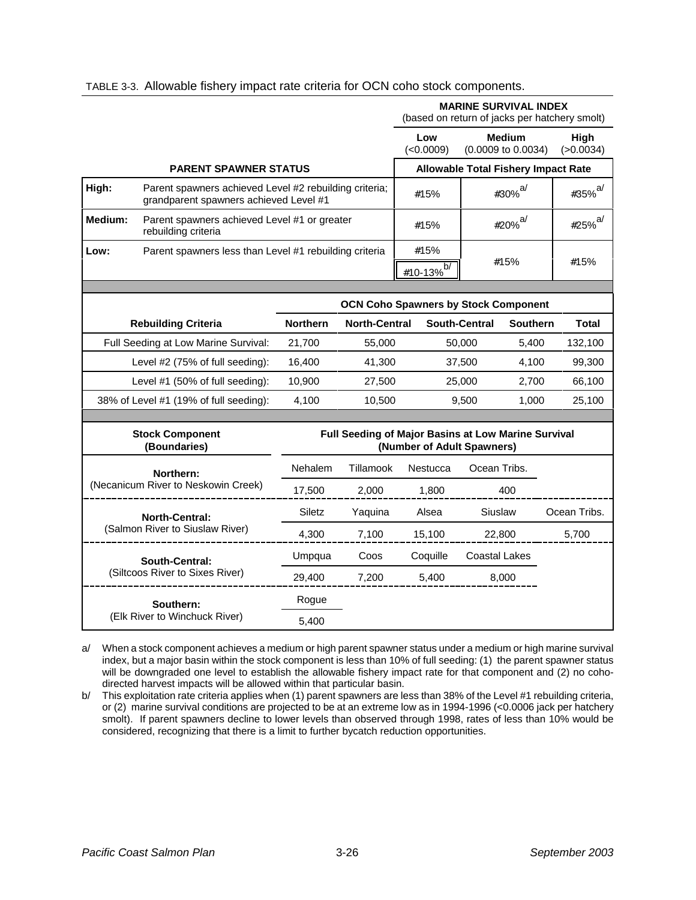|                               |                                                                                                  |                               |                      |                            | <b>MARINE SURVIVAL INDEX</b><br>(based on return of jacks per hatchery smolt) |                   |
|-------------------------------|--------------------------------------------------------------------------------------------------|-------------------------------|----------------------|----------------------------|-------------------------------------------------------------------------------|-------------------|
|                               |                                                                                                  |                               |                      | Low<br>(<0.0009)           | <b>Medium</b><br>(0.0009 to 0.0034)                                           | High<br>(>0.0034) |
|                               | <b>PARENT SPAWNER STATUS</b>                                                                     |                               |                      |                            | <b>Allowable Total Fishery Impact Rate</b>                                    |                   |
| High:                         | Parent spawners achieved Level #2 rebuilding criteria;<br>grandparent spawners achieved Level #1 |                               |                      | #30% $^{a/}$<br>#15%       |                                                                               | #35% $a/$         |
| Medium:                       | Parent spawners achieved Level #1 or greater<br>rebuilding criteria                              |                               |                      | #15%                       | #20% $a/$                                                                     | #25% $^{a/}$      |
| Low:                          | Parent spawners less than Level #1 rebuilding criteria                                           | #15%<br>$\frac{\#10-13\%}{4}$ |                      | #15%                       | #15%                                                                          |                   |
|                               |                                                                                                  |                               |                      |                            | <b>OCN Coho Spawners by Stock Component</b>                                   |                   |
|                               | <b>Rebuilding Criteria</b>                                                                       | <b>Northern</b>               | <b>North-Central</b> |                            | <b>South-Central</b><br><b>Southern</b>                                       | <b>Total</b>      |
|                               | Full Seeding at Low Marine Survival:                                                             | 21,700                        | 55,000               |                            | 50,000<br>5,400                                                               | 132,100           |
|                               | Level #2 (75% of full seeding):                                                                  | 16,400                        | 41,300               |                            | 37,500<br>4,100                                                               | 99,300            |
|                               | Level #1 (50% of full seeding):                                                                  | 10,900                        | 27,500               | 25,000<br>2,700            |                                                                               | 66,100            |
|                               | 38% of Level #1 (19% of full seeding):                                                           | 4,100                         | 10,500               | 9,500<br>1,000             |                                                                               | 25,100            |
|                               | <b>Stock Component</b><br>(Boundaries)                                                           |                               |                      | (Number of Adult Spawners) | Full Seeding of Major Basins at Low Marine Survival                           |                   |
|                               | Northern:                                                                                        | Nehalem                       | Tillamook            | Nestucca                   | Ocean Tribs.                                                                  |                   |
|                               | (Necanicum River to Neskowin Creek)                                                              | 17,500                        | 2,000                | 1,800                      | 400                                                                           |                   |
|                               | <b>North-Central:</b>                                                                            | Siletz                        | Yaquina              | Alsea                      | Siuslaw                                                                       | Ocean Tribs.      |
|                               | (Salmon River to Siuslaw River)                                                                  | 4,300                         | 7,100                | 15,100                     | 22,800                                                                        | 5,700             |
|                               | <b>South-Central:</b>                                                                            | Umpqua                        | Coos                 | Coquille                   | <b>Coastal Lakes</b>                                                          |                   |
|                               | (Siltcoos River to Sixes River)                                                                  | 29,400                        | 7,200                | 5,400                      | 8,000                                                                         |                   |
|                               | Southern:                                                                                        | Rogue                         |                      |                            |                                                                               |                   |
| (Elk River to Winchuck River) |                                                                                                  | 5,400                         |                      |                            |                                                                               |                   |

## TABLE 3-3. Allowable fishery impact rate criteria for OCN coho stock components.

a/ When a stock component achieves a medium or high parent spawner status under a medium or high marine survival index, but a major basin within the stock component is less than 10% of full seeding: (1) the parent spawner status will be downgraded one level to establish the allowable fishery impact rate for that component and (2) no cohodirected harvest impacts will be allowed within that particular basin.

b/ This exploitation rate criteria applies when (1) parent spawners are less than 38% of the Level #1 rebuilding criteria, or (2) marine survival conditions are projected to be at an extreme low as in 1994-1996 (<0.0006 jack per hatchery smolt). If parent spawners decline to lower levels than observed through 1998, rates of less than 10% would be considered, recognizing that there is a limit to further bycatch reduction opportunities.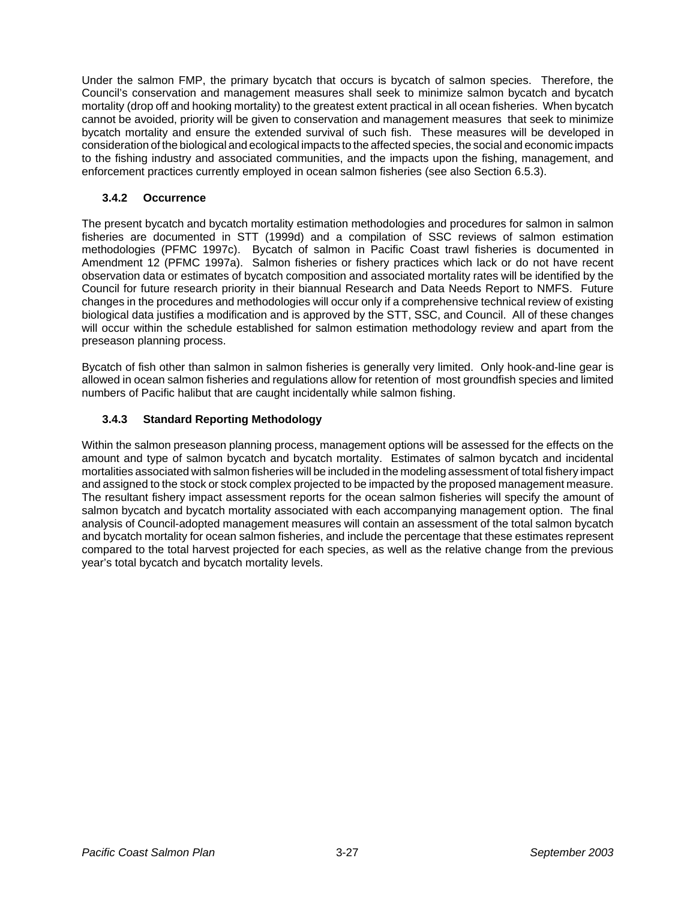Under the salmon FMP, the primary bycatch that occurs is bycatch of salmon species. Therefore, the Council's conservation and management measures shall seek to minimize salmon bycatch and bycatch mortality (drop off and hooking mortality) to the greatest extent practical in all ocean fisheries. When bycatch cannot be avoided, priority will be given to conservation and management measures that seek to minimize bycatch mortality and ensure the extended survival of such fish. These measures will be developed in consideration of the biological and ecological impacts to the affected species, the social and economic impacts to the fishing industry and associated communities, and the impacts upon the fishing, management, and enforcement practices currently employed in ocean salmon fisheries (see also Section 6.5.3).

# **3.4.2 Occurrence**

The present bycatch and bycatch mortality estimation methodologies and procedures for salmon in salmon fisheries are documented in STT (1999d) and a compilation of SSC reviews of salmon estimation methodologies (PFMC 1997c). Bycatch of salmon in Pacific Coast trawl fisheries is documented in Amendment 12 (PFMC 1997a). Salmon fisheries or fishery practices which lack or do not have recent observation data or estimates of bycatch composition and associated mortality rates will be identified by the Council for future research priority in their biannual Research and Data Needs Report to NMFS. Future changes in the procedures and methodologies will occur only if a comprehensive technical review of existing biological data justifies a modification and is approved by the STT, SSC, and Council. All of these changes will occur within the schedule established for salmon estimation methodology review and apart from the preseason planning process.

Bycatch of fish other than salmon in salmon fisheries is generally very limited. Only hook-and-line gear is allowed in ocean salmon fisheries and regulations allow for retention of most groundfish species and limited numbers of Pacific halibut that are caught incidentally while salmon fishing.

# **3.4.3 Standard Reporting Methodology**

Within the salmon preseason planning process, management options will be assessed for the effects on the amount and type of salmon bycatch and bycatch mortality. Estimates of salmon bycatch and incidental mortalities associated with salmon fisheries will be included in the modeling assessment of total fishery impact and assigned to the stock or stock complex projected to be impacted by the proposed management measure. The resultant fishery impact assessment reports for the ocean salmon fisheries will specify the amount of salmon bycatch and bycatch mortality associated with each accompanying management option. The final analysis of Council-adopted management measures will contain an assessment of the total salmon bycatch and bycatch mortality for ocean salmon fisheries, and include the percentage that these estimates represent compared to the total harvest projected for each species, as well as the relative change from the previous year's total bycatch and bycatch mortality levels.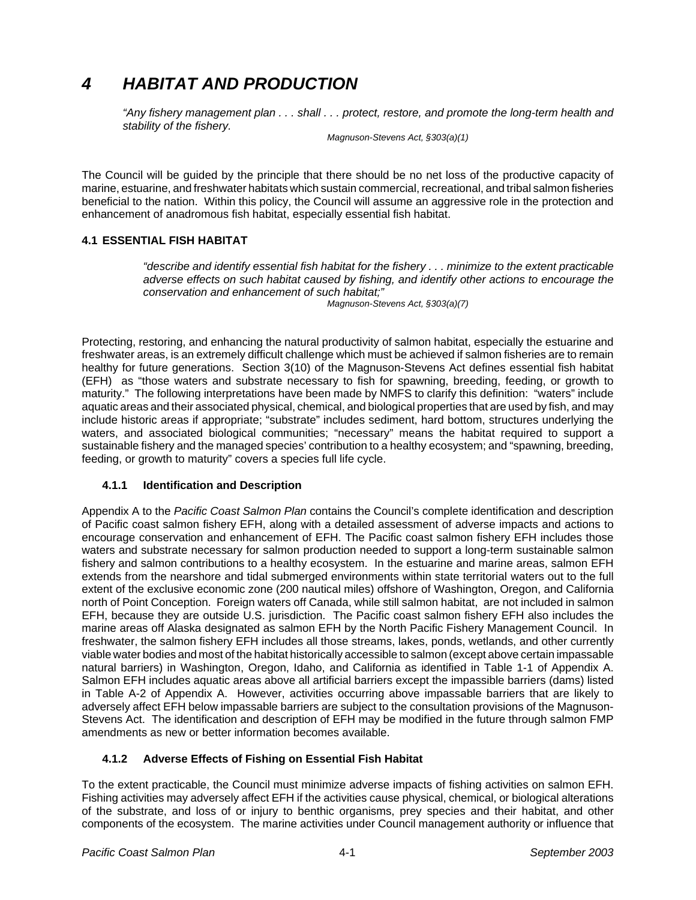# *4 HABITAT AND PRODUCTION*

*"Any fishery management plan . . . shall . . . protect, restore, and promote the long-term health and stability of the fishery.*

*Magnuson-Stevens Act, §303(a)(1)*

The Council will be guided by the principle that there should be no net loss of the productive capacity of marine, estuarine, and freshwater habitats which sustain commercial, recreational, and tribal salmon fisheries beneficial to the nation. Within this policy, the Council will assume an aggressive role in the protection and enhancement of anadromous fish habitat, especially essential fish habitat.

# **4.1 ESSENTIAL FISH HABITAT**

*"describe and identify essential fish habitat for the fishery . . . minimize to the extent practicable adverse effects on such habitat caused by fishing, and identify other actions to encourage the conservation and enhancement of such habitat;" Magnuson-Stevens Act, §303(a)(7)*

Protecting, restoring, and enhancing the natural productivity of salmon habitat, especially the estuarine and freshwater areas, is an extremely difficult challenge which must be achieved if salmon fisheries are to remain healthy for future generations. Section 3(10) of the Magnuson-Stevens Act defines essential fish habitat (EFH) as "those waters and substrate necessary to fish for spawning, breeding, feeding, or growth to maturity." The following interpretations have been made by NMFS to clarify this definition: "waters" include aquatic areas and their associated physical, chemical, and biological properties that are used by fish, and may include historic areas if appropriate; "substrate" includes sediment, hard bottom, structures underlying the waters, and associated biological communities; "necessary" means the habitat required to support a sustainable fishery and the managed species' contribution to a healthy ecosystem; and "spawning, breeding, feeding, or growth to maturity" covers a species full life cycle.

## **4.1.1 Identification and Description**

Appendix A to the *Pacific Coast Salmon Plan* contains the Council's complete identification and description of Pacific coast salmon fishery EFH, along with a detailed assessment of adverse impacts and actions to encourage conservation and enhancement of EFH. The Pacific coast salmon fishery EFH includes those waters and substrate necessary for salmon production needed to support a long-term sustainable salmon fishery and salmon contributions to a healthy ecosystem. In the estuarine and marine areas, salmon EFH extends from the nearshore and tidal submerged environments within state territorial waters out to the full extent of the exclusive economic zone (200 nautical miles) offshore of Washington, Oregon, and California north of Point Conception. Foreign waters off Canada, while still salmon habitat, are not included in salmon EFH, because they are outside U.S. jurisdiction. The Pacific coast salmon fishery EFH also includes the marine areas off Alaska designated as salmon EFH by the North Pacific Fishery Management Council. In freshwater, the salmon fishery EFH includes all those streams, lakes, ponds, wetlands, and other currently viable water bodies and most of the habitat historically accessible to salmon (except above certain impassable natural barriers) in Washington, Oregon, Idaho, and California as identified in Table 1-1 of Appendix A. Salmon EFH includes aquatic areas above all artificial barriers except the impassible barriers (dams) listed in Table A-2 of Appendix A. However, activities occurring above impassable barriers that are likely to adversely affect EFH below impassable barriers are subject to the consultation provisions of the Magnuson-Stevens Act. The identification and description of EFH may be modified in the future through salmon FMP amendments as new or better information becomes available.

## **4.1.2 Adverse Effects of Fishing on Essential Fish Habitat**

To the extent practicable, the Council must minimize adverse impacts of fishing activities on salmon EFH. Fishing activities may adversely affect EFH if the activities cause physical, chemical, or biological alterations of the substrate, and loss of or injury to benthic organisms, prey species and their habitat, and other components of the ecosystem. The marine activities under Council management authority or influence that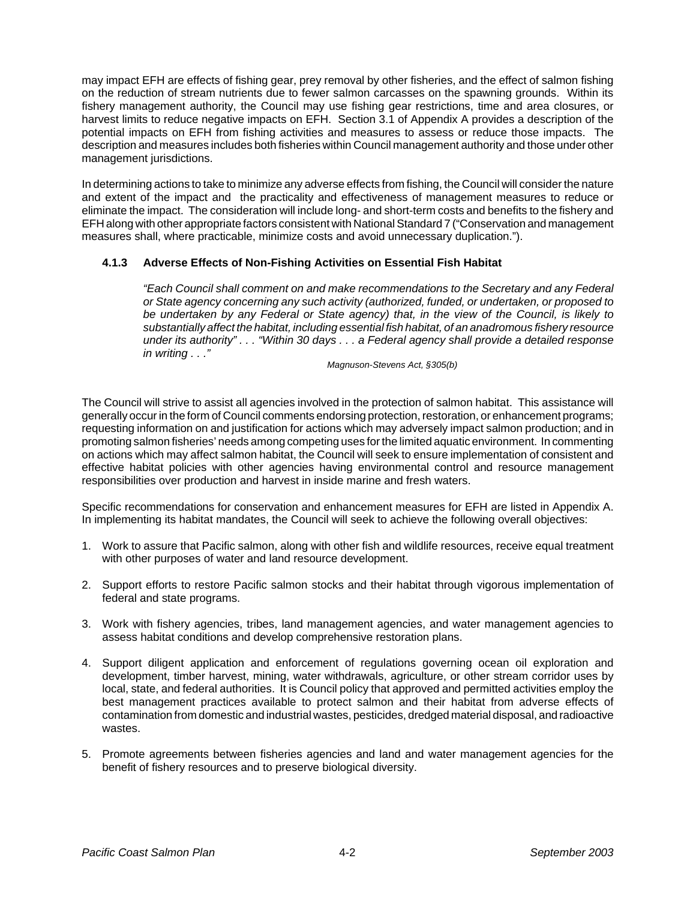may impact EFH are effects of fishing gear, prey removal by other fisheries, and the effect of salmon fishing on the reduction of stream nutrients due to fewer salmon carcasses on the spawning grounds. Within its fishery management authority, the Council may use fishing gear restrictions, time and area closures, or harvest limits to reduce negative impacts on EFH. Section 3.1 of Appendix A provides a description of the potential impacts on EFH from fishing activities and measures to assess or reduce those impacts. The description and measures includes both fisheries within Council management authority and those under other management jurisdictions.

In determining actions to take to minimize any adverse effects from fishing, the Council will consider the nature and extent of the impact and the practicality and effectiveness of management measures to reduce or eliminate the impact. The consideration will include long- and short-term costs and benefits to the fishery and EFH along with other appropriate factors consistent with National Standard 7 ("Conservation and management measures shall, where practicable, minimize costs and avoid unnecessary duplication.").

## **4.1.3 Adverse Effects of Non-Fishing Activities on Essential Fish Habitat**

*"Each Council shall comment on and make recommendations to the Secretary and any Federal or State agency concerning any such activity (authorized, funded, or undertaken, or proposed to be undertaken by any Federal or State agency) that, in the view of the Council, is likely to substantially affect the habitat, including essential fish habitat, of an anadromous fishery resource under its authority" . . . "Within 30 days . . . a Federal agency shall provide a detailed response in writing . . ."*

*Magnuson-Stevens Act, §305(b)*

The Council will strive to assist all agencies involved in the protection of salmon habitat. This assistance will generally occur in the form of Council comments endorsing protection, restoration, or enhancement programs; requesting information on and justification for actions which may adversely impact salmon production; and in promoting salmon fisheries' needs among competing uses for the limited aquatic environment. In commenting on actions which may affect salmon habitat, the Council will seek to ensure implementation of consistent and effective habitat policies with other agencies having environmental control and resource management responsibilities over production and harvest in inside marine and fresh waters.

Specific recommendations for conservation and enhancement measures for EFH are listed in Appendix A. In implementing its habitat mandates, the Council will seek to achieve the following overall objectives:

- 1. Work to assure that Pacific salmon, along with other fish and wildlife resources, receive equal treatment with other purposes of water and land resource development.
- 2. Support efforts to restore Pacific salmon stocks and their habitat through vigorous implementation of federal and state programs.
- 3. Work with fishery agencies, tribes, land management agencies, and water management agencies to assess habitat conditions and develop comprehensive restoration plans.
- 4. Support diligent application and enforcement of regulations governing ocean oil exploration and development, timber harvest, mining, water withdrawals, agriculture, or other stream corridor uses by local, state, and federal authorities. It is Council policy that approved and permitted activities employ the best management practices available to protect salmon and their habitat from adverse effects of contamination from domestic and industrial wastes, pesticides, dredged material disposal, and radioactive wastes.
- 5. Promote agreements between fisheries agencies and land and water management agencies for the benefit of fishery resources and to preserve biological diversity.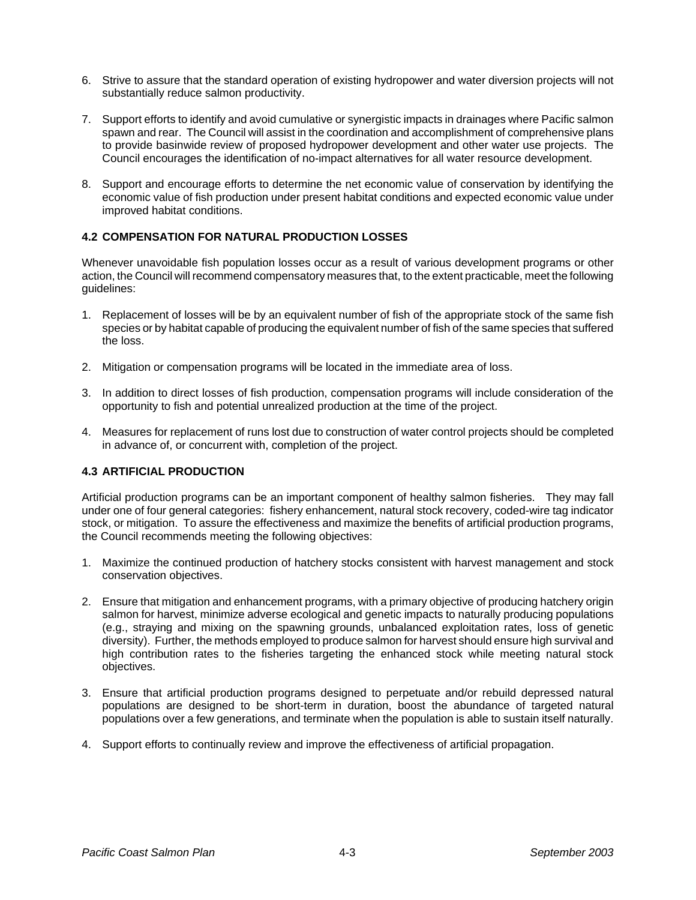- 6. Strive to assure that the standard operation of existing hydropower and water diversion projects will not substantially reduce salmon productivity.
- 7. Support efforts to identify and avoid cumulative or synergistic impacts in drainages where Pacific salmon spawn and rear. The Council will assist in the coordination and accomplishment of comprehensive plans to provide basinwide review of proposed hydropower development and other water use projects. The Council encourages the identification of no-impact alternatives for all water resource development.
- 8. Support and encourage efforts to determine the net economic value of conservation by identifying the economic value of fish production under present habitat conditions and expected economic value under improved habitat conditions.

## **4.2 COMPENSATION FOR NATURAL PRODUCTION LOSSES**

Whenever unavoidable fish population losses occur as a result of various development programs or other action, the Council will recommend compensatory measures that, to the extent practicable, meet the following guidelines:

- 1. Replacement of losses will be by an equivalent number of fish of the appropriate stock of the same fish species or by habitat capable of producing the equivalent number of fish of the same species that suffered the loss.
- 2. Mitigation or compensation programs will be located in the immediate area of loss.
- 3. In addition to direct losses of fish production, compensation programs will include consideration of the opportunity to fish and potential unrealized production at the time of the project.
- 4. Measures for replacement of runs lost due to construction of water control projects should be completed in advance of, or concurrent with, completion of the project.

## **4.3 ARTIFICIAL PRODUCTION**

Artificial production programs can be an important component of healthy salmon fisheries. They may fall under one of four general categories: fishery enhancement, natural stock recovery, coded-wire tag indicator stock, or mitigation. To assure the effectiveness and maximize the benefits of artificial production programs, the Council recommends meeting the following objectives:

- 1. Maximize the continued production of hatchery stocks consistent with harvest management and stock conservation objectives.
- 2. Ensure that mitigation and enhancement programs, with a primary objective of producing hatchery origin salmon for harvest, minimize adverse ecological and genetic impacts to naturally producing populations (e.g., straying and mixing on the spawning grounds, unbalanced exploitation rates, loss of genetic diversity). Further, the methods employed to produce salmon for harvest should ensure high survival and high contribution rates to the fisheries targeting the enhanced stock while meeting natural stock objectives.
- 3. Ensure that artificial production programs designed to perpetuate and/or rebuild depressed natural populations are designed to be short-term in duration, boost the abundance of targeted natural populations over a few generations, and terminate when the population is able to sustain itself naturally.
- 4. Support efforts to continually review and improve the effectiveness of artificial propagation.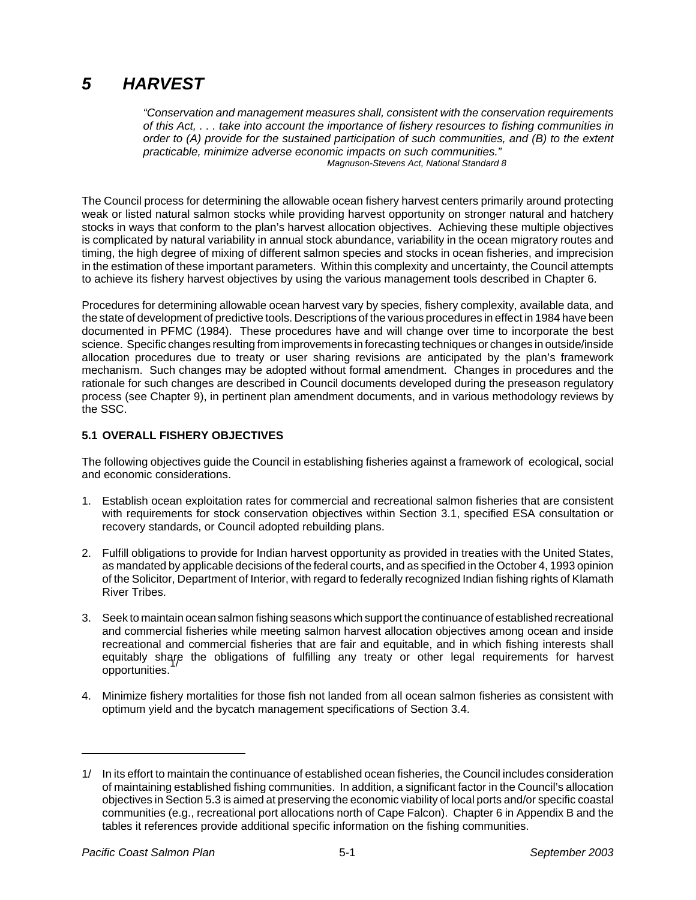# *5 HARVEST*

*"Conservation and management measures shall, consistent with the conservation requirements of this Act, . . . take into account the importance of fishery resources to fishing communities in order to (A) provide for the sustained participation of such communities, and (B) to the extent practicable, minimize adverse economic impacts on such communities." Magnuson-Stevens Act, National Standard 8*

The Council process for determining the allowable ocean fishery harvest centers primarily around protecting weak or listed natural salmon stocks while providing harvest opportunity on stronger natural and hatchery stocks in ways that conform to the plan's harvest allocation objectives. Achieving these multiple objectives is complicated by natural variability in annual stock abundance, variability in the ocean migratory routes and timing, the high degree of mixing of different salmon species and stocks in ocean fisheries, and imprecision in the estimation of these important parameters. Within this complexity and uncertainty, the Council attempts to achieve its fishery harvest objectives by using the various management tools described in Chapter 6.

Procedures for determining allowable ocean harvest vary by species, fishery complexity, available data, and the state of development of predictive tools. Descriptions of the various procedures in effect in 1984 have been documented in PFMC (1984). These procedures have and will change over time to incorporate the best science. Specific changes resulting from improvements in forecasting techniques or changes in outside/inside allocation procedures due to treaty or user sharing revisions are anticipated by the plan's framework mechanism. Such changes may be adopted without formal amendment. Changes in procedures and the rationale for such changes are described in Council documents developed during the preseason regulatory process (see Chapter 9), in pertinent plan amendment documents, and in various methodology reviews by the SSC.

## **5.1 OVERALL FISHERY OBJECTIVES**

The following objectives guide the Council in establishing fisheries against a framework of ecological, social and economic considerations.

- 1. Establish ocean exploitation rates for commercial and recreational salmon fisheries that are consistent with requirements for stock conservation objectives within Section 3.1, specified ESA consultation or recovery standards, or Council adopted rebuilding plans.
- 2. Fulfill obligations to provide for Indian harvest opportunity as provided in treaties with the United States, as mandated by applicable decisions of the federal courts, and as specified in the October 4, 1993 opinion of the Solicitor, Department of Interior, with regard to federally recognized Indian fishing rights of Klamath River Tribes.
- 3. Seek to maintain ocean salmon fishing seasons which support the continuance of established recreational and commercial fisheries while meeting salmon harvest allocation objectives among ocean and inside recreational and commercial fisheries that are fair and equitable, and in which fishing interests shall equitably share the obligations of fulfilling any treaty or other legal requirements for harvest opportunities.
- 4. Minimize fishery mortalities for those fish not landed from all ocean salmon fisheries as consistent with optimum yield and the bycatch management specifications of Section 3.4.

<sup>1/</sup> In its effort to maintain the continuance of established ocean fisheries, the Council includes consideration of maintaining established fishing communities. In addition, a significant factor in the Council's allocation objectives in Section 5.3 is aimed at preserving the economic viability of local ports and/or specific coastal communities (e.g., recreational port allocations north of Cape Falcon). Chapter 6 in Appendix B and the tables it references provide additional specific information on the fishing communities.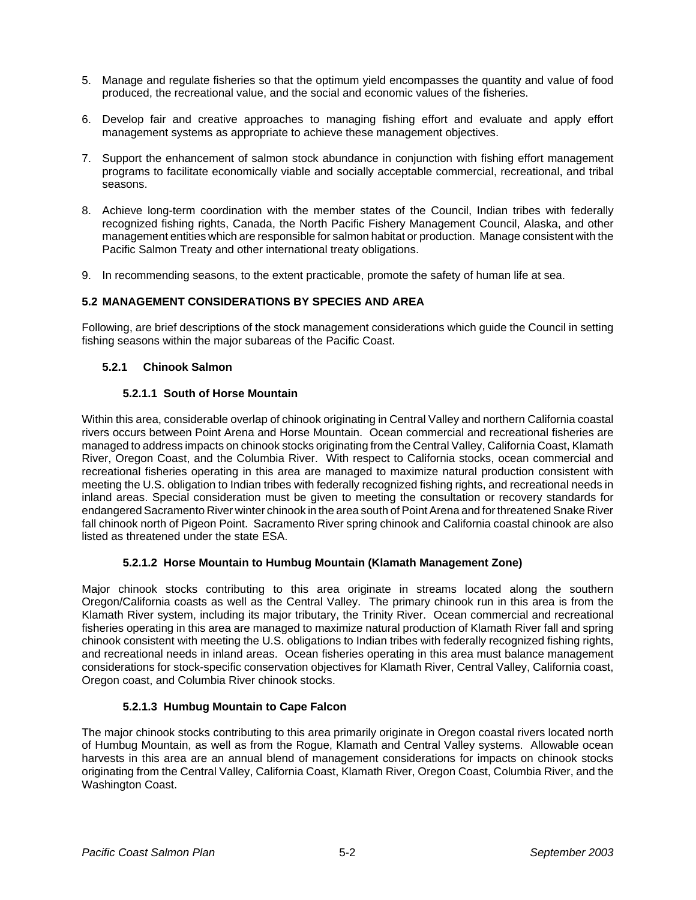- 5. Manage and regulate fisheries so that the optimum yield encompasses the quantity and value of food produced, the recreational value, and the social and economic values of the fisheries.
- 6. Develop fair and creative approaches to managing fishing effort and evaluate and apply effort management systems as appropriate to achieve these management objectives.
- 7. Support the enhancement of salmon stock abundance in conjunction with fishing effort management programs to facilitate economically viable and socially acceptable commercial, recreational, and tribal seasons.
- 8. Achieve long-term coordination with the member states of the Council, Indian tribes with federally recognized fishing rights, Canada, the North Pacific Fishery Management Council, Alaska, and other management entities which are responsible for salmon habitat or production. Manage consistent with the Pacific Salmon Treaty and other international treaty obligations.
- 9. In recommending seasons, to the extent practicable, promote the safety of human life at sea.

## **5.2 MANAGEMENT CONSIDERATIONS BY SPECIES AND AREA**

Following, are brief descriptions of the stock management considerations which guide the Council in setting fishing seasons within the major subareas of the Pacific Coast.

#### **5.2.1 Chinook Salmon**

#### **5.2.1.1 South of Horse Mountain**

Within this area, considerable overlap of chinook originating in Central Valley and northern California coastal rivers occurs between Point Arena and Horse Mountain. Ocean commercial and recreational fisheries are managed to address impacts on chinook stocks originating from the Central Valley, California Coast, Klamath River, Oregon Coast, and the Columbia River. With respect to California stocks, ocean commercial and recreational fisheries operating in this area are managed to maximize natural production consistent with meeting the U.S. obligation to Indian tribes with federally recognized fishing rights, and recreational needs in inland areas. Special consideration must be given to meeting the consultation or recovery standards for endangered Sacramento River winter chinook in the area south of Point Arena and for threatened Snake River fall chinook north of Pigeon Point. Sacramento River spring chinook and California coastal chinook are also listed as threatened under the state ESA.

#### **5.2.1.2 Horse Mountain to Humbug Mountain (Klamath Management Zone)**

Major chinook stocks contributing to this area originate in streams located along the southern Oregon/California coasts as well as the Central Valley. The primary chinook run in this area is from the Klamath River system, including its major tributary, the Trinity River. Ocean commercial and recreational fisheries operating in this area are managed to maximize natural production of Klamath River fall and spring chinook consistent with meeting the U.S. obligations to Indian tribes with federally recognized fishing rights, and recreational needs in inland areas. Ocean fisheries operating in this area must balance management considerations for stock-specific conservation objectives for Klamath River, Central Valley, California coast, Oregon coast, and Columbia River chinook stocks.

## **5.2.1.3 Humbug Mountain to Cape Falcon**

The major chinook stocks contributing to this area primarily originate in Oregon coastal rivers located north of Humbug Mountain, as well as from the Rogue, Klamath and Central Valley systems. Allowable ocean harvests in this area are an annual blend of management considerations for impacts on chinook stocks originating from the Central Valley, California Coast, Klamath River, Oregon Coast, Columbia River, and the Washington Coast.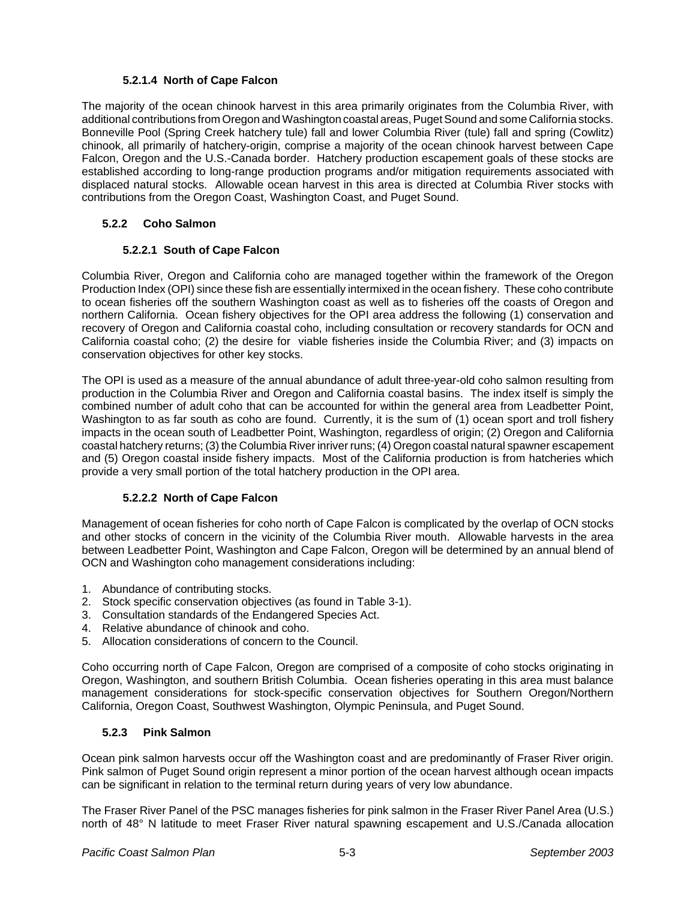## **5.2.1.4 North of Cape Falcon**

The majority of the ocean chinook harvest in this area primarily originates from the Columbia River, with additional contributions from Oregon and Washington coastal areas, Puget Sound and some California stocks. Bonneville Pool (Spring Creek hatchery tule) fall and lower Columbia River (tule) fall and spring (Cowlitz) chinook, all primarily of hatchery-origin, comprise a majority of the ocean chinook harvest between Cape Falcon, Oregon and the U.S.-Canada border. Hatchery production escapement goals of these stocks are established according to long-range production programs and/or mitigation requirements associated with displaced natural stocks. Allowable ocean harvest in this area is directed at Columbia River stocks with contributions from the Oregon Coast, Washington Coast, and Puget Sound.

## **5.2.2 Coho Salmon**

## **5.2.2.1 South of Cape Falcon**

Columbia River, Oregon and California coho are managed together within the framework of the Oregon Production Index (OPI) since these fish are essentially intermixed in the ocean fishery. These coho contribute to ocean fisheries off the southern Washington coast as well as to fisheries off the coasts of Oregon and northern California. Ocean fishery objectives for the OPI area address the following (1) conservation and recovery of Oregon and California coastal coho, including consultation or recovery standards for OCN and California coastal coho; (2) the desire for viable fisheries inside the Columbia River; and (3) impacts on conservation objectives for other key stocks.

The OPI is used as a measure of the annual abundance of adult three-year-old coho salmon resulting from production in the Columbia River and Oregon and California coastal basins. The index itself is simply the combined number of adult coho that can be accounted for within the general area from Leadbetter Point, Washington to as far south as coho are found. Currently, it is the sum of (1) ocean sport and troll fishery impacts in the ocean south of Leadbetter Point, Washington, regardless of origin; (2) Oregon and California coastal hatchery returns; (3) the Columbia River inriver runs; (4) Oregon coastal natural spawner escapement and (5) Oregon coastal inside fishery impacts. Most of the California production is from hatcheries which provide a very small portion of the total hatchery production in the OPI area.

#### **5.2.2.2 North of Cape Falcon**

Management of ocean fisheries for coho north of Cape Falcon is complicated by the overlap of OCN stocks and other stocks of concern in the vicinity of the Columbia River mouth. Allowable harvests in the area between Leadbetter Point, Washington and Cape Falcon, Oregon will be determined by an annual blend of OCN and Washington coho management considerations including:

- 1. Abundance of contributing stocks.
- 2. Stock specific conservation objectives (as found in Table 3-1).
- 3. Consultation standards of the Endangered Species Act.
- 4. Relative abundance of chinook and coho.
- 5. Allocation considerations of concern to the Council.

Coho occurring north of Cape Falcon, Oregon are comprised of a composite of coho stocks originating in Oregon, Washington, and southern British Columbia. Ocean fisheries operating in this area must balance management considerations for stock-specific conservation objectives for Southern Oregon/Northern California, Oregon Coast, Southwest Washington, Olympic Peninsula, and Puget Sound.

#### **5.2.3 Pink Salmon**

Ocean pink salmon harvests occur off the Washington coast and are predominantly of Fraser River origin. Pink salmon of Puget Sound origin represent a minor portion of the ocean harvest although ocean impacts can be significant in relation to the terminal return during years of very low abundance.

The Fraser River Panel of the PSC manages fisheries for pink salmon in the Fraser River Panel Area (U.S.) north of 48° N latitude to meet Fraser River natural spawning escapement and U.S./Canada allocation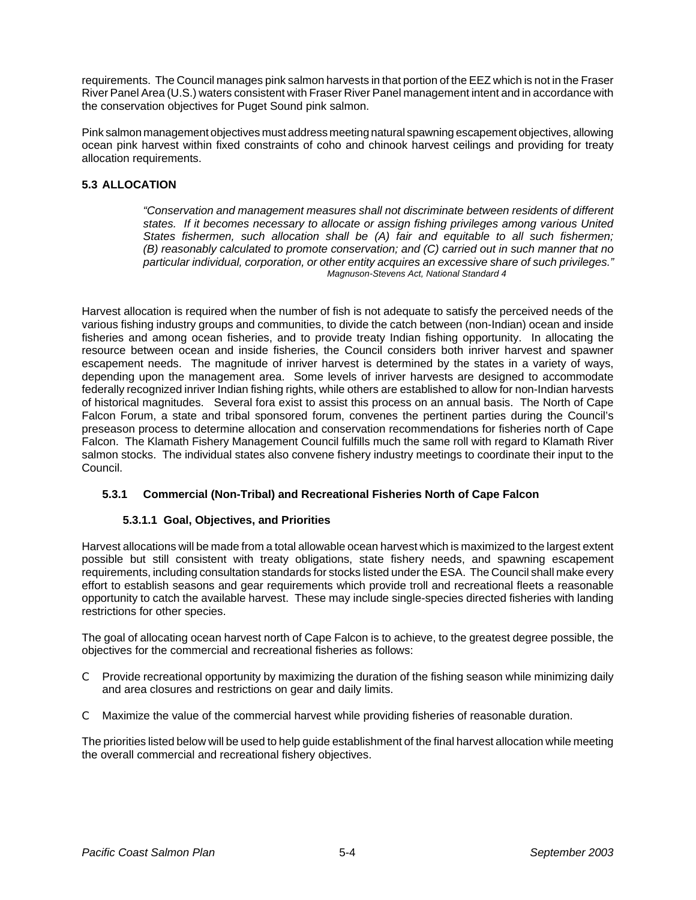requirements. The Council manages pink salmon harvests in that portion of the EEZ which is not in the Fraser River Panel Area (U.S.) waters consistent with Fraser River Panel management intent and in accordance with the conservation objectives for Puget Sound pink salmon.

Pink salmon management objectives must address meeting natural spawning escapement objectives, allowing ocean pink harvest within fixed constraints of coho and chinook harvest ceilings and providing for treaty allocation requirements.

# **5.3 ALLOCATION**

*"Conservation and management measures shall not discriminate between residents of different states. If it becomes necessary to allocate or assign fishing privileges among various United States fishermen, such allocation shall be (A) fair and equitable to all such fishermen; (B) reasonably calculated to promote conservation; and (C) carried out in such manner that no particular individual, corporation, or other entity acquires an excessive share of such privileges." Magnuson-Stevens Act, National Standard 4*

Harvest allocation is required when the number of fish is not adequate to satisfy the perceived needs of the various fishing industry groups and communities, to divide the catch between (non-Indian) ocean and inside fisheries and among ocean fisheries, and to provide treaty Indian fishing opportunity. In allocating the resource between ocean and inside fisheries, the Council considers both inriver harvest and spawner escapement needs. The magnitude of inriver harvest is determined by the states in a variety of ways, depending upon the management area. Some levels of inriver harvests are designed to accommodate federally recognized inriver Indian fishing rights, while others are established to allow for non-Indian harvests of historical magnitudes. Several fora exist to assist this process on an annual basis. The North of Cape Falcon Forum, a state and tribal sponsored forum, convenes the pertinent parties during the Council's preseason process to determine allocation and conservation recommendations for fisheries north of Cape Falcon. The Klamath Fishery Management Council fulfills much the same roll with regard to Klamath River salmon stocks. The individual states also convene fishery industry meetings to coordinate their input to the Council.

## **5.3.1 Commercial (Non-Tribal) and Recreational Fisheries North of Cape Falcon**

## **5.3.1.1 Goal, Objectives, and Priorities**

Harvest allocations will be made from a total allowable ocean harvest which is maximized to the largest extent possible but still consistent with treaty obligations, state fishery needs, and spawning escapement requirements, including consultation standards for stocks listed under the ESA. The Council shall make every effort to establish seasons and gear requirements which provide troll and recreational fleets a reasonable opportunity to catch the available harvest. These may include single-species directed fisheries with landing restrictions for other species.

The goal of allocating ocean harvest north of Cape Falcon is to achieve, to the greatest degree possible, the objectives for the commercial and recreational fisheries as follows:

- C Provide recreational opportunity by maximizing the duration of the fishing season while minimizing daily and area closures and restrictions on gear and daily limits.
- C Maximize the value of the commercial harvest while providing fisheries of reasonable duration.

The priorities listed below will be used to help guide establishment of the final harvest allocation while meeting the overall commercial and recreational fishery objectives.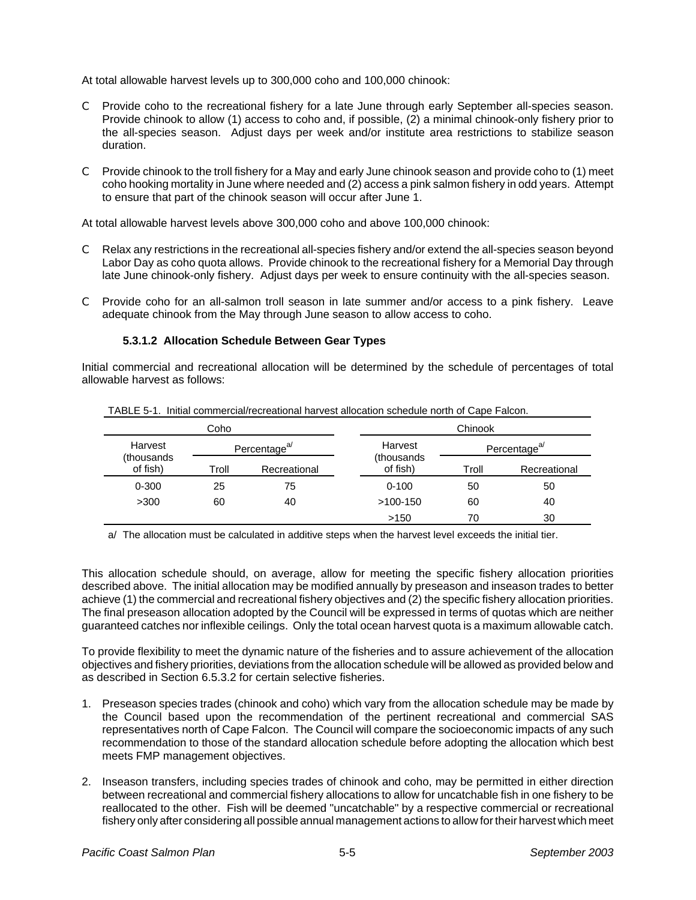At total allowable harvest levels up to 300,000 coho and 100,000 chinook:

- C Provide coho to the recreational fishery for a late June through early September all-species season. Provide chinook to allow (1) access to coho and, if possible, (2) a minimal chinook-only fishery prior to the all-species season. Adjust days per week and/or institute area restrictions to stabilize season duration.
- C Provide chinook to the troll fishery for a May and early June chinook season and provide coho to (1) meet coho hooking mortality in June where needed and (2) access a pink salmon fishery in odd years. Attempt to ensure that part of the chinook season will occur after June 1.

At total allowable harvest levels above 300,000 coho and above 100,000 chinook:

- C Relax any restrictions in the recreational all-species fishery and/or extend the all-species season beyond Labor Day as coho quota allows. Provide chinook to the recreational fishery for a Memorial Day through late June chinook-only fishery. Adjust days per week to ensure continuity with the all-species season.
- C Provide coho for an all-salmon troll season in late summer and/or access to a pink fishery. Leave adequate chinook from the May through June season to allow access to coho.

#### **5.3.1.2 Allocation Schedule Between Gear Types**

Initial commercial and recreational allocation will be determined by the schedule of percentages of total allowable harvest as follows:

|                         | Coho                     |              | Chinook                |                          |              |  |
|-------------------------|--------------------------|--------------|------------------------|--------------------------|--------------|--|
| Harvest                 | Percentage <sup>a/</sup> |              | Harvest                | Percentage <sup>a/</sup> |              |  |
| (thousands)<br>of fish) | Troll                    | Recreational | (thousands<br>of fish) | Troll                    | Recreational |  |
| $0 - 300$               | 25                       | 75           | $0 - 100$              | 50                       | 50           |  |
| >300                    | 60                       | 40           | $>100-150$             | 60                       | 40           |  |
|                         |                          |              | >150                   | 70                       | 30           |  |

TABLE 5-1. Initial commercial/recreational harvest allocation schedule north of Cape Falcon.

a/ The allocation must be calculated in additive steps when the harvest level exceeds the initial tier.

This allocation schedule should, on average, allow for meeting the specific fishery allocation priorities described above. The initial allocation may be modified annually by preseason and inseason trades to better achieve (1) the commercial and recreational fishery objectives and (2) the specific fishery allocation priorities. The final preseason allocation adopted by the Council will be expressed in terms of quotas which are neither guaranteed catches nor inflexible ceilings. Only the total ocean harvest quota is a maximum allowable catch.

To provide flexibility to meet the dynamic nature of the fisheries and to assure achievement of the allocation objectives and fishery priorities, deviations from the allocation schedule will be allowed as provided below and as described in Section 6.5.3.2 for certain selective fisheries.

- 1. Preseason species trades (chinook and coho) which vary from the allocation schedule may be made by the Council based upon the recommendation of the pertinent recreational and commercial SAS representatives north of Cape Falcon. The Council will compare the socioeconomic impacts of any such recommendation to those of the standard allocation schedule before adopting the allocation which best meets FMP management objectives.
- 2. Inseason transfers, including species trades of chinook and coho, may be permitted in either direction between recreational and commercial fishery allocations to allow for uncatchable fish in one fishery to be reallocated to the other. Fish will be deemed "uncatchable" by a respective commercial or recreational fishery only after considering all possible annual management actions to allow for their harvest which meet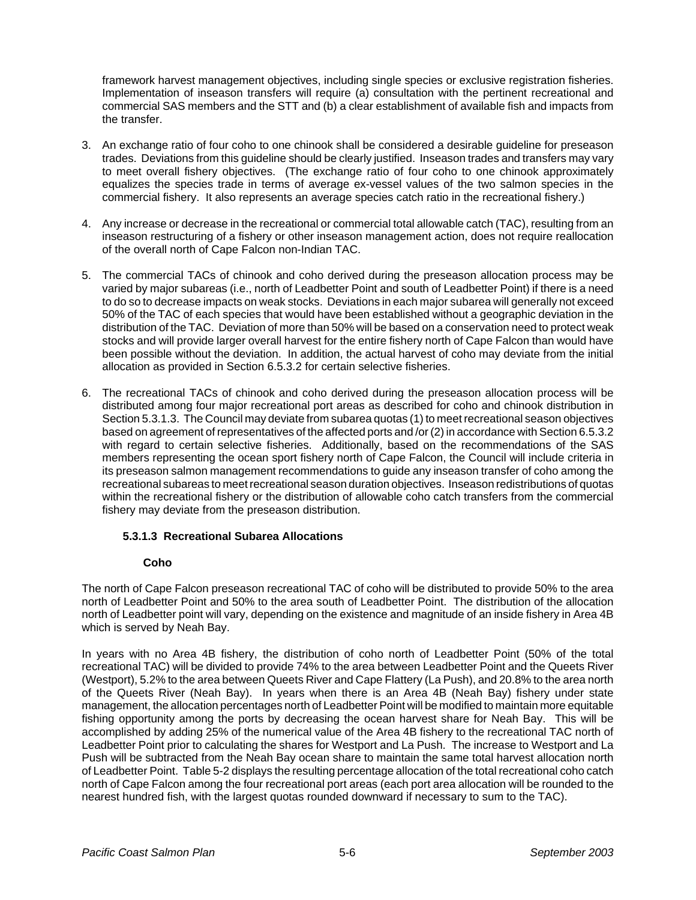framework harvest management objectives, including single species or exclusive registration fisheries. Implementation of inseason transfers will require (a) consultation with the pertinent recreational and commercial SAS members and the STT and (b) a clear establishment of available fish and impacts from the transfer.

- 3. An exchange ratio of four coho to one chinook shall be considered a desirable guideline for preseason trades. Deviations from this guideline should be clearly justified. Inseason trades and transfers may vary to meet overall fishery objectives. (The exchange ratio of four coho to one chinook approximately equalizes the species trade in terms of average ex-vessel values of the two salmon species in the commercial fishery. It also represents an average species catch ratio in the recreational fishery.)
- 4. Any increase or decrease in the recreational or commercial total allowable catch (TAC), resulting from an inseason restructuring of a fishery or other inseason management action, does not require reallocation of the overall north of Cape Falcon non-Indian TAC.
- 5. The commercial TACs of chinook and coho derived during the preseason allocation process may be varied by major subareas (i.e., north of Leadbetter Point and south of Leadbetter Point) if there is a need to do so to decrease impacts on weak stocks. Deviations in each major subarea will generally not exceed 50% of the TAC of each species that would have been established without a geographic deviation in the distribution of the TAC. Deviation of more than 50% will be based on a conservation need to protect weak stocks and will provide larger overall harvest for the entire fishery north of Cape Falcon than would have been possible without the deviation. In addition, the actual harvest of coho may deviate from the initial allocation as provided in Section 6.5.3.2 for certain selective fisheries.
- 6. The recreational TACs of chinook and coho derived during the preseason allocation process will be distributed among four major recreational port areas as described for coho and chinook distribution in Section 5.3.1.3. The Council may deviate from subarea quotas (1) to meet recreational season objectives based on agreement of representatives of the affected ports and /or (2) in accordance with Section 6.5.3.2 with regard to certain selective fisheries. Additionally, based on the recommendations of the SAS members representing the ocean sport fishery north of Cape Falcon, the Council will include criteria in its preseason salmon management recommendations to guide any inseason transfer of coho among the recreational subareas to meet recreational season duration objectives. Inseason redistributions of quotas within the recreational fishery or the distribution of allowable coho catch transfers from the commercial fishery may deviate from the preseason distribution.

## **5.3.1.3 Recreational Subarea Allocations**

## **Coho**

The north of Cape Falcon preseason recreational TAC of coho will be distributed to provide 50% to the area north of Leadbetter Point and 50% to the area south of Leadbetter Point. The distribution of the allocation north of Leadbetter point will vary, depending on the existence and magnitude of an inside fishery in Area 4B which is served by Neah Bay.

In years with no Area 4B fishery, the distribution of coho north of Leadbetter Point (50% of the total recreational TAC) will be divided to provide 74% to the area between Leadbetter Point and the Queets River (Westport), 5.2% to the area between Queets River and Cape Flattery (La Push), and 20.8% to the area north of the Queets River (Neah Bay). In years when there is an Area 4B (Neah Bay) fishery under state management, the allocation percentages north of Leadbetter Point will be modified to maintain more equitable fishing opportunity among the ports by decreasing the ocean harvest share for Neah Bay. This will be accomplished by adding 25% of the numerical value of the Area 4B fishery to the recreational TAC north of Leadbetter Point prior to calculating the shares for Westport and La Push. The increase to Westport and La Push will be subtracted from the Neah Bay ocean share to maintain the same total harvest allocation north of Leadbetter Point. Table 5-2 displays the resulting percentage allocation of the total recreational coho catch north of Cape Falcon among the four recreational port areas (each port area allocation will be rounded to the nearest hundred fish, with the largest quotas rounded downward if necessary to sum to the TAC).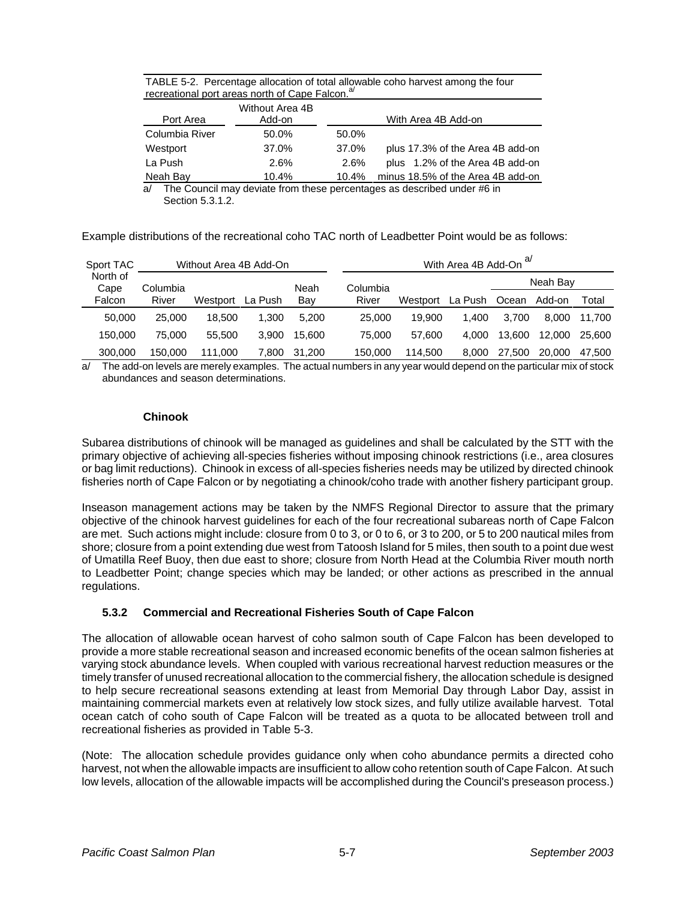| TABLE 5-2. Percentage allocation of total allowable coho harvest among the four |
|---------------------------------------------------------------------------------|
| recreational port areas north of Cape Falcon. <sup>a/</sup>                     |

| Port Area      | Without Area 4B<br>Add-on |          | With Area 4B Add-on               |
|----------------|---------------------------|----------|-----------------------------------|
| Columbia River | 50.0%                     | 50.0%    |                                   |
| Westport       | 37.0%                     | 37.0%    | plus 17.3% of the Area 4B add-on  |
| La Push        | 2.6%                      | 2.6%     | plus 1.2% of the Area 4B add-on   |
| Neah Bay       | 10.4%                     | $10.4\%$ | minus 18.5% of the Area 4B add-on |

a/ The Council may deviate from these percentages as described under #6 in Section 5.3.1.2.

Example distributions of the recreational coho TAC north of Leadbetter Point would be as follows:

| Sport TAC        |          | Without Area 4B Add-On |         |        |          |          | With Area 4B Add-On |        |          |        |
|------------------|----------|------------------------|---------|--------|----------|----------|---------------------|--------|----------|--------|
| North of<br>Cape | Columbia |                        |         | Neah   | Columbia |          |                     |        | Neah Bay |        |
| Falcon           | River    | Westport               | La Push | Bay    | River    | Westport | La Push             | Ocean  | Add-on   | Total  |
| 50,000           | 25,000   | 18.500                 | 1.300   | 5.200  | 25,000   | 19.900   | 1.400               | 3.700  | 8.000    | 11.700 |
| 150,000          | 75.000   | 55,500                 | 3.900   | 15.600 | 75,000   | 57.600   | 4.000               | 13.600 | 12,000   | 25,600 |
| 300,000          | 150,000  | 111.000                | 7.800   | 31.200 | 150,000  | 114.500  | 8.000               | 27,500 | 20,000   | 47.500 |

The add-on levels are merely examples. The actual numbers in any year would depend on the particular mix of stock abundances and season determinations.

## **Chinook**

Subarea distributions of chinook will be managed as guidelines and shall be calculated by the STT with the primary objective of achieving all-species fisheries without imposing chinook restrictions (i.e., area closures or bag limit reductions). Chinook in excess of all-species fisheries needs may be utilized by directed chinook fisheries north of Cape Falcon or by negotiating a chinook/coho trade with another fishery participant group.

Inseason management actions may be taken by the NMFS Regional Director to assure that the primary objective of the chinook harvest guidelines for each of the four recreational subareas north of Cape Falcon are met. Such actions might include: closure from 0 to 3, or 0 to 6, or 3 to 200, or 5 to 200 nautical miles from shore; closure from a point extending due west from Tatoosh Island for 5 miles, then south to a point due west of Umatilla Reef Buoy, then due east to shore; closure from North Head at the Columbia River mouth north to Leadbetter Point; change species which may be landed; or other actions as prescribed in the annual regulations.

# **5.3.2 Commercial and Recreational Fisheries South of Cape Falcon**

The allocation of allowable ocean harvest of coho salmon south of Cape Falcon has been developed to provide a more stable recreational season and increased economic benefits of the ocean salmon fisheries at varying stock abundance levels. When coupled with various recreational harvest reduction measures or the timely transfer of unused recreational allocation to the commercial fishery, the allocation schedule is designed to help secure recreational seasons extending at least from Memorial Day through Labor Day, assist in maintaining commercial markets even at relatively low stock sizes, and fully utilize available harvest. Total ocean catch of coho south of Cape Falcon will be treated as a quota to be allocated between troll and recreational fisheries as provided in Table 5-3.

(Note: The allocation schedule provides guidance only when coho abundance permits a directed coho harvest, not when the allowable impacts are insufficient to allow coho retention south of Cape Falcon. At such low levels, allocation of the allowable impacts will be accomplished during the Council's preseason process.)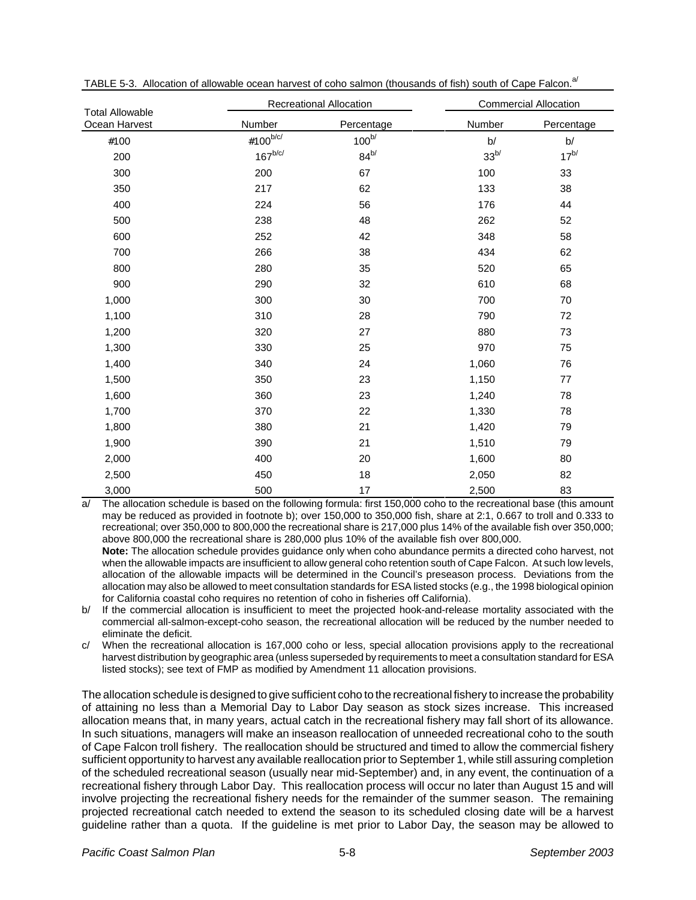| <b>Total Allowable</b> |                | <b>Recreational Allocation</b> | <b>Commercial Allocation</b> |            |  |
|------------------------|----------------|--------------------------------|------------------------------|------------|--|
| Ocean Harvest          | Number         | Percentage                     | Number                       | Percentage |  |
| #100                   | #100 $^{b/c/}$ | $100^{b/}$                     | b/                           | b/         |  |
| 200                    | $167^{b/c/}$   | $84^{b/}$                      | 33 <sup>b/</sup>             | $17^{b/}$  |  |
| 300                    | 200            | 67                             | 100                          | 33         |  |
| 350                    | 217            | 62                             | 133                          | 38         |  |
| 400                    | 224            | 56                             | 176                          | 44         |  |
| 500                    | 238            | 48                             | 262                          | 52         |  |
| 600                    | 252            | 42                             | 348                          | 58         |  |
| 700                    | 266            | 38                             | 434                          | 62         |  |
| 800                    | 280            | 35                             | 520                          | 65         |  |
| 900                    | 290            | 32                             | 610                          | 68         |  |
| 1,000                  | 300            | 30                             | 700                          | 70         |  |
| 1,100                  | 310            | 28                             | 790                          | 72         |  |
| 1,200                  | 320            | 27                             | 880                          | 73         |  |
| 1,300                  | 330            | 25                             | 970                          | 75         |  |
| 1,400                  | 340            | 24                             | 1,060                        | 76         |  |
| 1,500                  | 350            | 23                             | 1,150                        | 77         |  |
| 1,600                  | 360            | 23                             | 1,240                        | 78         |  |
| 1,700                  | 370            | 22                             | 1,330                        | 78         |  |
| 1,800                  | 380            | 21                             | 1,420                        | 79         |  |
| 1,900                  | 390            | 21                             | 1,510                        | 79         |  |
| 2,000                  | 400            | 20                             | 1,600                        | 80         |  |
| 2,500                  | 450            | 18                             | 2,050                        | 82         |  |
| 3,000                  | 500            | 17                             | 2,500                        | 83         |  |

TABLE 5-3. Allocation of allowable ocean harvest of coho salmon (thousands of fish) south of Cape Falcon.<sup>a/</sup>

a/ The allocation schedule is based on the following formula: first 150,000 coho to the recreational base (this amount may be reduced as provided in footnote b); over 150,000 to 350,000 fish, share at 2:1, 0.667 to troll and 0.333 to recreational; over 350,000 to 800,000 the recreational share is 217,000 plus 14% of the available fish over 350,000; above 800,000 the recreational share is 280,000 plus 10% of the available fish over 800,000.

**Note:** The allocation schedule provides guidance only when coho abundance permits a directed coho harvest, not when the allowable impacts are insufficient to allow general coho retention south of Cape Falcon. At such low levels, allocation of the allowable impacts will be determined in the Council's preseason process. Deviations from the allocation may also be allowed to meet consultation standards for ESA listed stocks (e.g., the 1998 biological opinion for California coastal coho requires no retention of coho in fisheries off California).

- b/ If the commercial allocation is insufficient to meet the projected hook-and-release mortality associated with the commercial all-salmon-except-coho season, the recreational allocation will be reduced by the number needed to eliminate the deficit.
- c/ When the recreational allocation is 167,000 coho or less, special allocation provisions apply to the recreational harvest distribution by geographic area (unless superseded by requirements to meet a consultation standard for ESA listed stocks); see text of FMP as modified by Amendment 11 allocation provisions.

The allocation schedule is designed to give sufficient coho to the recreational fishery to increase the probability of attaining no less than a Memorial Day to Labor Day season as stock sizes increase. This increased allocation means that, in many years, actual catch in the recreational fishery may fall short of its allowance. In such situations, managers will make an inseason reallocation of unneeded recreational coho to the south of Cape Falcon troll fishery. The reallocation should be structured and timed to allow the commercial fishery sufficient opportunity to harvest any available reallocation prior to September 1, while still assuring completion of the scheduled recreational season (usually near mid-September) and, in any event, the continuation of a recreational fishery through Labor Day. This reallocation process will occur no later than August 15 and will involve projecting the recreational fishery needs for the remainder of the summer season. The remaining projected recreational catch needed to extend the season to its scheduled closing date will be a harvest guideline rather than a quota. If the guideline is met prior to Labor Day, the season may be allowed to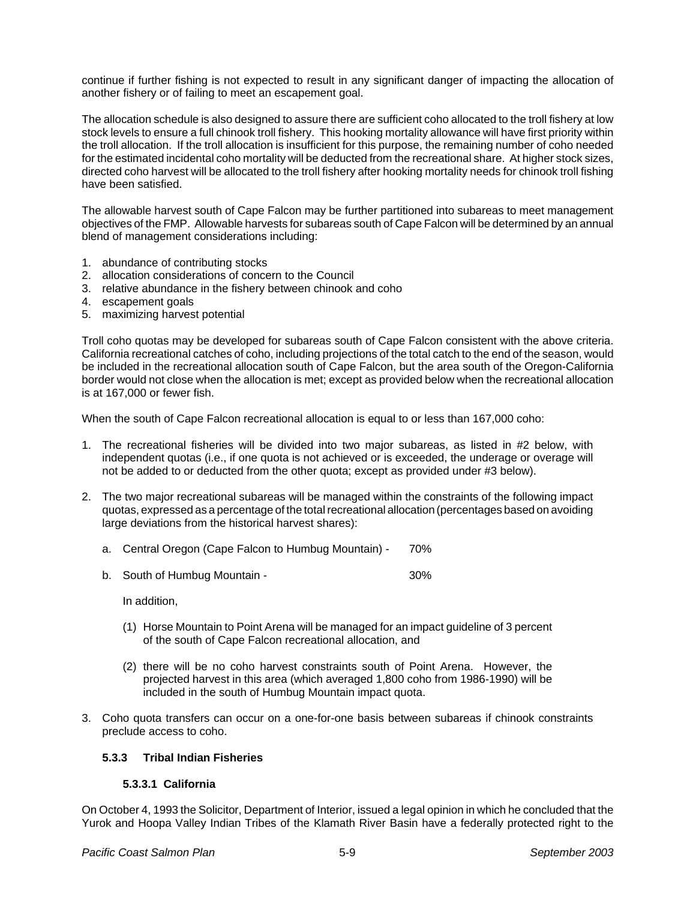continue if further fishing is not expected to result in any significant danger of impacting the allocation of another fishery or of failing to meet an escapement goal.

The allocation schedule is also designed to assure there are sufficient coho allocated to the troll fishery at low stock levels to ensure a full chinook troll fishery. This hooking mortality allowance will have first priority within the troll allocation. If the troll allocation is insufficient for this purpose, the remaining number of coho needed for the estimated incidental coho mortality will be deducted from the recreational share. At higher stock sizes, directed coho harvest will be allocated to the troll fishery after hooking mortality needs for chinook troll fishing have been satisfied.

The allowable harvest south of Cape Falcon may be further partitioned into subareas to meet management objectives of the FMP. Allowable harvests for subareas south of Cape Falcon will be determined by an annual blend of management considerations including:

- 1. abundance of contributing stocks
- 2. allocation considerations of concern to the Council
- 3. relative abundance in the fishery between chinook and coho
- 4. escapement goals
- 5. maximizing harvest potential

Troll coho quotas may be developed for subareas south of Cape Falcon consistent with the above criteria. California recreational catches of coho, including projections of the total catch to the end of the season, would be included in the recreational allocation south of Cape Falcon, but the area south of the Oregon-California border would not close when the allocation is met; except as provided below when the recreational allocation is at 167,000 or fewer fish.

When the south of Cape Falcon recreational allocation is equal to or less than 167,000 coho:

- 1. The recreational fisheries will be divided into two major subareas, as listed in #2 below, with independent quotas (i.e., if one quota is not achieved or is exceeded, the underage or overage will not be added to or deducted from the other quota; except as provided under #3 below).
- 2. The two major recreational subareas will be managed within the constraints of the following impact quotas, expressed as a percentage of the total recreational allocation (percentages based on avoiding large deviations from the historical harvest shares):
	- a. Central Oregon (Cape Falcon to Humbug Mountain) 70%
	- b. South of Humbug Mountain 30%

In addition,

- (1) Horse Mountain to Point Arena will be managed for an impact guideline of 3 percent of the south of Cape Falcon recreational allocation, and
- (2) there will be no coho harvest constraints south of Point Arena. However, the projected harvest in this area (which averaged 1,800 coho from 1986-1990) will be included in the south of Humbug Mountain impact quota.
- 3. Coho quota transfers can occur on a one-for-one basis between subareas if chinook constraints preclude access to coho.

#### **5.3.3 Tribal Indian Fisheries**

#### **5.3.3.1 California**

On October 4, 1993 the Solicitor, Department of Interior, issued a legal opinion in which he concluded that the Yurok and Hoopa Valley Indian Tribes of the Klamath River Basin have a federally protected right to the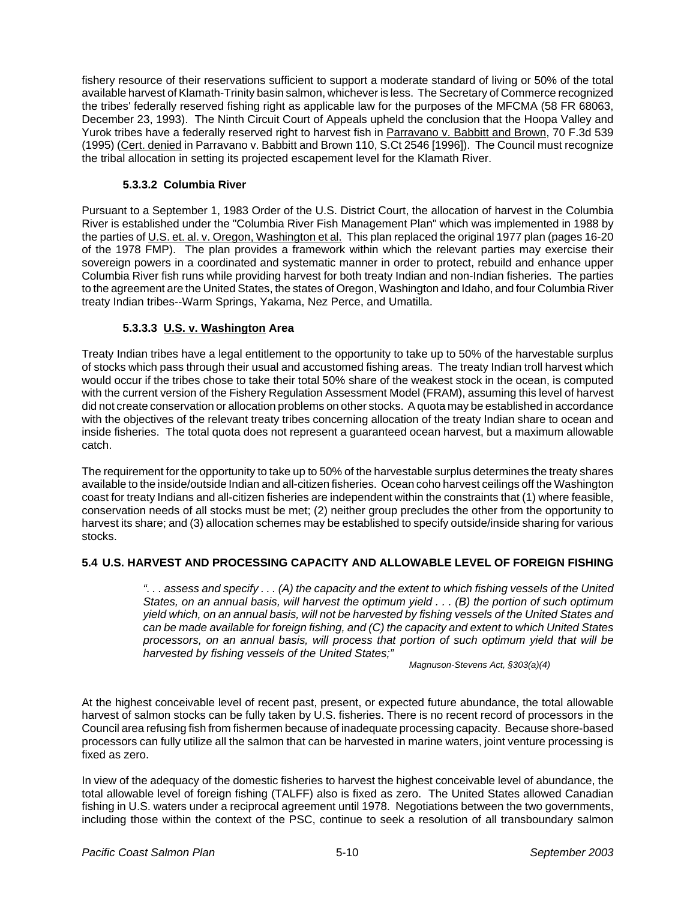fishery resource of their reservations sufficient to support a moderate standard of living or 50% of the total available harvest of Klamath-Trinity basin salmon, whichever is less. The Secretary of Commerce recognized the tribes' federally reserved fishing right as applicable law for the purposes of the MFCMA (58 FR 68063, December 23, 1993). The Ninth Circuit Court of Appeals upheld the conclusion that the Hoopa Valley and Yurok tribes have a federally reserved right to harvest fish in Parravano v. Babbitt and Brown, 70 F.3d 539 (1995) (Cert. denied in Parravano v. Babbitt and Brown 110, S.Ct 2546 [1996]). The Council must recognize the tribal allocation in setting its projected escapement level for the Klamath River.

#### **5.3.3.2 Columbia River**

Pursuant to a September 1, 1983 Order of the U.S. District Court, the allocation of harvest in the Columbia River is established under the "Columbia River Fish Management Plan" which was implemented in 1988 by the parties of U.S. et. al. v. Oregon, Washington et al. This plan replaced the original 1977 plan (pages 16-20 of the 1978 FMP). The plan provides a framework within which the relevant parties may exercise their sovereign powers in a coordinated and systematic manner in order to protect, rebuild and enhance upper Columbia River fish runs while providing harvest for both treaty Indian and non-Indian fisheries. The parties to the agreement are the United States, the states of Oregon, Washington and Idaho, and four Columbia River treaty Indian tribes--Warm Springs, Yakama, Nez Perce, and Umatilla.

## **5.3.3.3 U.S. v. Washington Area**

Treaty Indian tribes have a legal entitlement to the opportunity to take up to 50% of the harvestable surplus of stocks which pass through their usual and accustomed fishing areas. The treaty Indian troll harvest which would occur if the tribes chose to take their total 50% share of the weakest stock in the ocean, is computed with the current version of the Fishery Regulation Assessment Model (FRAM), assuming this level of harvest did not create conservation or allocation problems on other stocks. A quota may be established in accordance with the objectives of the relevant treaty tribes concerning allocation of the treaty Indian share to ocean and inside fisheries. The total quota does not represent a guaranteed ocean harvest, but a maximum allowable catch.

The requirement for the opportunity to take up to 50% of the harvestable surplus determines the treaty shares available to the inside/outside Indian and all-citizen fisheries. Ocean coho harvest ceilings off the Washington coast for treaty Indians and all-citizen fisheries are independent within the constraints that (1) where feasible, conservation needs of all stocks must be met; (2) neither group precludes the other from the opportunity to harvest its share; and (3) allocation schemes may be established to specify outside/inside sharing for various stocks.

## **5.4 U.S. HARVEST AND PROCESSING CAPACITY AND ALLOWABLE LEVEL OF FOREIGN FISHING**

*". . . assess and specify . . . (A) the capacity and the extent to which fishing vessels of the United States, on an annual basis, will harvest the optimum yield . . . (B) the portion of such optimum yield which, on an annual basis, will not be harvested by fishing vessels of the United States and can be made available for foreign fishing, and (C) the capacity and extent to which United States processors, on an annual basis, will process that portion of such optimum yield that will be harvested by fishing vessels of the United States;"*

*Magnuson-Stevens Act, §303(a)(4)*

At the highest conceivable level of recent past, present, or expected future abundance, the total allowable harvest of salmon stocks can be fully taken by U.S. fisheries. There is no recent record of processors in the Council area refusing fish from fishermen because of inadequate processing capacity. Because shore-based processors can fully utilize all the salmon that can be harvested in marine waters, joint venture processing is fixed as zero.

In view of the adequacy of the domestic fisheries to harvest the highest conceivable level of abundance, the total allowable level of foreign fishing (TALFF) also is fixed as zero. The United States allowed Canadian fishing in U.S. waters under a reciprocal agreement until 1978. Negotiations between the two governments, including those within the context of the PSC, continue to seek a resolution of all transboundary salmon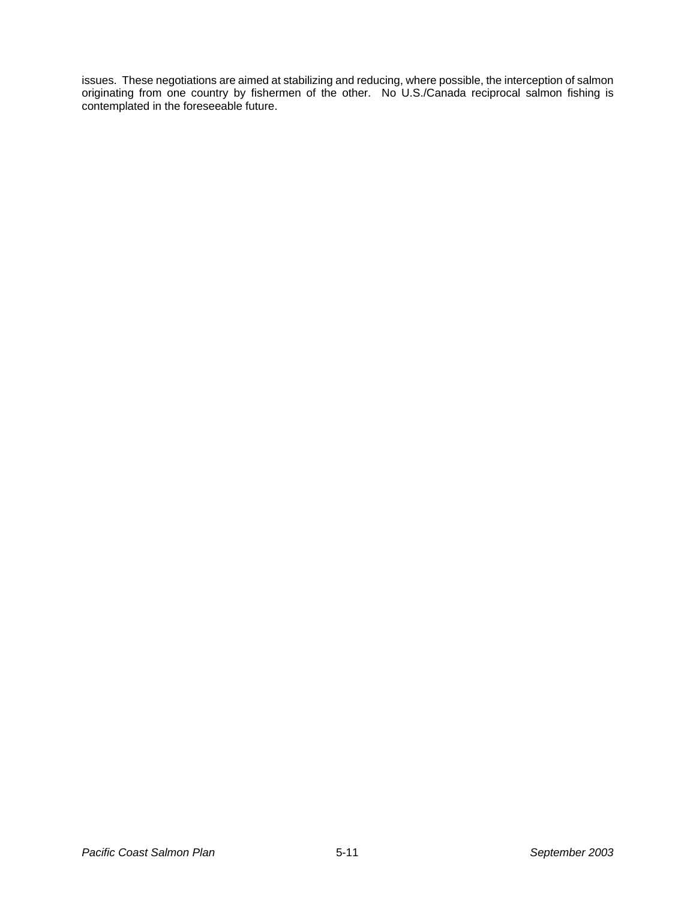issues. These negotiations are aimed at stabilizing and reducing, where possible, the interception of salmon originating from one country by fishermen of the other. No U.S./Canada reciprocal salmon fishing is contemplated in the foreseeable future.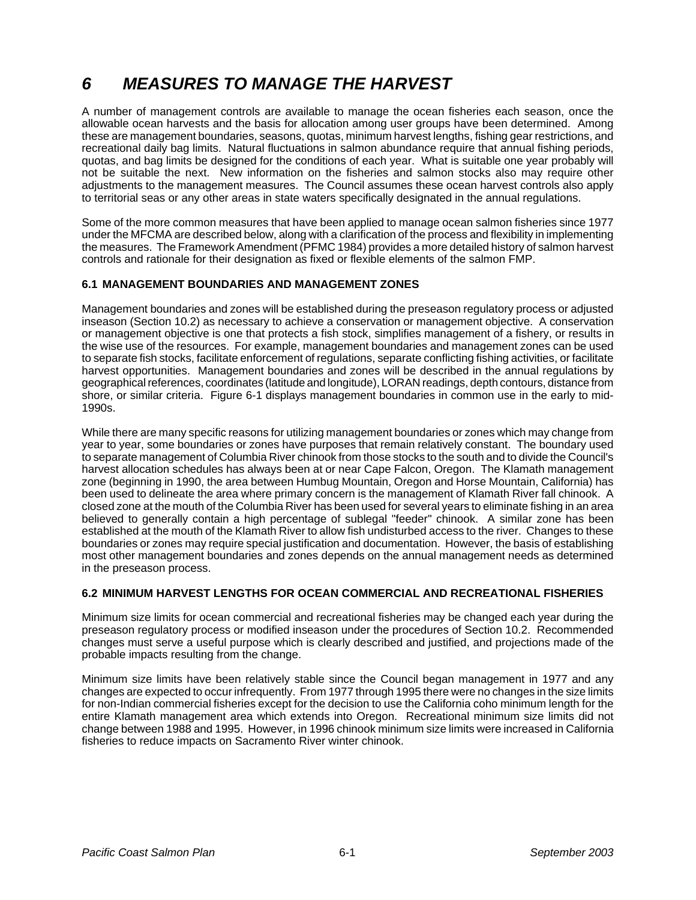# *6 MEASURES TO MANAGE THE HARVEST*

A number of management controls are available to manage the ocean fisheries each season, once the allowable ocean harvests and the basis for allocation among user groups have been determined. Among these are management boundaries, seasons, quotas, minimum harvest lengths, fishing gear restrictions, and recreational daily bag limits. Natural fluctuations in salmon abundance require that annual fishing periods, quotas, and bag limits be designed for the conditions of each year. What is suitable one year probably will not be suitable the next. New information on the fisheries and salmon stocks also may require other adjustments to the management measures. The Council assumes these ocean harvest controls also apply to territorial seas or any other areas in state waters specifically designated in the annual regulations.

Some of the more common measures that have been applied to manage ocean salmon fisheries since 1977 under the MFCMA are described below, along with a clarification of the process and flexibility in implementing the measures. The Framework Amendment (PFMC 1984) provides a more detailed history of salmon harvest controls and rationale for their designation as fixed or flexible elements of the salmon FMP.

#### **6.1 MANAGEMENT BOUNDARIES AND MANAGEMENT ZONES**

Management boundaries and zones will be established during the preseason regulatory process or adjusted inseason (Section 10.2) as necessary to achieve a conservation or management objective. A conservation or management objective is one that protects a fish stock, simplifies management of a fishery, or results in the wise use of the resources. For example, management boundaries and management zones can be used to separate fish stocks, facilitate enforcement of regulations, separate conflicting fishing activities, or facilitate harvest opportunities. Management boundaries and zones will be described in the annual regulations by geographical references, coordinates (latitude and longitude), LORAN readings, depth contours, distance from shore, or similar criteria. Figure 6-1 displays management boundaries in common use in the early to mid-1990s.

While there are many specific reasons for utilizing management boundaries or zones which may change from year to year, some boundaries or zones have purposes that remain relatively constant. The boundary used to separate management of Columbia River chinook from those stocks to the south and to divide the Council's harvest allocation schedules has always been at or near Cape Falcon, Oregon. The Klamath management zone (beginning in 1990, the area between Humbug Mountain, Oregon and Horse Mountain, California) has been used to delineate the area where primary concern is the management of Klamath River fall chinook. A closed zone at the mouth of the Columbia River has been used for several years to eliminate fishing in an area believed to generally contain a high percentage of sublegal "feeder" chinook. A similar zone has been established at the mouth of the Klamath River to allow fish undisturbed access to the river. Changes to these boundaries or zones may require special justification and documentation. However, the basis of establishing most other management boundaries and zones depends on the annual management needs as determined in the preseason process.

## **6.2 MINIMUM HARVEST LENGTHS FOR OCEAN COMMERCIAL AND RECREATIONAL FISHERIES**

Minimum size limits for ocean commercial and recreational fisheries may be changed each year during the preseason regulatory process or modified inseason under the procedures of Section 10.2. Recommended changes must serve a useful purpose which is clearly described and justified, and projections made of the probable impacts resulting from the change.

Minimum size limits have been relatively stable since the Council began management in 1977 and any changes are expected to occur infrequently. From 1977 through 1995 there were no changes in the size limits for non-Indian commercial fisheries except for the decision to use the California coho minimum length for the entire Klamath management area which extends into Oregon. Recreational minimum size limits did not change between 1988 and 1995. However, in 1996 chinook minimum size limits were increased in California fisheries to reduce impacts on Sacramento River winter chinook.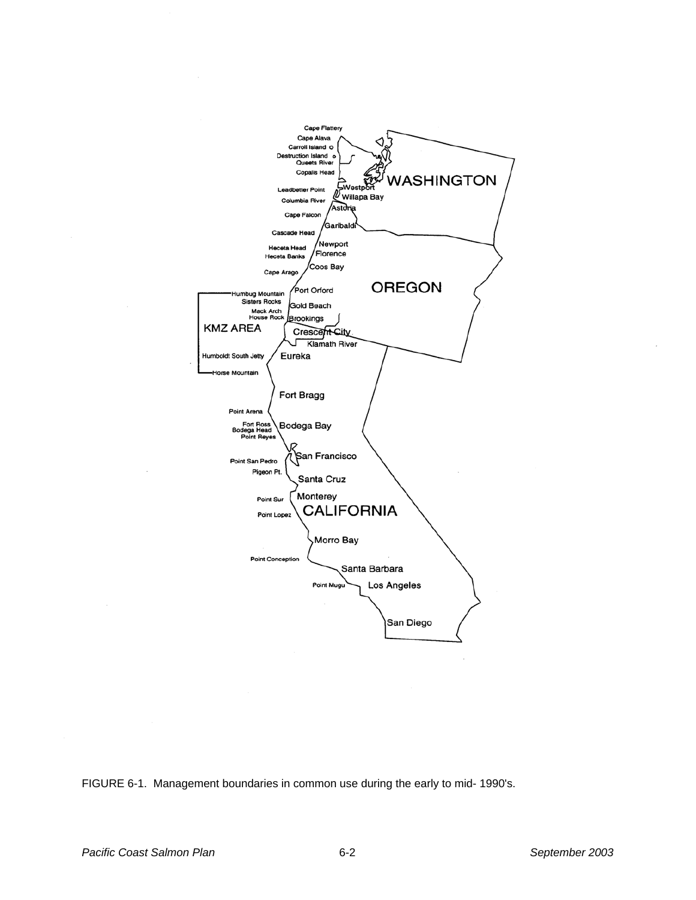

FIGURE 6-1. Management boundaries in common use during the early to mid- 1990's.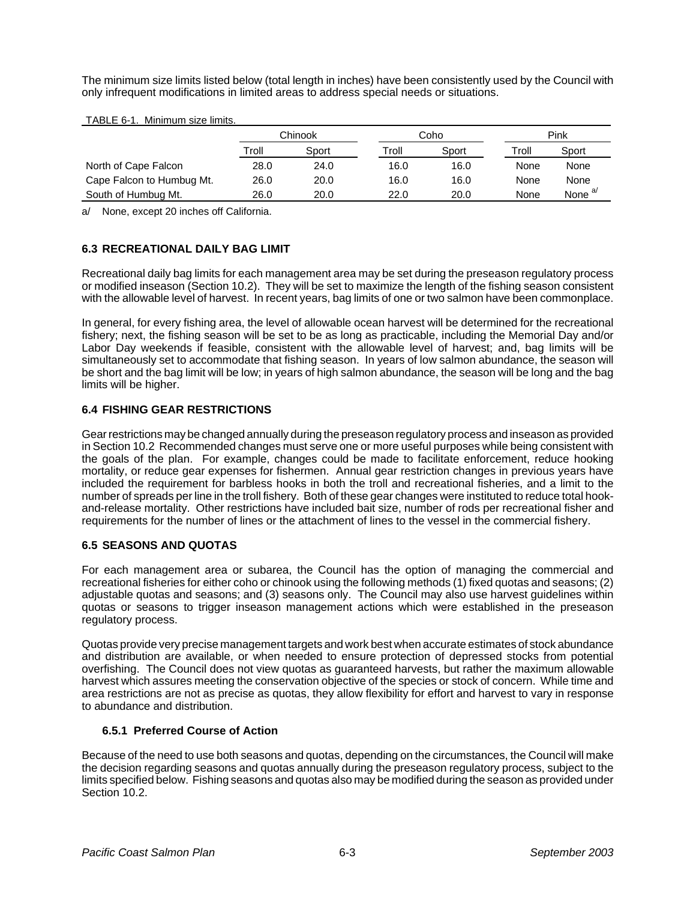The minimum size limits listed below (total length in inches) have been consistently used by the Council with only infrequent modifications in limited areas to address special needs or situations.

|                           | Chinook |       |       | Coho  |       | Pink               |  |
|---------------------------|---------|-------|-------|-------|-------|--------------------|--|
|                           | Troll   | Sport | Troll | Sport | Troll | Sport              |  |
| North of Cape Falcon      | 28.0    | 24.0  | 16.0  | 16.0  | None  | None               |  |
| Cape Falcon to Humbug Mt. | 26.0    | 20.0  | 16.0  | 16.0  | None  | None               |  |
| South of Humbug Mt.       | 26.0    | 20.0  | 22.0  | 20.0  | None  | None <sup>a/</sup> |  |

a/ None, except 20 inches off California.

# **6.3 RECREATIONAL DAILY BAG LIMIT**

Recreational daily bag limits for each management area may be set during the preseason regulatory process or modified inseason (Section 10.2). They will be set to maximize the length of the fishing season consistent with the allowable level of harvest. In recent years, bag limits of one or two salmon have been commonplace.

In general, for every fishing area, the level of allowable ocean harvest will be determined for the recreational fishery; next, the fishing season will be set to be as long as practicable, including the Memorial Day and/or Labor Day weekends if feasible, consistent with the allowable level of harvest; and, bag limits will be simultaneously set to accommodate that fishing season. In years of low salmon abundance, the season will be short and the bag limit will be low; in years of high salmon abundance, the season will be long and the bag limits will be higher.

# **6.4 FISHING GEAR RESTRICTIONS**

Gear restrictions may be changed annually during the preseason regulatory process and inseason as provided in Section 10.2 Recommended changes must serve one or more useful purposes while being consistent with the goals of the plan. For example, changes could be made to facilitate enforcement, reduce hooking mortality, or reduce gear expenses for fishermen. Annual gear restriction changes in previous years have included the requirement for barbless hooks in both the troll and recreational fisheries, and a limit to the number of spreads per line in the troll fishery. Both of these gear changes were instituted to reduce total hookand-release mortality. Other restrictions have included bait size, number of rods per recreational fisher and requirements for the number of lines or the attachment of lines to the vessel in the commercial fishery.

## **6.5 SEASONS AND QUOTAS**

For each management area or subarea, the Council has the option of managing the commercial and recreational fisheries for either coho or chinook using the following methods (1) fixed quotas and seasons; (2) adjustable quotas and seasons; and (3) seasons only. The Council may also use harvest guidelines within quotas or seasons to trigger inseason management actions which were established in the preseason regulatory process.

Quotas provide very precise management targets and work best when accurate estimates of stock abundance and distribution are available, or when needed to ensure protection of depressed stocks from potential overfishing. The Council does not view quotas as guaranteed harvests, but rather the maximum allowable harvest which assures meeting the conservation objective of the species or stock of concern. While time and area restrictions are not as precise as quotas, they allow flexibility for effort and harvest to vary in response to abundance and distribution.

## **6.5.1 Preferred Course of Action**

Because of the need to use both seasons and quotas, depending on the circumstances, the Council will make the decision regarding seasons and quotas annually during the preseason regulatory process, subject to the limits specified below. Fishing seasons and quotas also may be modified during the season as provided under Section 10.2.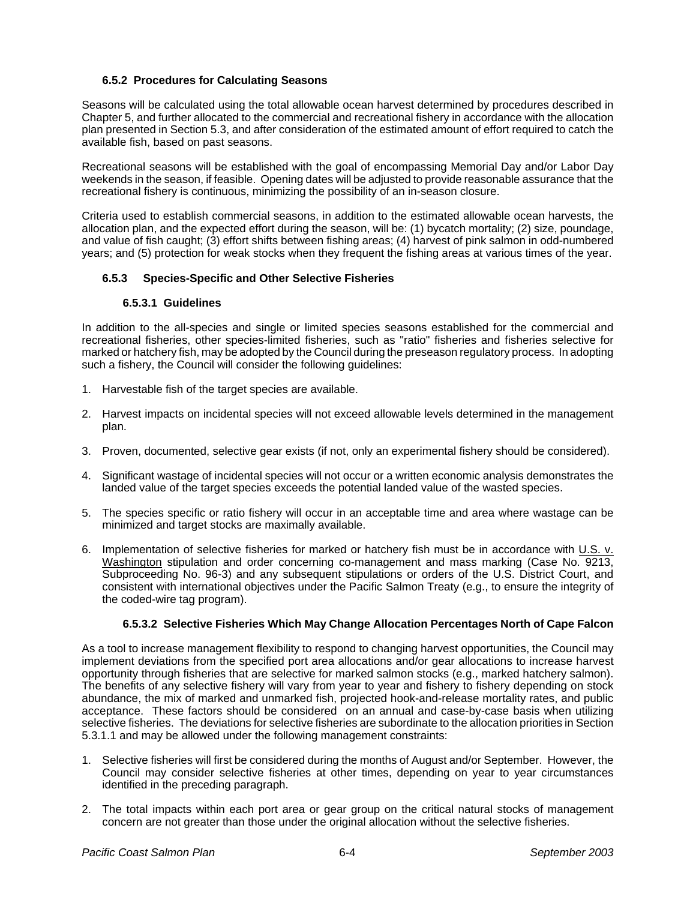#### **6.5.2 Procedures for Calculating Seasons**

Seasons will be calculated using the total allowable ocean harvest determined by procedures described in Chapter 5, and further allocated to the commercial and recreational fishery in accordance with the allocation plan presented in Section 5.3, and after consideration of the estimated amount of effort required to catch the available fish, based on past seasons.

Recreational seasons will be established with the goal of encompassing Memorial Day and/or Labor Day weekends in the season, if feasible. Opening dates will be adjusted to provide reasonable assurance that the recreational fishery is continuous, minimizing the possibility of an in-season closure.

Criteria used to establish commercial seasons, in addition to the estimated allowable ocean harvests, the allocation plan, and the expected effort during the season, will be: (1) bycatch mortality; (2) size, poundage, and value of fish caught; (3) effort shifts between fishing areas; (4) harvest of pink salmon in odd-numbered years; and (5) protection for weak stocks when they frequent the fishing areas at various times of the year.

## **6.5.3 Species-Specific and Other Selective Fisheries**

#### **6.5.3.1 Guidelines**

In addition to the all-species and single or limited species seasons established for the commercial and recreational fisheries, other species-limited fisheries, such as "ratio" fisheries and fisheries selective for marked or hatchery fish, may be adopted by the Council during the preseason regulatory process. In adopting such a fishery, the Council will consider the following guidelines:

- 1. Harvestable fish of the target species are available.
- 2. Harvest impacts on incidental species will not exceed allowable levels determined in the management plan.
- 3. Proven, documented, selective gear exists (if not, only an experimental fishery should be considered).
- 4. Significant wastage of incidental species will not occur or a written economic analysis demonstrates the landed value of the target species exceeds the potential landed value of the wasted species.
- 5. The species specific or ratio fishery will occur in an acceptable time and area where wastage can be minimized and target stocks are maximally available.
- 6. Implementation of selective fisheries for marked or hatchery fish must be in accordance with U.S. v. Washington stipulation and order concerning co-management and mass marking (Case No. 9213, Subproceeding No. 96-3) and any subsequent stipulations or orders of the U.S. District Court, and consistent with international objectives under the Pacific Salmon Treaty (e.g., to ensure the integrity of the coded-wire tag program).

#### **6.5.3.2 Selective Fisheries Which May Change Allocation Percentages North of Cape Falcon**

As a tool to increase management flexibility to respond to changing harvest opportunities, the Council may implement deviations from the specified port area allocations and/or gear allocations to increase harvest opportunity through fisheries that are selective for marked salmon stocks (e.g., marked hatchery salmon). The benefits of any selective fishery will vary from year to year and fishery to fishery depending on stock abundance, the mix of marked and unmarked fish, projected hook-and-release mortality rates, and public acceptance. These factors should be considered on an annual and case-by-case basis when utilizing selective fisheries. The deviations for selective fisheries are subordinate to the allocation priorities in Section 5.3.1.1 and may be allowed under the following management constraints:

- 1. Selective fisheries will first be considered during the months of August and/or September. However, the Council may consider selective fisheries at other times, depending on year to year circumstances identified in the preceding paragraph.
- 2. The total impacts within each port area or gear group on the critical natural stocks of management concern are not greater than those under the original allocation without the selective fisheries.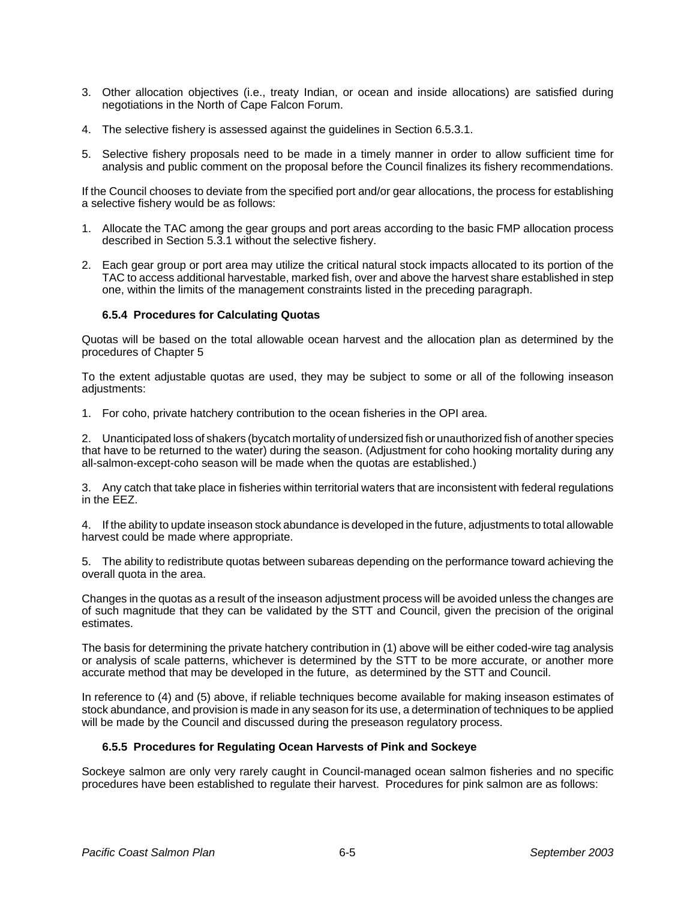- 3. Other allocation objectives (i.e., treaty Indian, or ocean and inside allocations) are satisfied during negotiations in the North of Cape Falcon Forum.
- 4. The selective fishery is assessed against the guidelines in Section 6.5.3.1.
- 5. Selective fishery proposals need to be made in a timely manner in order to allow sufficient time for analysis and public comment on the proposal before the Council finalizes its fishery recommendations.

If the Council chooses to deviate from the specified port and/or gear allocations, the process for establishing a selective fishery would be as follows:

- 1. Allocate the TAC among the gear groups and port areas according to the basic FMP allocation process described in Section 5.3.1 without the selective fishery.
- 2. Each gear group or port area may utilize the critical natural stock impacts allocated to its portion of the TAC to access additional harvestable, marked fish, over and above the harvest share established in step one, within the limits of the management constraints listed in the preceding paragraph.

#### **6.5.4 Procedures for Calculating Quotas**

Quotas will be based on the total allowable ocean harvest and the allocation plan as determined by the procedures of Chapter 5

To the extent adjustable quotas are used, they may be subject to some or all of the following inseason adjustments:

1. For coho, private hatchery contribution to the ocean fisheries in the OPI area.

2. Unanticipated loss of shakers (bycatch mortality of undersized fish or unauthorized fish of another species that have to be returned to the water) during the season. (Adjustment for coho hooking mortality during any all-salmon-except-coho season will be made when the quotas are established.)

3. Any catch that take place in fisheries within territorial waters that are inconsistent with federal regulations in the EEZ.

4. If the ability to update inseason stock abundance is developed in the future, adjustments to total allowable harvest could be made where appropriate.

5. The ability to redistribute quotas between subareas depending on the performance toward achieving the overall quota in the area.

Changes in the quotas as a result of the inseason adjustment process will be avoided unless the changes are of such magnitude that they can be validated by the STT and Council, given the precision of the original estimates.

The basis for determining the private hatchery contribution in (1) above will be either coded-wire tag analysis or analysis of scale patterns, whichever is determined by the STT to be more accurate, or another more accurate method that may be developed in the future, as determined by the STT and Council.

In reference to (4) and (5) above, if reliable techniques become available for making inseason estimates of stock abundance, and provision is made in any season for its use, a determination of techniques to be applied will be made by the Council and discussed during the preseason regulatory process.

#### **6.5.5 Procedures for Regulating Ocean Harvests of Pink and Sockeye**

Sockeye salmon are only very rarely caught in Council-managed ocean salmon fisheries and no specific procedures have been established to regulate their harvest. Procedures for pink salmon are as follows: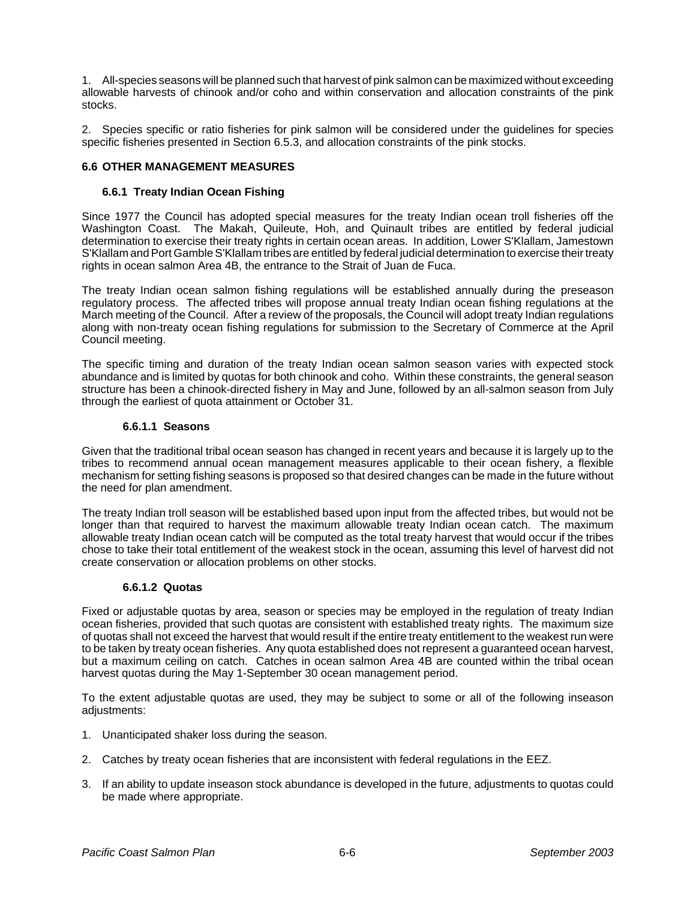1. All-species seasons will be planned such that harvest of pink salmon can be maximized without exceeding allowable harvests of chinook and/or coho and within conservation and allocation constraints of the pink stocks.

2. Species specific or ratio fisheries for pink salmon will be considered under the guidelines for species specific fisheries presented in Section 6.5.3, and allocation constraints of the pink stocks.

#### **6.6 OTHER MANAGEMENT MEASURES**

#### **6.6.1 Treaty Indian Ocean Fishing**

Since 1977 the Council has adopted special measures for the treaty Indian ocean troll fisheries off the Washington Coast. The Makah, Quileute, Hoh, and Quinault tribes are entitled by federal judicial determination to exercise their treaty rights in certain ocean areas. In addition, Lower S'Klallam, Jamestown S'Klallam and Port Gamble S'Klallam tribes are entitled by federal judicial determination to exercise their treaty rights in ocean salmon Area 4B, the entrance to the Strait of Juan de Fuca.

The treaty Indian ocean salmon fishing regulations will be established annually during the preseason regulatory process. The affected tribes will propose annual treaty Indian ocean fishing regulations at the March meeting of the Council. After a review of the proposals, the Council will adopt treaty Indian regulations along with non-treaty ocean fishing regulations for submission to the Secretary of Commerce at the April Council meeting.

The specific timing and duration of the treaty Indian ocean salmon season varies with expected stock abundance and is limited by quotas for both chinook and coho. Within these constraints, the general season structure has been a chinook-directed fishery in May and June, followed by an all-salmon season from July through the earliest of quota attainment or October 31.

#### **6.6.1.1 Seasons**

Given that the traditional tribal ocean season has changed in recent years and because it is largely up to the tribes to recommend annual ocean management measures applicable to their ocean fishery, a flexible mechanism for setting fishing seasons is proposed so that desired changes can be made in the future without the need for plan amendment.

The treaty Indian troll season will be established based upon input from the affected tribes, but would not be longer than that required to harvest the maximum allowable treaty Indian ocean catch. The maximum allowable treaty Indian ocean catch will be computed as the total treaty harvest that would occur if the tribes chose to take their total entitlement of the weakest stock in the ocean, assuming this level of harvest did not create conservation or allocation problems on other stocks.

#### **6.6.1.2 Quotas**

Fixed or adjustable quotas by area, season or species may be employed in the regulation of treaty Indian ocean fisheries, provided that such quotas are consistent with established treaty rights. The maximum size of quotas shall not exceed the harvest that would result if the entire treaty entitlement to the weakest run were to be taken by treaty ocean fisheries. Any quota established does not represent a guaranteed ocean harvest, but a maximum ceiling on catch. Catches in ocean salmon Area 4B are counted within the tribal ocean harvest quotas during the May 1-September 30 ocean management period.

To the extent adjustable quotas are used, they may be subject to some or all of the following inseason adjustments:

- 1. Unanticipated shaker loss during the season.
- 2. Catches by treaty ocean fisheries that are inconsistent with federal regulations in the EEZ.
- 3. If an ability to update inseason stock abundance is developed in the future, adjustments to quotas could be made where appropriate.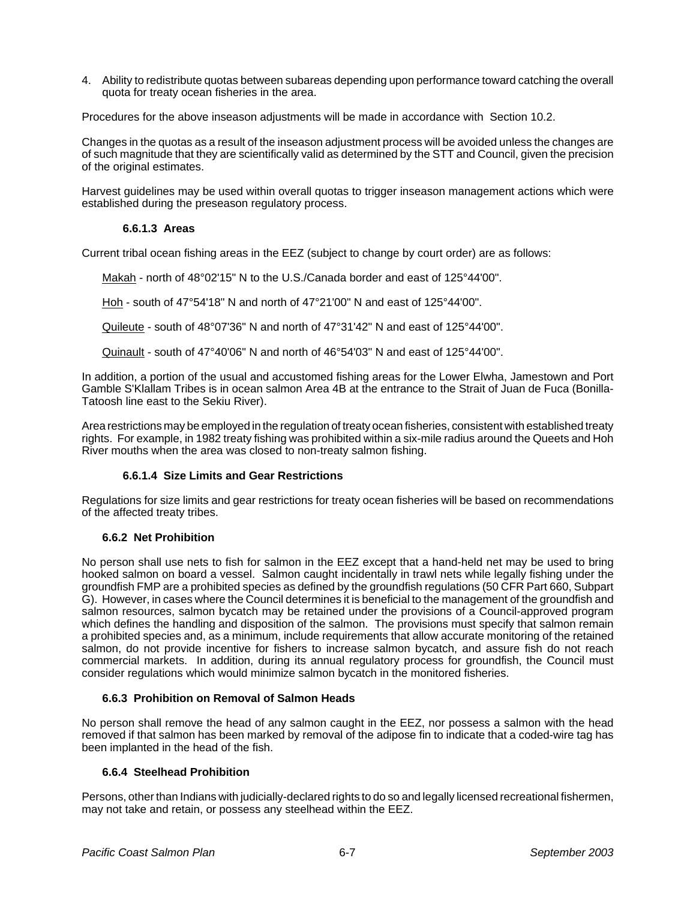4. Ability to redistribute quotas between subareas depending upon performance toward catching the overall quota for treaty ocean fisheries in the area.

Procedures for the above inseason adjustments will be made in accordance with Section 10.2.

Changes in the quotas as a result of the inseason adjustment process will be avoided unless the changes are of such magnitude that they are scientifically valid as determined by the STT and Council, given the precision of the original estimates.

Harvest guidelines may be used within overall quotas to trigger inseason management actions which were established during the preseason regulatory process.

#### **6.6.1.3 Areas**

Current tribal ocean fishing areas in the EEZ (subject to change by court order) are as follows:

Makah - north of 48°02'15" N to the U.S./Canada border and east of 125°44'00".

Hoh - south of 47°54'18" N and north of 47°21'00" N and east of 125°44'00".

Quileute - south of 48°07'36" N and north of 47°31'42" N and east of 125°44'00".

Quinault - south of 47°40'06" N and north of 46°54'03" N and east of 125°44'00".

In addition, a portion of the usual and accustomed fishing areas for the Lower Elwha, Jamestown and Port Gamble S'Klallam Tribes is in ocean salmon Area 4B at the entrance to the Strait of Juan de Fuca (Bonilla-Tatoosh line east to the Sekiu River).

Area restrictions may be employed in the regulation of treaty ocean fisheries, consistent with established treaty rights. For example, in 1982 treaty fishing was prohibited within a six-mile radius around the Queets and Hoh River mouths when the area was closed to non-treaty salmon fishing.

#### **6.6.1.4 Size Limits and Gear Restrictions**

Regulations for size limits and gear restrictions for treaty ocean fisheries will be based on recommendations of the affected treaty tribes.

#### **6.6.2 Net Prohibition**

No person shall use nets to fish for salmon in the EEZ except that a hand-held net may be used to bring hooked salmon on board a vessel. Salmon caught incidentally in trawl nets while legally fishing under the groundfish FMP are a prohibited species as defined by the groundfish regulations (50 CFR Part 660, Subpart G). However, in cases where the Council determines it is beneficial to the management of the groundfish and salmon resources, salmon bycatch may be retained under the provisions of a Council-approved program which defines the handling and disposition of the salmon. The provisions must specify that salmon remain a prohibited species and, as a minimum, include requirements that allow accurate monitoring of the retained salmon, do not provide incentive for fishers to increase salmon bycatch, and assure fish do not reach commercial markets. In addition, during its annual regulatory process for groundfish, the Council must consider regulations which would minimize salmon bycatch in the monitored fisheries.

#### **6.6.3 Prohibition on Removal of Salmon Heads**

No person shall remove the head of any salmon caught in the EEZ, nor possess a salmon with the head removed if that salmon has been marked by removal of the adipose fin to indicate that a coded-wire tag has been implanted in the head of the fish.

#### **6.6.4 Steelhead Prohibition**

Persons, other than Indians with judicially-declared rights to do so and legally licensed recreational fishermen, may not take and retain, or possess any steelhead within the EEZ.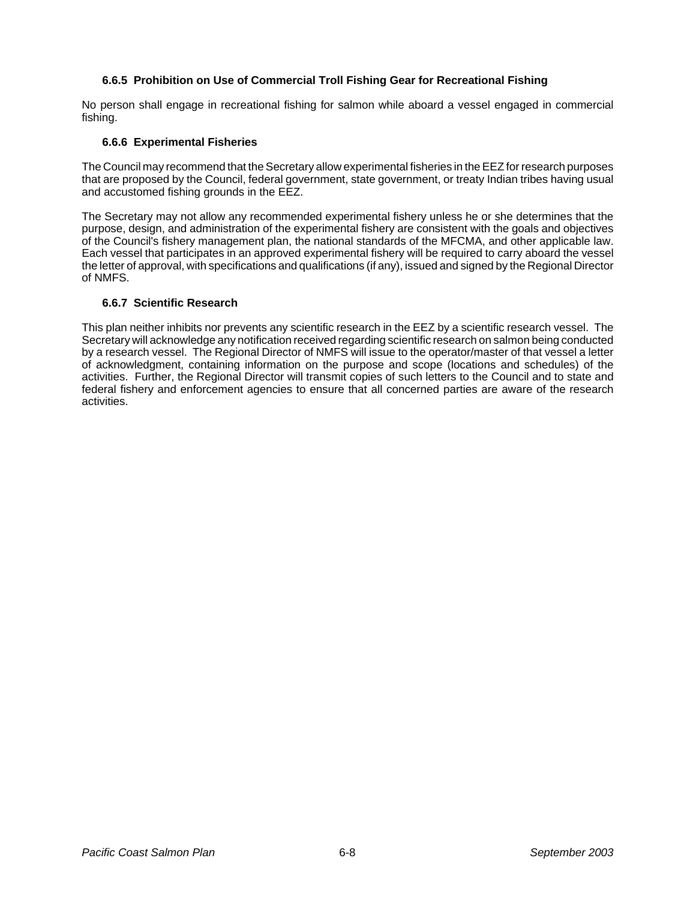#### **6.6.5 Prohibition on Use of Commercial Troll Fishing Gear for Recreational Fishing**

No person shall engage in recreational fishing for salmon while aboard a vessel engaged in commercial fishing.

#### **6.6.6 Experimental Fisheries**

The Council may recommend that the Secretary allow experimental fisheries in the EEZ for research purposes that are proposed by the Council, federal government, state government, or treaty Indian tribes having usual and accustomed fishing grounds in the EEZ.

The Secretary may not allow any recommended experimental fishery unless he or she determines that the purpose, design, and administration of the experimental fishery are consistent with the goals and objectives of the Council's fishery management plan, the national standards of the MFCMA, and other applicable law. Each vessel that participates in an approved experimental fishery will be required to carry aboard the vessel the letter of approval, with specifications and qualifications (if any), issued and signed by the Regional Director of NMFS.

#### **6.6.7 Scientific Research**

This plan neither inhibits nor prevents any scientific research in the EEZ by a scientific research vessel. The Secretary will acknowledge any notification received regarding scientific research on salmon being conducted by a research vessel. The Regional Director of NMFS will issue to the operator/master of that vessel a letter of acknowledgment, containing information on the purpose and scope (locations and schedules) of the activities. Further, the Regional Director will transmit copies of such letters to the Council and to state and federal fishery and enforcement agencies to ensure that all concerned parties are aware of the research activities.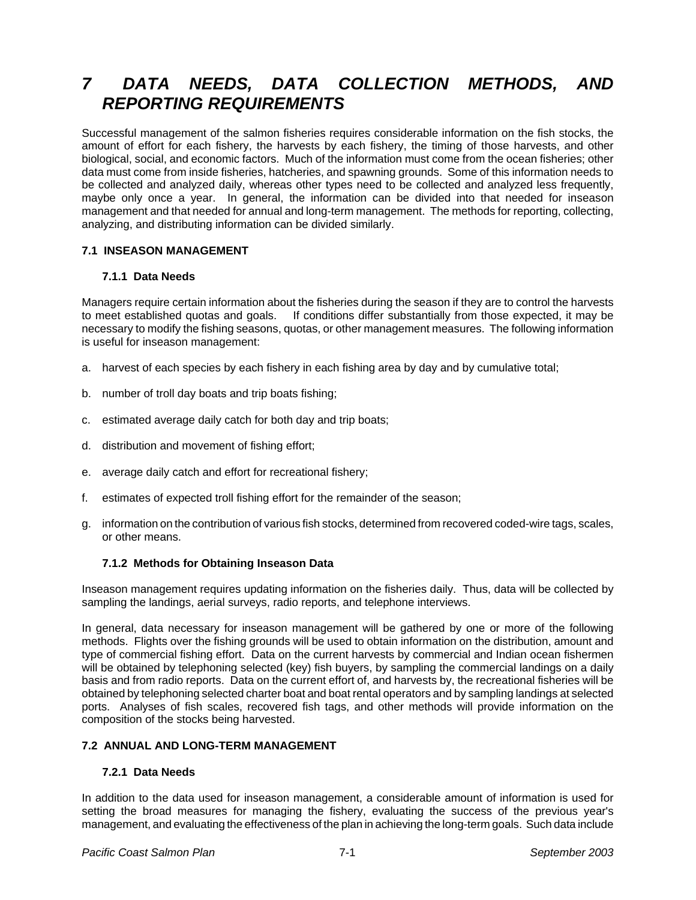# *7 DATA NEEDS, DATA COLLECTION METHODS, AND REPORTING REQUIREMENTS*

Successful management of the salmon fisheries requires considerable information on the fish stocks, the amount of effort for each fishery, the harvests by each fishery, the timing of those harvests, and other biological, social, and economic factors. Much of the information must come from the ocean fisheries; other data must come from inside fisheries, hatcheries, and spawning grounds. Some of this information needs to be collected and analyzed daily, whereas other types need to be collected and analyzed less frequently, maybe only once a year. In general, the information can be divided into that needed for inseason management and that needed for annual and long-term management. The methods for reporting, collecting, analyzing, and distributing information can be divided similarly.

## **7.1 INSEASON MANAGEMENT**

#### **7.1.1 Data Needs**

Managers require certain information about the fisheries during the season if they are to control the harvests to meet established quotas and goals. If conditions differ substantially from those expected, it may be necessary to modify the fishing seasons, quotas, or other management measures. The following information is useful for inseason management:

- a. harvest of each species by each fishery in each fishing area by day and by cumulative total;
- b. number of troll day boats and trip boats fishing;
- c. estimated average daily catch for both day and trip boats;
- d. distribution and movement of fishing effort;
- e. average daily catch and effort for recreational fishery;
- f. estimates of expected troll fishing effort for the remainder of the season;
- g. information on the contribution of various fish stocks, determined from recovered coded-wire tags, scales, or other means.

#### **7.1.2 Methods for Obtaining Inseason Data**

Inseason management requires updating information on the fisheries daily. Thus, data will be collected by sampling the landings, aerial surveys, radio reports, and telephone interviews.

In general, data necessary for inseason management will be gathered by one or more of the following methods. Flights over the fishing grounds will be used to obtain information on the distribution, amount and type of commercial fishing effort. Data on the current harvests by commercial and Indian ocean fishermen will be obtained by telephoning selected (key) fish buyers, by sampling the commercial landings on a daily basis and from radio reports. Data on the current effort of, and harvests by, the recreational fisheries will be obtained by telephoning selected charter boat and boat rental operators and by sampling landings at selected ports. Analyses of fish scales, recovered fish tags, and other methods will provide information on the composition of the stocks being harvested.

## **7.2 ANNUAL AND LONG-TERM MANAGEMENT**

#### **7.2.1 Data Needs**

In addition to the data used for inseason management, a considerable amount of information is used for setting the broad measures for managing the fishery, evaluating the success of the previous year's management, and evaluating the effectiveness of the plan in achieving the long-term goals. Such data include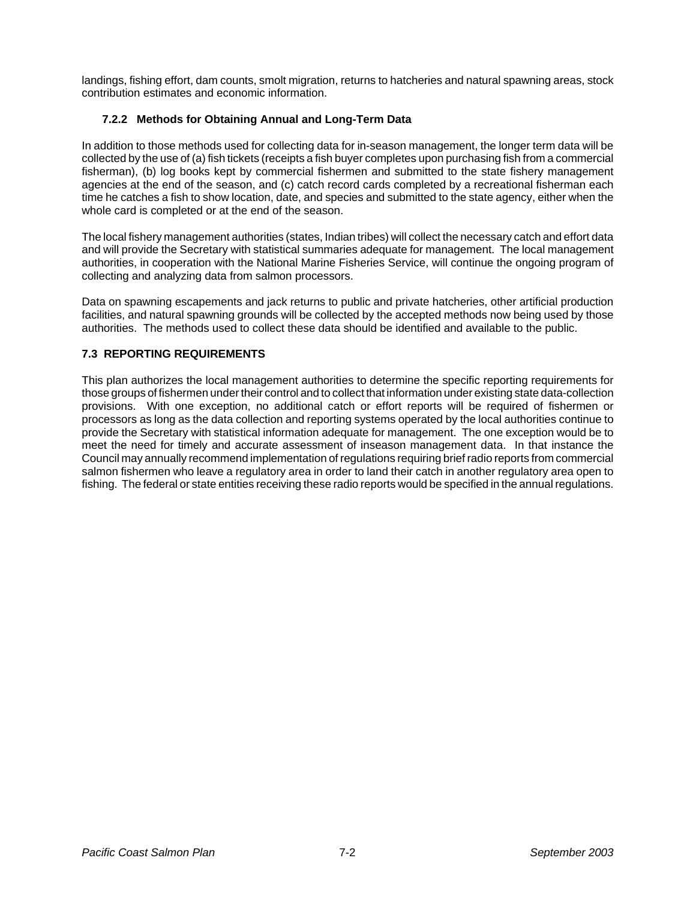landings, fishing effort, dam counts, smolt migration, returns to hatcheries and natural spawning areas, stock contribution estimates and economic information.

## **7.2.2 Methods for Obtaining Annual and Long-Term Data**

In addition to those methods used for collecting data for in-season management, the longer term data will be collected by the use of (a) fish tickets (receipts a fish buyer completes upon purchasing fish from a commercial fisherman), (b) log books kept by commercial fishermen and submitted to the state fishery management agencies at the end of the season, and (c) catch record cards completed by a recreational fisherman each time he catches a fish to show location, date, and species and submitted to the state agency, either when the whole card is completed or at the end of the season.

The local fishery management authorities (states, Indian tribes) will collect the necessary catch and effort data and will provide the Secretary with statistical summaries adequate for management. The local management authorities, in cooperation with the National Marine Fisheries Service, will continue the ongoing program of collecting and analyzing data from salmon processors.

Data on spawning escapements and jack returns to public and private hatcheries, other artificial production facilities, and natural spawning grounds will be collected by the accepted methods now being used by those authorities. The methods used to collect these data should be identified and available to the public.

# **7.3 REPORTING REQUIREMENTS**

This plan authorizes the local management authorities to determine the specific reporting requirements for those groups of fishermen under their control and to collect that information under existing state data-collection provisions. With one exception, no additional catch or effort reports will be required of fishermen or processors as long as the data collection and reporting systems operated by the local authorities continue to provide the Secretary with statistical information adequate for management. The one exception would be to meet the need for timely and accurate assessment of inseason management data. In that instance the Council may annually recommend implementation of regulations requiring brief radio reports from commercial salmon fishermen who leave a regulatory area in order to land their catch in another regulatory area open to fishing. The federal or state entities receiving these radio reports would be specified in the annual regulations.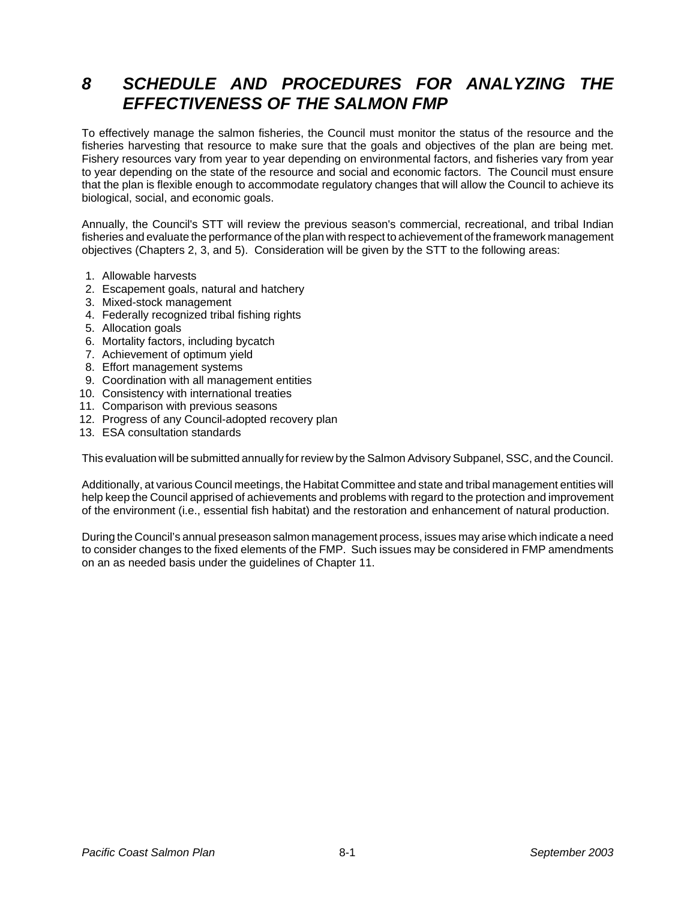# *8 SCHEDULE AND PROCEDURES FOR ANALYZING THE EFFECTIVENESS OF THE SALMON FMP*

To effectively manage the salmon fisheries, the Council must monitor the status of the resource and the fisheries harvesting that resource to make sure that the goals and objectives of the plan are being met. Fishery resources vary from year to year depending on environmental factors, and fisheries vary from year to year depending on the state of the resource and social and economic factors. The Council must ensure that the plan is flexible enough to accommodate regulatory changes that will allow the Council to achieve its biological, social, and economic goals.

Annually, the Council's STT will review the previous season's commercial, recreational, and tribal Indian fisheries and evaluate the performance of the plan with respect to achievement of the framework management objectives (Chapters 2, 3, and 5). Consideration will be given by the STT to the following areas:

- 1. Allowable harvests
- 2. Escapement goals, natural and hatchery
- 3. Mixed-stock management
- 4. Federally recognized tribal fishing rights
- 5. Allocation goals
- 6. Mortality factors, including bycatch
- 7. Achievement of optimum yield
- 8. Effort management systems
- 9. Coordination with all management entities
- 10. Consistency with international treaties
- 11. Comparison with previous seasons
- 12. Progress of any Council-adopted recovery plan
- 13. ESA consultation standards

This evaluation will be submitted annually for review by the Salmon Advisory Subpanel, SSC, and the Council.

Additionally, at various Council meetings, the Habitat Committee and state and tribal management entities will help keep the Council apprised of achievements and problems with regard to the protection and improvement of the environment (i.e., essential fish habitat) and the restoration and enhancement of natural production.

During the Council's annual preseason salmon management process, issues may arise which indicate a need to consider changes to the fixed elements of the FMP. Such issues may be considered in FMP amendments on an as needed basis under the guidelines of Chapter 11.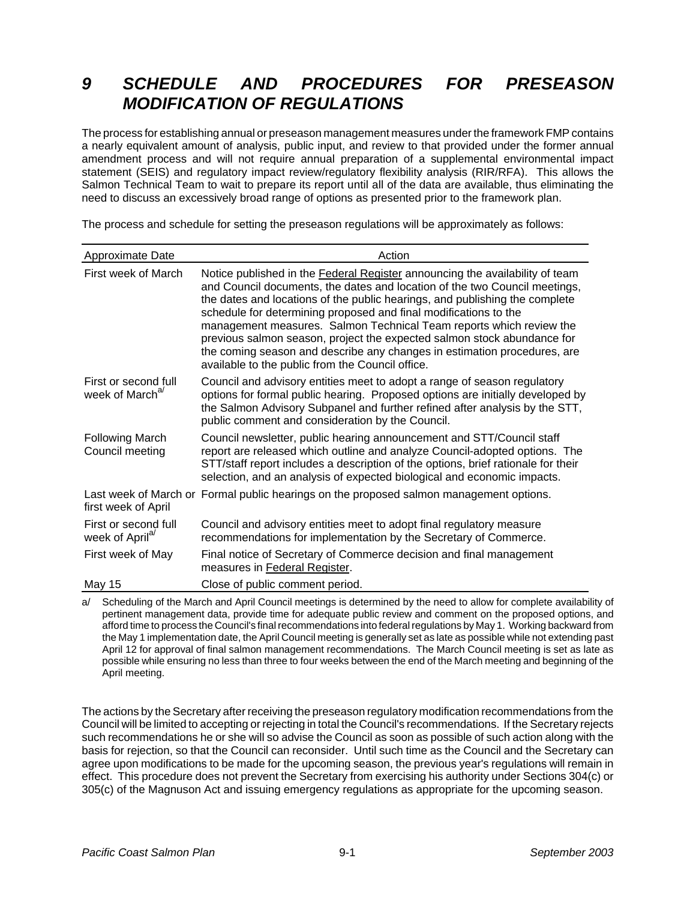# *9 SCHEDULE AND PROCEDURES FOR PRESEASON MODIFICATION OF REGULATIONS*

The process for establishing annual or preseason management measures under the framework FMP contains a nearly equivalent amount of analysis, public input, and review to that provided under the former annual amendment process and will not require annual preparation of a supplemental environmental impact statement (SEIS) and regulatory impact review/regulatory flexibility analysis (RIR/RFA). This allows the Salmon Technical Team to wait to prepare its report until all of the data are available, thus eliminating the need to discuss an excessively broad range of options as presented prior to the framework plan.

The process and schedule for setting the preseason regulations will be approximately as follows:

| Approximate Date                                    | Action                                                                                                                                                                                                                                                                                                                                                                                                                                                                                                                                                                                          |
|-----------------------------------------------------|-------------------------------------------------------------------------------------------------------------------------------------------------------------------------------------------------------------------------------------------------------------------------------------------------------------------------------------------------------------------------------------------------------------------------------------------------------------------------------------------------------------------------------------------------------------------------------------------------|
| First week of March                                 | Notice published in the Federal Register announcing the availability of team<br>and Council documents, the dates and location of the two Council meetings,<br>the dates and locations of the public hearings, and publishing the complete<br>schedule for determining proposed and final modifications to the<br>management measures. Salmon Technical Team reports which review the<br>previous salmon season, project the expected salmon stock abundance for<br>the coming season and describe any changes in estimation procedures, are<br>available to the public from the Council office. |
| First or second full<br>week of March <sup>a/</sup> | Council and advisory entities meet to adopt a range of season regulatory<br>options for formal public hearing. Proposed options are initially developed by<br>the Salmon Advisory Subpanel and further refined after analysis by the STT,<br>public comment and consideration by the Council.                                                                                                                                                                                                                                                                                                   |
| <b>Following March</b><br>Council meeting           | Council newsletter, public hearing announcement and STT/Council staff<br>report are released which outline and analyze Council-adopted options. The<br>STT/staff report includes a description of the options, brief rationale for their<br>selection, and an analysis of expected biological and economic impacts.                                                                                                                                                                                                                                                                             |
| first week of April                                 | Last week of March or Formal public hearings on the proposed salmon management options.                                                                                                                                                                                                                                                                                                                                                                                                                                                                                                         |
| First or second full<br>week of April <sup>a/</sup> | Council and advisory entities meet to adopt final regulatory measure<br>recommendations for implementation by the Secretary of Commerce.                                                                                                                                                                                                                                                                                                                                                                                                                                                        |
| First week of May                                   | Final notice of Secretary of Commerce decision and final management<br>measures in Federal Register.                                                                                                                                                                                                                                                                                                                                                                                                                                                                                            |
| <b>May 15</b>                                       | Close of public comment period.                                                                                                                                                                                                                                                                                                                                                                                                                                                                                                                                                                 |

a/ Scheduling of the March and April Council meetings is determined by the need to allow for complete availability of pertinent management data, provide time for adequate public review and comment on the proposed options, and afford time to process the Council's final recommendations into federal regulations by May 1. Working backward from the May 1 implementation date, the April Council meeting is generally set as late as possible while not extending past April 12 for approval of final salmon management recommendations. The March Council meeting is set as late as possible while ensuring no less than three to four weeks between the end of the March meeting and beginning of the April meeting.

The actions by the Secretary after receiving the preseason regulatory modification recommendations from the Council will be limited to accepting or rejecting in total the Council's recommendations. If the Secretary rejects such recommendations he or she will so advise the Council as soon as possible of such action along with the basis for rejection, so that the Council can reconsider. Until such time as the Council and the Secretary can agree upon modifications to be made for the upcoming season, the previous year's regulations will remain in effect. This procedure does not prevent the Secretary from exercising his authority under Sections 304(c) or 305(c) of the Magnuson Act and issuing emergency regulations as appropriate for the upcoming season.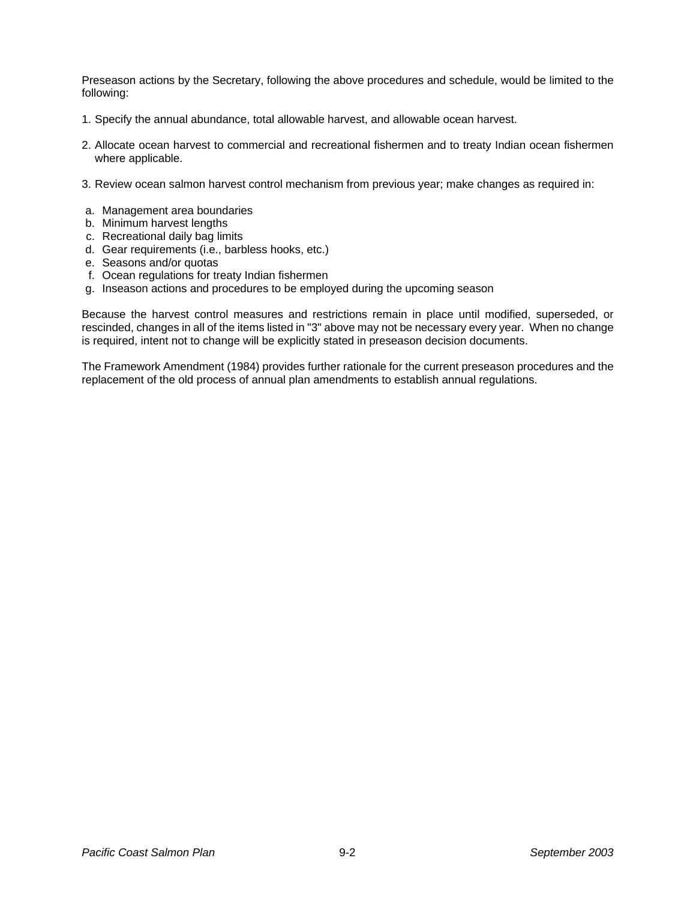Preseason actions by the Secretary, following the above procedures and schedule, would be limited to the following:

- 1. Specify the annual abundance, total allowable harvest, and allowable ocean harvest.
- 2. Allocate ocean harvest to commercial and recreational fishermen and to treaty Indian ocean fishermen where applicable.
- 3. Review ocean salmon harvest control mechanism from previous year; make changes as required in:
- a. Management area boundaries
- b. Minimum harvest lengths
- c. Recreational daily bag limits
- d. Gear requirements (i.e., barbless hooks, etc.)
- e. Seasons and/or quotas
- f. Ocean regulations for treaty Indian fishermen
- g. Inseason actions and procedures to be employed during the upcoming season

Because the harvest control measures and restrictions remain in place until modified, superseded, or rescinded, changes in all of the items listed in "3" above may not be necessary every year. When no change is required, intent not to change will be explicitly stated in preseason decision documents.

The Framework Amendment (1984) provides further rationale for the current preseason procedures and the replacement of the old process of annual plan amendments to establish annual regulations.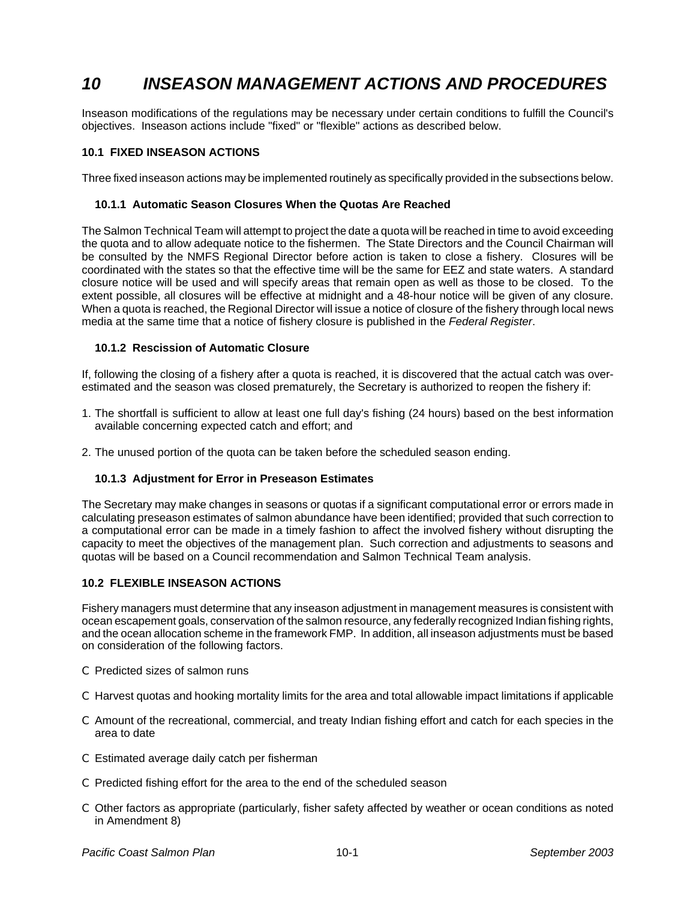# *10 INSEASON MANAGEMENT ACTIONS AND PROCEDURES*

Inseason modifications of the regulations may be necessary under certain conditions to fulfill the Council's objectives. Inseason actions include "fixed" or "flexible" actions as described below.

#### **10.1 FIXED INSEASON ACTIONS**

Three fixed inseason actions may be implemented routinely as specifically provided in the subsections below.

#### **10.1.1 Automatic Season Closures When the Quotas Are Reached**

The Salmon Technical Team will attempt to project the date a quota will be reached in time to avoid exceeding the quota and to allow adequate notice to the fishermen. The State Directors and the Council Chairman will be consulted by the NMFS Regional Director before action is taken to close a fishery. Closures will be coordinated with the states so that the effective time will be the same for EEZ and state waters. A standard closure notice will be used and will specify areas that remain open as well as those to be closed. To the extent possible, all closures will be effective at midnight and a 48-hour notice will be given of any closure. When a quota is reached, the Regional Director will issue a notice of closure of the fishery through local news media at the same time that a notice of fishery closure is published in the *Federal Register*.

#### **10.1.2 Rescission of Automatic Closure**

If, following the closing of a fishery after a quota is reached, it is discovered that the actual catch was overestimated and the season was closed prematurely, the Secretary is authorized to reopen the fishery if:

- 1. The shortfall is sufficient to allow at least one full day's fishing (24 hours) based on the best information available concerning expected catch and effort; and
- 2. The unused portion of the quota can be taken before the scheduled season ending.

#### **10.1.3 Adjustment for Error in Preseason Estimates**

The Secretary may make changes in seasons or quotas if a significant computational error or errors made in calculating preseason estimates of salmon abundance have been identified; provided that such correction to a computational error can be made in a timely fashion to affect the involved fishery without disrupting the capacity to meet the objectives of the management plan. Such correction and adjustments to seasons and quotas will be based on a Council recommendation and Salmon Technical Team analysis.

### **10.2 FLEXIBLE INSEASON ACTIONS**

Fishery managers must determine that any inseason adjustment in management measures is consistent with ocean escapement goals, conservation of the salmon resource, any federally recognized Indian fishing rights, and the ocean allocation scheme in the framework FMP. In addition, all inseason adjustments must be based on consideration of the following factors.

- C Predicted sizes of salmon runs
- C Harvest quotas and hooking mortality limits for the area and total allowable impact limitations if applicable
- C Amount of the recreational, commercial, and treaty Indian fishing effort and catch for each species in the area to date
- C Estimated average daily catch per fisherman
- C Predicted fishing effort for the area to the end of the scheduled season
- C Other factors as appropriate (particularly, fisher safety affected by weather or ocean conditions as noted in Amendment 8)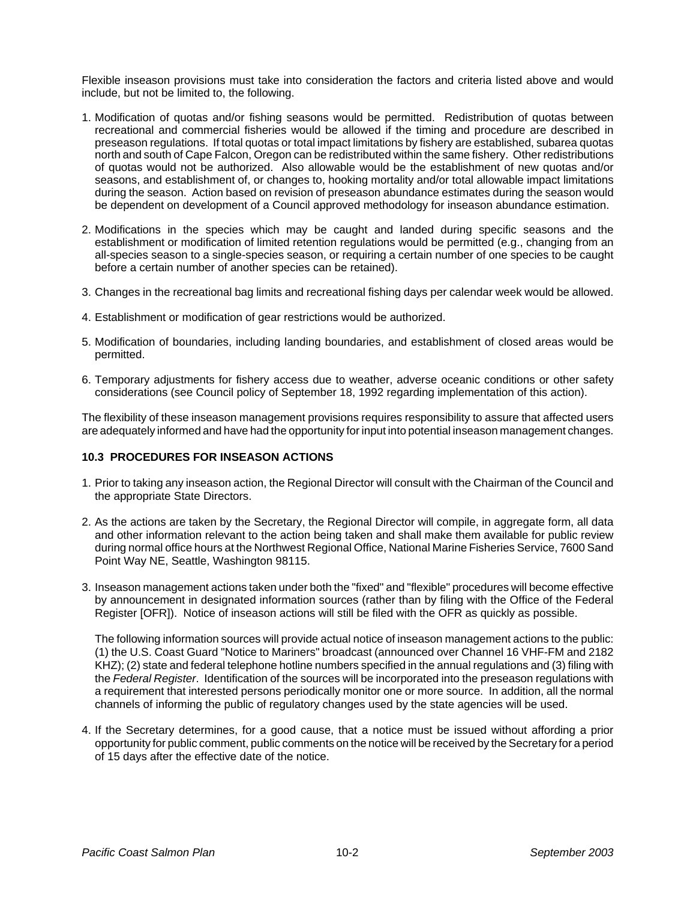Flexible inseason provisions must take into consideration the factors and criteria listed above and would include, but not be limited to, the following.

- 1. Modification of quotas and/or fishing seasons would be permitted. Redistribution of quotas between recreational and commercial fisheries would be allowed if the timing and procedure are described in preseason regulations. If total quotas or total impact limitations by fishery are established, subarea quotas north and south of Cape Falcon, Oregon can be redistributed within the same fishery. Other redistributions of quotas would not be authorized. Also allowable would be the establishment of new quotas and/or seasons, and establishment of, or changes to, hooking mortality and/or total allowable impact limitations during the season. Action based on revision of preseason abundance estimates during the season would be dependent on development of a Council approved methodology for inseason abundance estimation.
- 2. Modifications in the species which may be caught and landed during specific seasons and the establishment or modification of limited retention regulations would be permitted (e.g., changing from an all-species season to a single-species season, or requiring a certain number of one species to be caught before a certain number of another species can be retained).
- 3. Changes in the recreational bag limits and recreational fishing days per calendar week would be allowed.
- 4. Establishment or modification of gear restrictions would be authorized.
- 5. Modification of boundaries, including landing boundaries, and establishment of closed areas would be permitted.
- 6. Temporary adjustments for fishery access due to weather, adverse oceanic conditions or other safety considerations (see Council policy of September 18, 1992 regarding implementation of this action).

The flexibility of these inseason management provisions requires responsibility to assure that affected users are adequately informed and have had the opportunity for input into potential inseason management changes.

#### **10.3 PROCEDURES FOR INSEASON ACTIONS**

- 1. Prior to taking any inseason action, the Regional Director will consult with the Chairman of the Council and the appropriate State Directors.
- 2. As the actions are taken by the Secretary, the Regional Director will compile, in aggregate form, all data and other information relevant to the action being taken and shall make them available for public review during normal office hours at the Northwest Regional Office, National Marine Fisheries Service, 7600 Sand Point Way NE, Seattle, Washington 98115.
- 3. Inseason management actions taken under both the "fixed" and "flexible" procedures will become effective by announcement in designated information sources (rather than by filing with the Office of the Federal Register [OFR]). Notice of inseason actions will still be filed with the OFR as quickly as possible.

The following information sources will provide actual notice of inseason management actions to the public: (1) the U.S. Coast Guard "Notice to Mariners" broadcast (announced over Channel 16 VHF-FM and 2182 KHZ); (2) state and federal telephone hotline numbers specified in the annual regulations and (3) filing with the *Federal Register*. Identification of the sources will be incorporated into the preseason regulations with a requirement that interested persons periodically monitor one or more source. In addition, all the normal channels of informing the public of regulatory changes used by the state agencies will be used.

4. If the Secretary determines, for a good cause, that a notice must be issued without affording a prior opportunity for public comment, public comments on the notice will be received by the Secretary for a period of 15 days after the effective date of the notice.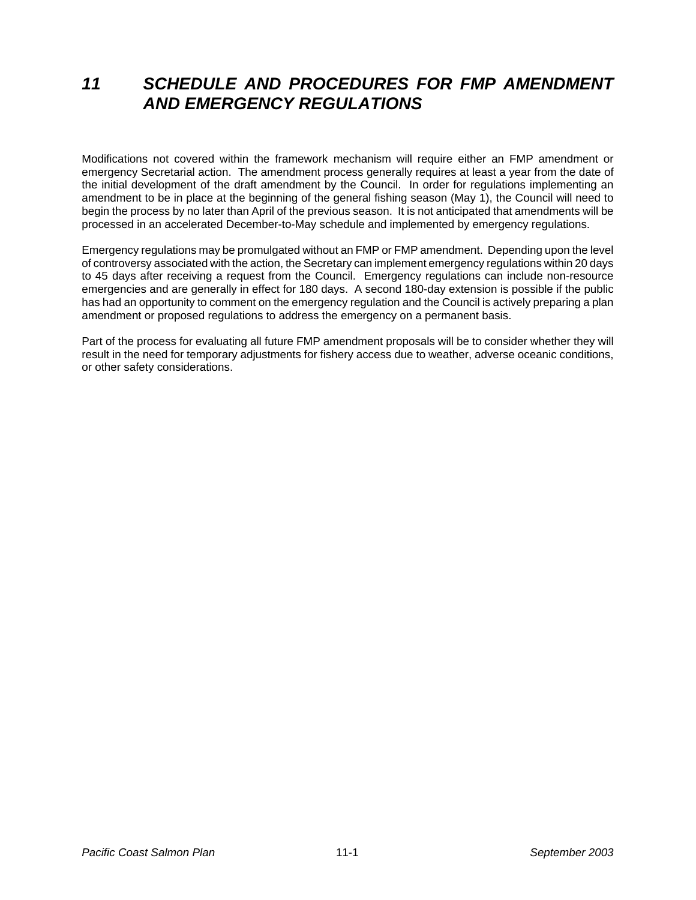## *11 SCHEDULE AND PROCEDURES FOR FMP AMENDMENT AND EMERGENCY REGULATIONS*

Modifications not covered within the framework mechanism will require either an FMP amendment or emergency Secretarial action. The amendment process generally requires at least a year from the date of the initial development of the draft amendment by the Council. In order for regulations implementing an amendment to be in place at the beginning of the general fishing season (May 1), the Council will need to begin the process by no later than April of the previous season. It is not anticipated that amendments will be processed in an accelerated December-to-May schedule and implemented by emergency regulations.

Emergency regulations may be promulgated without an FMP or FMP amendment. Depending upon the level of controversy associated with the action, the Secretary can implement emergency regulations within 20 days to 45 days after receiving a request from the Council. Emergency regulations can include non-resource emergencies and are generally in effect for 180 days. A second 180-day extension is possible if the public has had an opportunity to comment on the emergency regulation and the Council is actively preparing a plan amendment or proposed regulations to address the emergency on a permanent basis.

Part of the process for evaluating all future FMP amendment proposals will be to consider whether they will result in the need for temporary adjustments for fishery access due to weather, adverse oceanic conditions, or other safety considerations.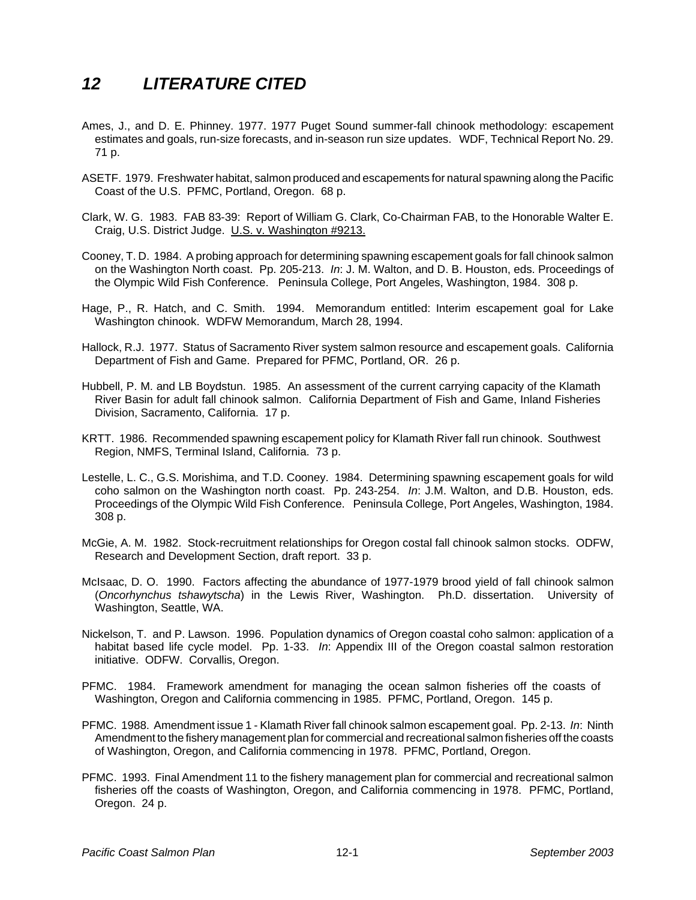## *12 LITERATURE CITED*

- Ames, J., and D. E. Phinney. 1977. 1977 Puget Sound summer-fall chinook methodology: escapement estimates and goals, run-size forecasts, and in-season run size updates. WDF, Technical Report No. 29. 71 p.
- ASETF. 1979. Freshwater habitat, salmon produced and escapements for natural spawning along the Pacific Coast of the U.S. PFMC, Portland, Oregon. 68 p.
- Clark, W. G. 1983. FAB 83-39: Report of William G. Clark, Co-Chairman FAB, to the Honorable Walter E. Craig, U.S. District Judge. U.S. v. Washington #9213.
- Cooney, T. D. 1984. A probing approach for determining spawning escapement goals for fall chinook salmon on the Washington North coast. Pp. 205-213. *In*: J. M. Walton, and D. B. Houston, eds. Proceedings of the Olympic Wild Fish Conference. Peninsula College, Port Angeles, Washington, 1984. 308 p.
- Hage, P., R. Hatch, and C. Smith. 1994. Memorandum entitled: Interim escapement goal for Lake Washington chinook. WDFW Memorandum, March 28, 1994.
- Hallock, R.J. 1977. Status of Sacramento River system salmon resource and escapement goals. California Department of Fish and Game. Prepared for PFMC, Portland, OR. 26 p.
- Hubbell, P. M. and LB Boydstun. 1985. An assessment of the current carrying capacity of the Klamath River Basin for adult fall chinook salmon. California Department of Fish and Game, Inland Fisheries Division, Sacramento, California. 17 p.
- KRTT. 1986. Recommended spawning escapement policy for Klamath River fall run chinook. Southwest Region, NMFS, Terminal Island, California. 73 p.
- Lestelle, L. C., G.S. Morishima, and T.D. Cooney. 1984. Determining spawning escapement goals for wild coho salmon on the Washington north coast. Pp. 243-254. *In*: J.M. Walton, and D.B. Houston, eds. Proceedings of the Olympic Wild Fish Conference. Peninsula College, Port Angeles, Washington, 1984. 308 p.
- McGie, A. M. 1982. Stock-recruitment relationships for Oregon costal fall chinook salmon stocks. ODFW, Research and Development Section, draft report. 33 p.
- McIsaac, D. O. 1990. Factors affecting the abundance of 1977-1979 brood yield of fall chinook salmon (*Oncorhynchus tshawytscha*) in the Lewis River, Washington. Ph.D. dissertation. University of Washington, Seattle, WA.
- Nickelson, T. and P. Lawson. 1996. Population dynamics of Oregon coastal coho salmon: application of a habitat based life cycle model. Pp. 1-33. *In*: Appendix III of the Oregon coastal salmon restoration initiative. ODFW. Corvallis, Oregon.
- PFMC. 1984. Framework amendment for managing the ocean salmon fisheries off the coasts of Washington, Oregon and California commencing in 1985. PFMC, Portland, Oregon. 145 p.
- PFMC. 1988. Amendment issue 1 Klamath River fall chinook salmon escapement goal. Pp. 2-13. *In*: Ninth Amendment to the fishery management plan for commercial and recreational salmon fisheries off the coasts of Washington, Oregon, and California commencing in 1978. PFMC, Portland, Oregon.
- PFMC. 1993. Final Amendment 11 to the fishery management plan for commercial and recreational salmon fisheries off the coasts of Washington, Oregon, and California commencing in 1978. PFMC, Portland, Oregon. 24 p.